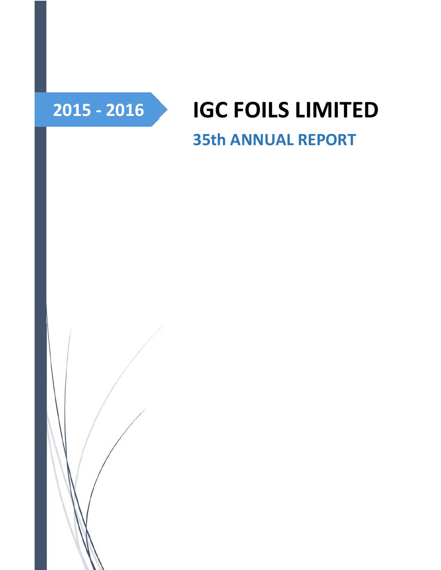

# **IGC FOILS LIMITED**

## **35th ANNUAL REPORT**

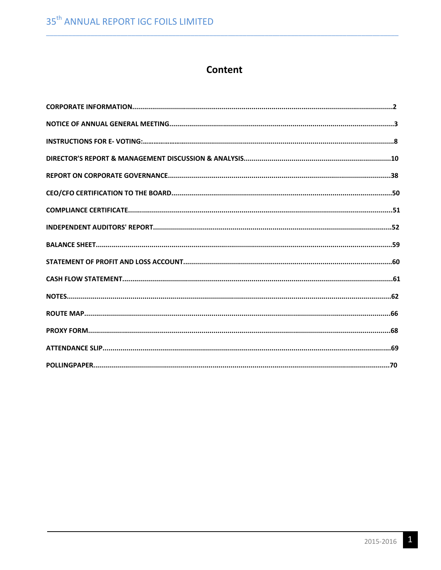## Content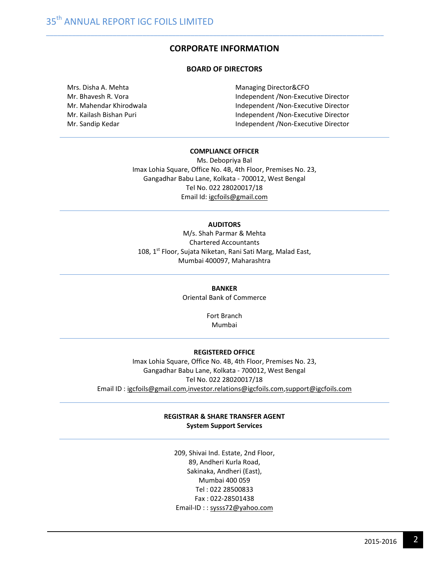## **CORPORATE INFORMATION**

 $\_$  ,  $\_$  ,  $\_$  ,  $\_$  ,  $\_$  ,  $\_$  ,  $\_$  ,  $\_$  ,  $\_$  ,  $\_$  ,  $\_$  ,  $\_$  ,  $\_$  ,  $\_$  ,  $\_$  ,  $\_$  ,  $\_$  ,  $\_$  ,  $\_$  ,  $\_$  ,  $\_$  ,  $\_$  ,  $\_$  ,  $\_$  ,  $\_$  ,  $\_$  ,  $\_$  ,  $\_$  ,  $\_$  ,  $\_$  ,  $\_$  ,  $\_$  ,  $\_$  ,  $\_$  ,  $\_$  ,  $\_$  ,  $\_$  ,

#### **BOARD OF DIRECTORS**

Mrs. Disha A. Mehta Managing Director&CFO Mr. Kailash Bishan Puri Mr. Sandip Kedar

Mr. Bhavesh R. Vora **Independent /Non-Executive Director** Mr. Mahendar Khirodwala **Independent /Non-Executive Director** Independent /Non‐Executive Director Independent /Non‐Executive Director

#### **COMPLIANCE OFFICER**

Ms. Debopriya Bal Imax Lohia Square, Office No. 4B, 4th Floor, Premises No. 23, Gangadhar Babu Lane, Kolkata ‐ 700012, West Bengal Tel No. 022 28020017/18 Email Id: igcfoils@gmail.com

#### **AUDITORS**

M/s. Shah Parmar & Mehta Chartered Accountants 108, 1<sup>st</sup> Floor, Sujata Niketan, Rani Sati Marg, Malad East, Mumbai 400097, Maharashtra

#### **BANKER**

Oriental Bank of Commerce

Fort Branch Mumbai

#### **REGISTERED OFFICE**

Imax Lohia Square, Office No. 4B, 4th Floor, Premises No. 23, Gangadhar Babu Lane, Kolkata ‐ 700012, West Bengal Tel No. 022 28020017/18 Email ID : igcfoils@gmail.com,investor.relations@igcfoils.com,support@igcfoils.com

#### **REGISTRAR & SHARE TRANSFER AGENT System Support Services**

209, Shivai Ind. Estate, 2nd Floor, 89, Andheri Kurla Road, Sakinaka, Andheri (East), Mumbai 400 059 Tel : 022 28500833 Fax : 022‐28501438 Email-ID :: sysss72@yahoo.com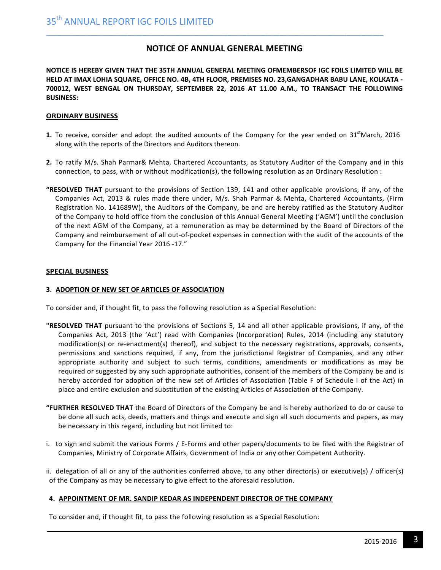## **NOTICE OF ANNUAL GENERAL MEETING**

 $\_$  ,  $\_$  ,  $\_$  ,  $\_$  ,  $\_$  ,  $\_$  ,  $\_$  ,  $\_$  ,  $\_$  ,  $\_$  ,  $\_$  ,  $\_$  ,  $\_$  ,  $\_$  ,  $\_$  ,  $\_$  ,  $\_$  ,  $\_$  ,  $\_$  ,  $\_$  ,  $\_$  ,  $\_$  ,  $\_$  ,  $\_$  ,  $\_$  ,  $\_$  ,  $\_$  ,  $\_$  ,  $\_$  ,  $\_$  ,  $\_$  ,  $\_$  ,  $\_$  ,  $\_$  ,  $\_$  ,  $\_$  ,  $\_$  ,

**NOTICE IS HEREBY GIVEN THAT THE 35TH ANNUAL GENERAL MEETING OFMEMBERSOF IGC FOILS LIMITED WILL BE HELD AT IMAX LOHIA SQUARE, OFFICE NO. 4B, 4TH FLOOR, PREMISES NO. 23,GANGADHAR BABU LANE, KOLKATA ‐ 700012, WEST BENGAL ON THURSDAY, SEPTEMBER 22, 2016 AT 11.00 A.M., TO TRANSACT THE FOLLOWING BUSINESS:** 

#### **ORDINARY BUSINESS**

- **1.** To receive, consider and adopt the audited accounts of the Company for the year ended on  $31<sup>st</sup>$ March, 2016 along with the reports of the Directors and Auditors thereon.
- **2.** To ratify M/s. Shah Parmar& Mehta, Chartered Accountants, as Statutory Auditor of the Company and in this connection, to pass, with or without modification(s), the following resolution as an Ordinary Resolution :
- **"RESOLVED THAT** pursuant to the provisions of Section 139, 141 and other applicable provisions, if any, of the Companies Act, 2013 & rules made there under, M/s. Shah Parmar & Mehta, Chartered Accountants, (Firm Registration No. 141689W), the Auditors of the Company, be and are hereby ratified as the Statutory Auditor of the Company to hold office from the conclusion of this Annual General Meeting ('AGM') until the conclusion of the next AGM of the Company, at a remuneration as may be determined by the Board of Directors of the Company and reimbursement of all out‐of‐pocket expenses in connection with the audit of the accounts of the Company for the Financial Year 2016 ‐17."

#### **SPECIAL BUSINESS**

#### **3. ADOPTION OF NEW SET OF ARTICLES OF ASSOCIATION**

To consider and, if thought fit, to pass the following resolution as a Special Resolution:

- **"RESOLVED THAT** pursuant to the provisions of Sections 5, 14 and all other applicable provisions, if any, of the Companies Act, 2013 (the 'Act') read with Companies (Incorporation) Rules, 2014 (including any statutory modification(s) or re‐enactment(s) thereof), and subject to the necessary registrations, approvals, consents, permissions and sanctions required, if any, from the jurisdictional Registrar of Companies, and any other appropriate authority and subject to such terms, conditions, amendments or modifications as may be required or suggested by any such appropriate authorities, consent of the members of the Company be and is hereby accorded for adoption of the new set of Articles of Association (Table F of Schedule I of the Act) in place and entire exclusion and substitution of the existing Articles of Association of the Company.
- **"FURTHER RESOLVED THAT** the Board of Directors of the Company be and is hereby authorized to do or cause to be done all such acts, deeds, matters and things and execute and sign all such documents and papers, as may be necessary in this regard, including but not limited to:
- i. to sign and submit the various Forms / E‐Forms and other papers/documents to be filed with the Registrar of Companies, Ministry of Corporate Affairs, Government of India or any other Competent Authority.

ii. delegation of all or any of the authorities conferred above, to any other director(s) or executive(s) / officer(s) of the Company as may be necessary to give effect to the aforesaid resolution.

#### **4. APPOINTMENT OF MR. SANDIP KEDAR AS INDEPENDENT DIRECTOR OF THE COMPANY**

To consider and, if thought fit, to pass the following resolution as a Special Resolution: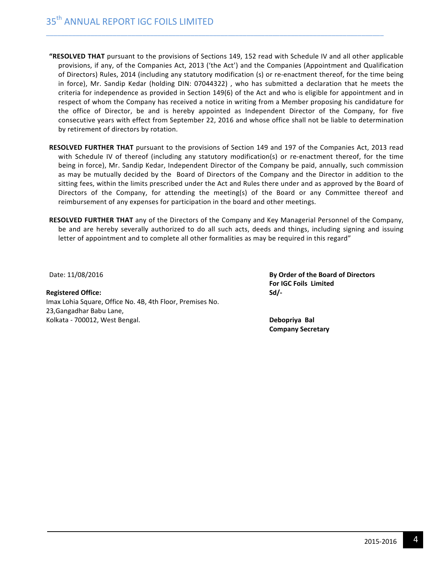**"RESOLVED THAT** pursuant to the provisions of Sections 149, 152 read with Schedule IV and all other applicable provisions, if any, of the Companies Act, 2013 ('the Act') and the Companies (Appointment and Qualification of Directors) Rules, 2014 (including any statutory modification (s) or re‐enactment thereof, for the time being in force), Mr. Sandip Kedar (holding DIN: 07044322) , who has submitted a declaration that he meets the criteria for independence as provided in Section 149(6) of the Act and who is eligible for appointment and in respect of whom the Company has received a notice in writing from a Member proposing his candidature for the office of Director, be and is hereby appointed as Independent Director of the Company, for five consecutive years with effect from September 22, 2016 and whose office shall not be liable to determination by retirement of directors by rotation.

 $\_$  ,  $\_$  ,  $\_$  ,  $\_$  ,  $\_$  ,  $\_$  ,  $\_$  ,  $\_$  ,  $\_$  ,  $\_$  ,  $\_$  ,  $\_$  ,  $\_$  ,  $\_$  ,  $\_$  ,  $\_$  ,  $\_$  ,  $\_$  ,  $\_$  ,  $\_$  ,  $\_$  ,  $\_$  ,  $\_$  ,  $\_$  ,  $\_$  ,  $\_$  ,  $\_$  ,  $\_$  ,  $\_$  ,  $\_$  ,  $\_$  ,  $\_$  ,  $\_$  ,  $\_$  ,  $\_$  ,  $\_$  ,  $\_$  ,

**RESOLVED FURTHER THAT** pursuant to the provisions of Section 149 and 197 of the Companies Act, 2013 read with Schedule IV of thereof (including any statutory modification(s) or re-enactment thereof, for the time being in force), Mr. Sandip Kedar, Independent Director of the Company be paid, annually, such commission as may be mutually decided by the Board of Directors of the Company and the Director in addition to the sitting fees, within the limits prescribed under the Act and Rules there under and as approved by the Board of Directors of the Company, for attending the meeting(s) of the Board or any Committee thereof and reimbursement of any expenses for participation in the board and other meetings.

**RESOLVED FURTHER THAT** any of the Directors of the Company and Key Managerial Personnel of the Company, be and are hereby severally authorized to do all such acts, deeds and things, including signing and issuing letter of appointment and to complete all other formalities as may be required in this regard"

Date: 11/08/2016

**By Order of the Board of Directors For IGC Foils Limited Sd/‐** 

**Registered Office:** Imax Lohia Square, Office No. 4B, 4th Floor, Premises No. 23,Gangadhar Babu Lane, Kolkata ‐ 700012, West Bengal.

**Debopriya Bal Company Secretary**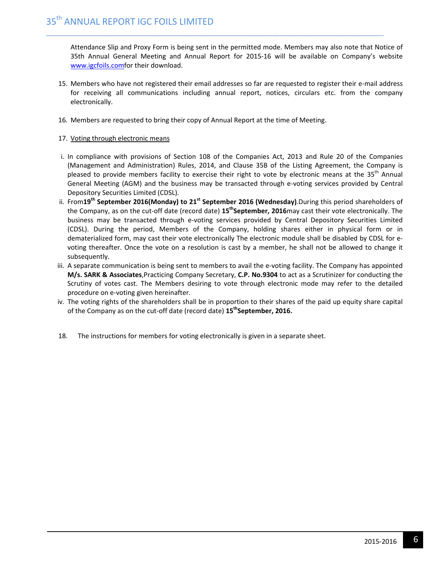Attendance Slip and Proxy Form is being sent in the permitted mode. Members may also note that Notice of 35th Annual General Meeting and Annual Report for 2015‐16 will be available on Company's website www.igcfoils.comfor their download.

 $\_$  ,  $\_$  ,  $\_$  ,  $\_$  ,  $\_$  ,  $\_$  ,  $\_$  ,  $\_$  ,  $\_$  ,  $\_$  ,  $\_$  ,  $\_$  ,  $\_$  ,  $\_$  ,  $\_$  ,  $\_$  ,  $\_$  ,  $\_$  ,  $\_$  ,  $\_$  ,  $\_$  ,  $\_$  ,  $\_$  ,  $\_$  ,  $\_$  ,  $\_$  ,  $\_$  ,  $\_$  ,  $\_$  ,  $\_$  ,  $\_$  ,  $\_$  ,  $\_$  ,  $\_$  ,  $\_$  ,  $\_$  ,  $\_$  ,

- 15. Members who have not registered their email addresses so far are requested to register their e‐mail address for receiving all communications including annual report, notices, circulars etc. from the company electronically.
- 16. Members are requested to bring their copy of Annual Report at the time of Meeting.
- 17. Voting through electronic means
- i. In compliance with provisions of Section 108 of the Companies Act, 2013 and Rule 20 of the Companies (Management and Administration) Rules, 2014, and Clause 35B of the Listing Agreement, the Company is pleased to provide members facility to exercise their right to vote by electronic means at the 35<sup>th</sup> Annual General Meeting (AGM) and the business may be transacted through e‐voting services provided by Central Depository Securities Limited (CDSL).
- ii. From**19th September 2016(Monday) to 21st September 2016 (Wednesday)**.During this period shareholders of the Company, as on the cut‐off date (record date) **15thSeptember, 2016**may cast their vote electronically. The business may be transacted through e‐voting services provided by Central Depository Securities Limited (CDSL). During the period, Members of the Company, holding shares either in physical form or in dematerialized form, may cast their vote electronically The electronic module shall be disabled by CDSL for e‐ voting thereafter. Once the vote on a resolution is cast by a member, he shall not be allowed to change it subsequently.
- iii. A separate communication is being sent to members to avail the e-voting facility. The Company has appointed **M/s. SARK & Associates**,Practicing Company Secretary, **C.P. No.9304** to act as a Scrutinizer for conducting the Scrutiny of votes cast. The Members desiring to vote through electronic mode may refer to the detailed procedure on e‐voting given hereinafter.
- iv. The voting rights of the shareholders shall be in proportion to their shares of the paid up equity share capital of the Company as on the cut‐off date (record date) **15thSeptember, 2016.**
- 18. The instructions for members for voting electronically is given in a separate sheet.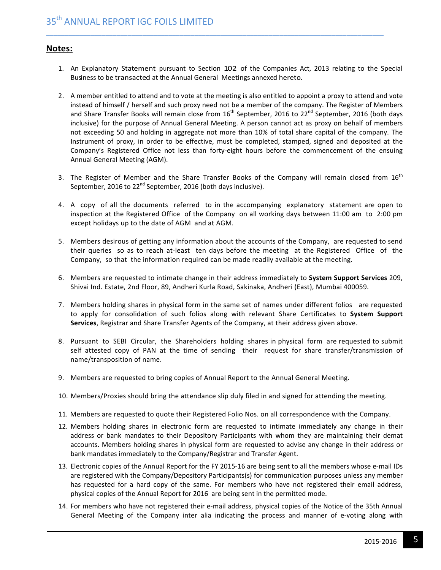#### **Notes:**

1. An Explanatory Statement pursuant to Section 102 of the Companies Act, 2013 relating to the Special Business to be transacted at the Annual General Meetings annexed hereto.

 $\_$  ,  $\_$  ,  $\_$  ,  $\_$  ,  $\_$  ,  $\_$  ,  $\_$  ,  $\_$  ,  $\_$  ,  $\_$  ,  $\_$  ,  $\_$  ,  $\_$  ,  $\_$  ,  $\_$  ,  $\_$  ,  $\_$  ,  $\_$  ,  $\_$  ,  $\_$  ,  $\_$  ,  $\_$  ,  $\_$  ,  $\_$  ,  $\_$  ,  $\_$  ,  $\_$  ,  $\_$  ,  $\_$  ,  $\_$  ,  $\_$  ,  $\_$  ,  $\_$  ,  $\_$  ,  $\_$  ,  $\_$  ,  $\_$  ,

- 2. A member entitled to attend and to vote at the meeting is also entitled to appoint a proxy to attend and vote instead of himself / herself and such proxy need not be a member of the company. The Register of Members and Share Transfer Books will remain close from  $16^{th}$  September, 2016 to 22<sup>nd</sup> September, 2016 (both days inclusive) for the purpose of Annual General Meeting. A person cannot act as proxy on behalf of members not exceeding 50 and holding in aggregate not more than 10% of total share capital of the company. The Instrument of proxy, in order to be effective, must be completed, stamped, signed and deposited at the Company's Registered Office not less than forty-eight hours before the commencement of the ensuing Annual General Meeting (AGM).
- 3. The Register of Member and the Share Transfer Books of the Company will remain closed from  $16<sup>th</sup>$ September, 2016 to 22<sup>nd</sup> September, 2016 (both days inclusive).
- 4. A copy of all the documents referred to in the accompanying explanatory statement are open to inspection at the Registered Office of the Company on all working days between 11:00 am to 2:00 pm except holidays up to the date of AGM and at AGM.
- 5. Members desirous of getting any information about the accounts of the Company, are requested to send their queries so as to reach at-least ten days before the meeting at the Registered Office of the Company, so that the information required can be made readily available at the meeting.
- 6. Members are requested to intimate change in their address immediately to **System Support Services** 209, Shivai Ind. Estate, 2nd Floor, 89, Andheri Kurla Road, Sakinaka, Andheri (East), Mumbai 400059.
- 7. Members holding shares in physical form in the same set of names under different folios are requested to apply for consolidation of such folios along with relevant Share Certificates to **System Support Services**, Registrar and Share Transfer Agents of the Company, at their address given above.
- 8. Pursuant to SEBI Circular, the Shareholders holding shares in physical form are requested to submit self attested copy of PAN at the time of sending their request for share transfer/transmission of name/transposition of name.
- 9. Members are requested to bring copies of Annual Report to the Annual General Meeting.
- 10. Members/Proxies should bring the attendance slip duly filed in and signed for attending the meeting.
- 11. Members are requested to quote their Registered Folio Nos. on all correspondence with the Company.
- 12. Members holding shares in electronic form are requested to intimate immediately any change in their address or bank mandates to their Depository Participants with whom they are maintaining their demat accounts. Members holding shares in physical form are requested to advise any change in their address or bank mandates immediately to the Company/Registrar and Transfer Agent.
- 13. Electronic copies of the Annual Report for the FY 2015-16 are being sent to all the members whose e-mail IDs are registered with the Company/Depository Participants(s) for communication purposes unless any member has requested for a hard copy of the same. For members who have not registered their email address, physical copies of the Annual Report for 2016 are being sent in the permitted mode.
- 14. For members who have not registered their e‐mail address, physical copies of the Notice of the 35th Annual General Meeting of the Company inter alia indicating the process and manner of e‐voting along with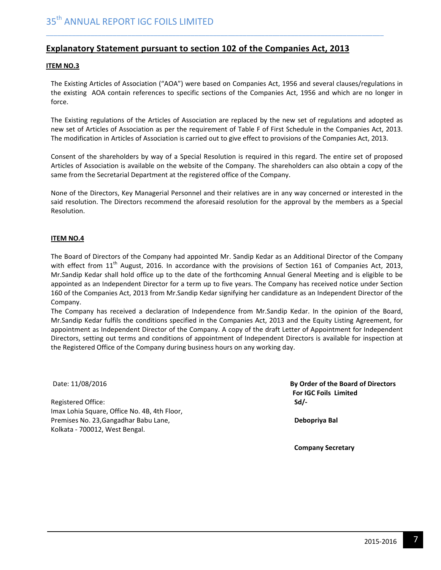## **Explanatory Statement pursuant to section 102 of the Companies Act, 2013**

 $\_$  ,  $\_$  ,  $\_$  ,  $\_$  ,  $\_$  ,  $\_$  ,  $\_$  ,  $\_$  ,  $\_$  ,  $\_$  ,  $\_$  ,  $\_$  ,  $\_$  ,  $\_$  ,  $\_$  ,  $\_$  ,  $\_$  ,  $\_$  ,  $\_$  ,  $\_$  ,  $\_$  ,  $\_$  ,  $\_$  ,  $\_$  ,  $\_$  ,  $\_$  ,  $\_$  ,  $\_$  ,  $\_$  ,  $\_$  ,  $\_$  ,  $\_$  ,  $\_$  ,  $\_$  ,  $\_$  ,  $\_$  ,  $\_$  ,

#### **ITEM NO.3**

The Existing Articles of Association ("AOA") were based on Companies Act, 1956 and several clauses/regulations in the existing AOA contain references to specific sections of the Companies Act, 1956 and which are no longer in force.

The Existing regulations of the Articles of Association are replaced by the new set of regulations and adopted as new set of Articles of Association as per the requirement of Table F of First Schedule in the Companies Act, 2013. The modification in Articles of Association is carried out to give effect to provisions of the Companies Act, 2013.

Consent of the shareholders by way of a Special Resolution is required in this regard. The entire set of proposed Articles of Association is available on the website of the Company. The shareholders can also obtain a copy of the same from the Secretarial Department at the registered office of the Company.

None of the Directors, Key Managerial Personnel and their relatives are in any way concerned or interested in the said resolution. The Directors recommend the aforesaid resolution for the approval by the members as a Special Resolution.

#### **ITEM NO.4**

The Board of Directors of the Company had appointed Mr. Sandip Kedar as an Additional Director of the Company with effect from 11<sup>th</sup> August, 2016. In accordance with the provisions of Section 161 of Companies Act, 2013, Mr.Sandip Kedar shall hold office up to the date of the forthcoming Annual General Meeting and is eligible to be appointed as an Independent Director for a term up to five years. The Company has received notice under Section 160 of the Companies Act, 2013 from Mr.Sandip Kedar signifying her candidature as an Independent Director of the Company.

The Company has received a declaration of Independence from Mr.Sandip Kedar. In the opinion of the Board, Mr.Sandip Kedar fulfils the conditions specified in the Companies Act, 2013 and the Equity Listing Agreement, for appointment as Independent Director of the Company. A copy of the draft Letter of Appointment for Independent Directors, setting out terms and conditions of appointment of Independent Directors is available for inspection at the Registered Office of the Company during business hours on any working day.

Date: 11/08/2016

Registered Office: Imax Lohia Square, Office No. 4B, 4th Floor, Premises No. 23,Gangadhar Babu Lane, Kolkata ‐ 700012, West Bengal.

 **By Order of the Board of Directors For IGC Foils Limited Sd/‐** 

 **Debopriya Bal**

 **Company Secretary**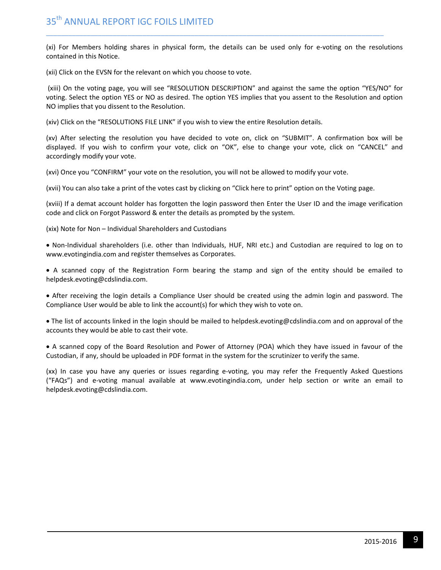(xi) For Members holding shares in physical form, the details can be used only for e‐voting on the resolutions contained in this Notice.

 $\_$  ,  $\_$  ,  $\_$  ,  $\_$  ,  $\_$  ,  $\_$  ,  $\_$  ,  $\_$  ,  $\_$  ,  $\_$  ,  $\_$  ,  $\_$  ,  $\_$  ,  $\_$  ,  $\_$  ,  $\_$  ,  $\_$  ,  $\_$  ,  $\_$  ,  $\_$  ,  $\_$  ,  $\_$  ,  $\_$  ,  $\_$  ,  $\_$  ,  $\_$  ,  $\_$  ,  $\_$  ,  $\_$  ,  $\_$  ,  $\_$  ,  $\_$  ,  $\_$  ,  $\_$  ,  $\_$  ,  $\_$  ,  $\_$  ,

(xii) Click on the EVSN for the relevant on which you choose to vote.

(xiii) On the voting page, you will see "RESOLUTION DESCRIPTION" and against the same the option "YES/NO" for voting. Select the option YES or NO as desired. The option YES implies that you assent to the Resolution and option NO implies that you dissent to the Resolution.

(xiv) Click on the "RESOLUTIONS FILE LINK" if you wish to view the entire Resolution details.

(xv) After selecting the resolution you have decided to vote on, click on "SUBMIT". A confirmation box will be displayed. If you wish to confirm your vote, click on "OK", else to change your vote, click on "CANCEL" and accordingly modify your vote.

(xvi) Once you "CONFIRM" your vote on the resolution, you will not be allowed to modify your vote.

(xvii) You can also take a print of the votes cast by clicking on "Click here to print" option on the Voting page.

(xviii) If a demat account holder has forgotten the login password then Enter the User ID and the image verification code and click on Forgot Password & enter the details as prompted by the system.

(xix) Note for Non – Individual Shareholders and Custodians

• Non‐Individual shareholders (i.e. other than Individuals, HUF, NRI etc.) and Custodian are required to log on to www.evotingindia.com and register themselves as Corporates.

• A scanned copy of the Registration Form bearing the stamp and sign of the entity should be emailed to helpdesk.evoting@cdslindia.com.

• After receiving the login details a Compliance User should be created using the admin login and password. The Compliance User would be able to link the account(s) for which they wish to vote on.

• The list of accounts linked in the login should be mailed to helpdesk.evoting@cdslindia.com and on approval of the accounts they would be able to cast their vote.

• A scanned copy of the Board Resolution and Power of Attorney (POA) which they have issued in favour of the Custodian, if any, should be uploaded in PDF format in the system for the scrutinizer to verify the same.

(xx) In case you have any queries or issues regarding e-voting, you may refer the Frequently Asked Questions ("FAQs") and e‐voting manual available at www.evotingindia.com, under help section or write an email to helpdesk.evoting@cdslindia.com.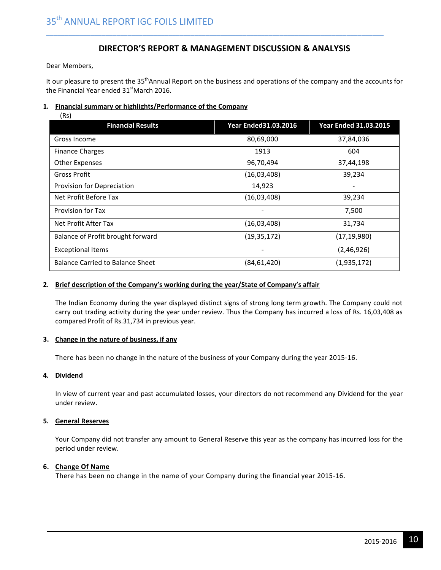## **DIRECTOR'S REPORT & MANAGEMENT DISCUSSION & ANALYSIS**

 $\_$  ,  $\_$  ,  $\_$  ,  $\_$  ,  $\_$  ,  $\_$  ,  $\_$  ,  $\_$  ,  $\_$  ,  $\_$  ,  $\_$  ,  $\_$  ,  $\_$  ,  $\_$  ,  $\_$  ,  $\_$  ,  $\_$  ,  $\_$  ,  $\_$  ,  $\_$  ,  $\_$  ,  $\_$  ,  $\_$  ,  $\_$  ,  $\_$  ,  $\_$  ,  $\_$  ,  $\_$  ,  $\_$  ,  $\_$  ,  $\_$  ,  $\_$  ,  $\_$  ,  $\_$  ,  $\_$  ,  $\_$  ,  $\_$  ,

Dear Members,

It our pleasure to present the 35<sup>th</sup>Annual Report on the business and operations of the company and the accounts for the Financial Year ended  $31<sup>st</sup>$ March 2016.

**1. Financial summary or highlights/Performance of the Company**

| (Rs)                              |                             |                              |
|-----------------------------------|-----------------------------|------------------------------|
| <b>Financial Results</b>          | <b>Year Ended31.03.2016</b> | <b>Year Ended 31.03.2015</b> |
| Gross Income                      | 80,69,000                   | 37,84,036                    |
| <b>Finance Charges</b>            | 1913                        | 604                          |
| <b>Other Expenses</b>             | 96,70,494                   | 37,44,198                    |
| <b>Gross Profit</b>               | (16,03,408)                 | 39,234                       |
| Provision for Depreciation        | 14,923                      |                              |
| Net Profit Before Tax             | (16,03,408)                 | 39,234                       |
| <b>Provision for Tax</b>          |                             | 7,500                        |
| Net Profit After Tax              | (16,03,408)                 | 31,734                       |
| Balance of Profit brought forward | (19, 35, 172)               | (17, 19, 980)                |
| <b>Exceptional Items</b>          |                             | (2,46,926)                   |
| Balance Carried to Balance Sheet  | (84, 61, 420)               | (1,935,172)                  |

#### **2. Brief description of the Company's working during the year/State of Company's affair**

The Indian Economy during the year displayed distinct signs of strong long term growth. The Company could not carry out trading activity during the year under review. Thus the Company has incurred a loss of Rs. 16,03,408 as compared Profit of Rs.31,734 in previous year.

#### **3. Change in the nature of business, if any**

There has been no change in the nature of the business of your Company during the year 2015‐16.

#### **4. Dividend**

In view of current year and past accumulated losses, your directors do not recommend any Dividend for the year under review.

#### **5. General Reserves**

Your Company did not transfer any amount to General Reserve this year as the company has incurred loss for the period under review.

#### **6. Change Of Name**

There has been no change in the name of your Company during the financial year 2015‐16.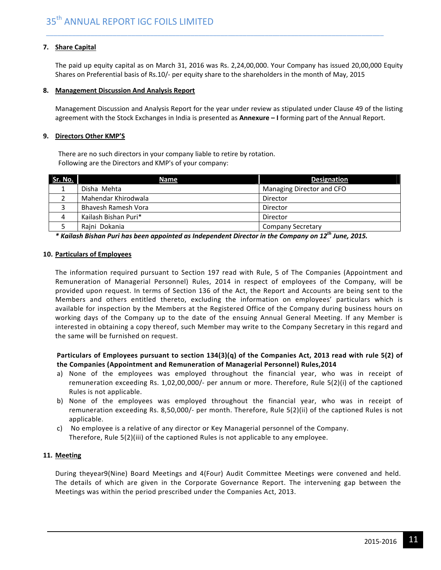#### **7. Share Capital**

The paid up equity capital as on March 31, 2016 was Rs. 2,24,00,000. Your Company has issued 20,00,000 Equity Shares on Preferential basis of Rs.10/‐ per equity share to the shareholders in the month of May, 2015

 $\_$  ,  $\_$  ,  $\_$  ,  $\_$  ,  $\_$  ,  $\_$  ,  $\_$  ,  $\_$  ,  $\_$  ,  $\_$  ,  $\_$  ,  $\_$  ,  $\_$  ,  $\_$  ,  $\_$  ,  $\_$  ,  $\_$  ,  $\_$  ,  $\_$  ,  $\_$  ,  $\_$  ,  $\_$  ,  $\_$  ,  $\_$  ,  $\_$  ,  $\_$  ,  $\_$  ,  $\_$  ,  $\_$  ,  $\_$  ,  $\_$  ,  $\_$  ,  $\_$  ,  $\_$  ,  $\_$  ,  $\_$  ,  $\_$  ,

#### **8. Management Discussion And Analysis Report**

Management Discussion and Analysis Report for the year under review as stipulated under Clause 49 of the listing agreement with the Stock Exchanges in India is presented as **Annexure – I** forming part of the Annual Report.

#### **9. Directors Other KMP'S**

There are no such directors in your company liable to retire by rotation. Following are the Directors and KMP's of your company:

| Sr. No. | Name                       | <b>Designation</b>        |
|---------|----------------------------|---------------------------|
|         | Disha Mehta                | Managing Director and CFO |
|         | Mahendar Khirodwala        | Director                  |
|         | <b>Bhavesh Ramesh Vora</b> | Director                  |
|         | Kailash Bishan Puri*       | Director                  |
|         | Rajni Dokania              | <b>Company Secretary</b>  |

\* Kailash Bishan Puri has been appointed as Independent Director in the Company on 12<sup>th</sup> June, 2015.

#### **10. Particulars of Employees**

The information required pursuant to Section 197 read with Rule, 5 of The Companies (Appointment and Remuneration of Managerial Personnel) Rules, 2014 in respect of employees of the Company, will be provided upon request. In terms of Section 136 of the Act, the Report and Accounts are being sent to the Members and others entitled thereto, excluding the information on employees' particulars which is available for inspection by the Members at the Registered Office of the Company during business hours on working days of the Company up to the date of the ensuing Annual General Meeting. If any Member is interested in obtaining a copy thereof, such Member may write to the Company Secretary in this regard and the same will be furnished on request.

#### **Particulars of Employees pursuant to section 134(3)(q) of the Companies Act, 2013 read with rule 5(2) of the Companies (Appointment and Remuneration of Managerial Personnel) Rules,2014**

- a) None of the employees was employed throughout the financial year, who was in receipt of remuneration exceeding Rs. 1,02,00,000/‐ per annum or more. Therefore, Rule 5(2)(i) of the captioned Rules is not applicable.
- b) None of the employees was employed throughout the financial year, who was in receipt of remuneration exceeding Rs. 8,50,000/‐ per month. Therefore, Rule 5(2)(ii) of the captioned Rules is not applicable.
- c) No employee is a relative of any director or Key Managerial personnel of the Company. Therefore, Rule 5(2)(iii) of the captioned Rules is not applicable to any employee.

#### **11. Meeting**

During theyear9(Nine) Board Meetings and 4(Four) Audit Committee Meetings were convened and held. The details of which are given in the Corporate Governance Report. The intervening gap between the Meetings was within the period prescribed under the Companies Act, 2013.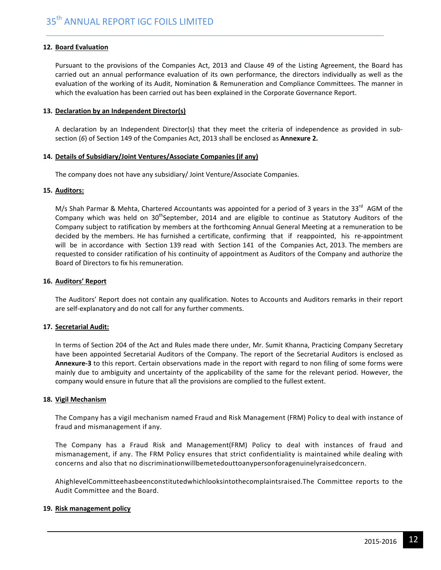#### **12. Board Evaluation**

Pursuant to the provisions of the Companies Act, 2013 and Clause 49 of the Listing Agreement, the Board has carried out an annual performance evaluation of its own performance, the directors individually as well as the evaluation of the working of its Audit, Nomination & Remuneration and Compliance Committees. The manner in which the evaluation has been carried out has been explained in the Corporate Governance Report.

 $\_$  ,  $\_$  ,  $\_$  ,  $\_$  ,  $\_$  ,  $\_$  ,  $\_$  ,  $\_$  ,  $\_$  ,  $\_$  ,  $\_$  ,  $\_$  ,  $\_$  ,  $\_$  ,  $\_$  ,  $\_$  ,  $\_$  ,  $\_$  ,  $\_$  ,  $\_$  ,  $\_$  ,  $\_$  ,  $\_$  ,  $\_$  ,  $\_$  ,  $\_$  ,  $\_$  ,  $\_$  ,  $\_$  ,  $\_$  ,  $\_$  ,  $\_$  ,  $\_$  ,  $\_$  ,  $\_$  ,  $\_$  ,  $\_$  ,

#### **13. Declaration by an Independent Director(s)**

A declaration by an Independent Director(s) that they meet the criteria of independence as provided in sub‐ section (*6*) of Section 149 of the Companies Act, 2013 shall be enclosed as **Annexure 2.**

#### **14. Details of Subsidiary/Joint Ventures/Associate Companies (if any)**

The company does not have any subsidiary/ Joint Venture/Associate Companies.

#### **15. Auditors:**

M/s Shah Parmar & Mehta, Chartered Accountants was appointed for a period of 3 years in the 33<sup>rd</sup> AGM of the Company which was held on 30<sup>th</sup>September, 2014 and are eligible to continue as Statutory Auditors of the Company subject to ratification by members at the forthcoming Annual General Meeting at a remuneration to be decided by the members. He has furnished a certificate, confirming that if reappointed, his re-appointment will be in accordance with Section 139 read with Section 141 of the Companies Act, 2013. The members are requested to consider ratification of his continuity of appointment as Auditors of the Company and authorize the Board of Directors to fix his remuneration.

#### **16. Auditors' Report**

The Auditors' Report does not contain any qualification. Notes to Accounts and Auditors remarks in their report are self‐explanatory and do not call for any further comments.

#### **17. Secretarial Audit:**

In terms of Section 204 of the Act and Rules made there under, Mr. Sumit Khanna, Practicing Company Secretary have been appointed Secretarial Auditors of the Company. The report of the Secretarial Auditors is enclosed as **Annexure‐3** to this report. Certain observations made in the report with regard to non filing of some forms were mainly due to ambiguity and uncertainty of the applicability of the same for the relevant period. However, the company would ensure in future that all the provisions are complied to the fullest extent.

#### **18. Vigil Mechanism**

The Company has a vigil mechanism named Fraud and Risk Management (FRM) Policy to deal with instance of fraud and mismanagement if any.

The Company has a Fraud Risk and Management(FRM) Policy to deal with instances of fraud and mismanagement, if any. The FRM Policy ensures that strict confidentiality is maintained while dealing with concerns and also that no discriminationwillbemetedouttoanypersonforagenuinelyraisedconcern.

AhighlevelCommitteehasbeenconstitutedwhichlooksintothecomplaintsraised.The Committee reports to the Audit Committee and the Board.

#### **19. Risk management policy**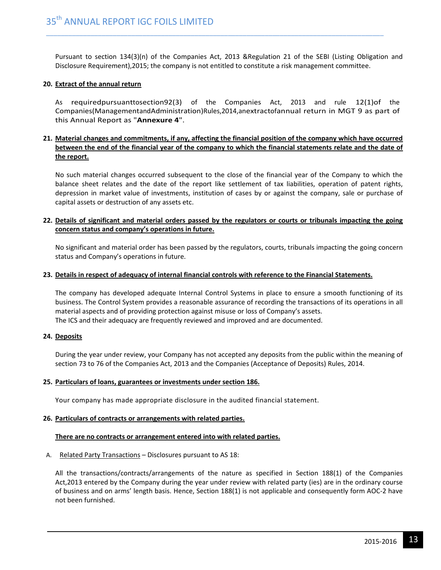Pursuant to section 134(3)(n) of the Companies Act, 2013 &Regulation 21 of the SEBI (Listing Obligation and Disclosure Requirement),2015; the company is not entitled to constitute a risk management committee.

 $\_$  ,  $\_$  ,  $\_$  ,  $\_$  ,  $\_$  ,  $\_$  ,  $\_$  ,  $\_$  ,  $\_$  ,  $\_$  ,  $\_$  ,  $\_$  ,  $\_$  ,  $\_$  ,  $\_$  ,  $\_$  ,  $\_$  ,  $\_$  ,  $\_$  ,  $\_$  ,  $\_$  ,  $\_$  ,  $\_$  ,  $\_$  ,  $\_$  ,  $\_$  ,  $\_$  ,  $\_$  ,  $\_$  ,  $\_$  ,  $\_$  ,  $\_$  ,  $\_$  ,  $\_$  ,  $\_$  ,  $\_$  ,  $\_$  ,

#### **20. Extract of the annual return**

As requiredpursuanttosection92(3) of the Companies Act, 2013 and rule 12(1)of the Companies(ManagementandAdministration)Rules,2014,anextractofannual return in MGT 9 as part of this Annual Report as "**Annexure 4**".

#### 21. Material changes and commitments, if any, affecting the financial position of the company which have occurred between the end of the financial year of the company to which the financial statements relate and the date of **the report.**

No such material changes occurred subsequent to the close of the financial year of the Company to which the balance sheet relates and the date of the report like settlement of tax liabilities, operation of patent rights, depression in market value of investments, institution of cases by or against the company, sale or purchase of capital assets or destruction of any assets etc.

#### 22. Details of significant and material orders passed by the regulators or courts or tribunals impacting the going **concern status and company's operations in future.**

No significant and material order has been passed by the regulators, courts, tribunals impacting the going concern status and Company's operations in future.

#### **23. Details in respect of adequacy of internal financial controls with reference to the Financial Statements.**

The company has developed adequate Internal Control Systems in place to ensure a smooth functioning of its business. The Control System provides a reasonable assurance of recording the transactions of its operations in all material aspects and of providing protection against misuse or loss of Company's assets. The ICS and their adequacy are frequently reviewed and improved and are documented.

#### **24. Deposits**

During the year under review, your Company has not accepted any deposits from the public within the meaning of section 73 to 76 of the Companies Act, 2013 and the Companies (Acceptance of Deposits) Rules, 2014.

#### **25. Particulars of loans, guarantees or investments under section 186.**

Your company has made appropriate disclosure in the audited financial statement.

#### **26. Particulars of contracts or arrangements with related parties.**

#### **There are no contracts or arrangement entered into with related parties.**

#### A. Related Party Transactions - Disclosures pursuant to AS 18:

All the transactions/contracts/arrangements of the nature as specified in Section 188(1) of the Companies Act,2013 entered by the Company during the year under review with related party (ies) are in the ordinary course of business and on arms' length basis. Hence, Section 188(1) is not applicable and consequently form AOC‐2 have not been furnished.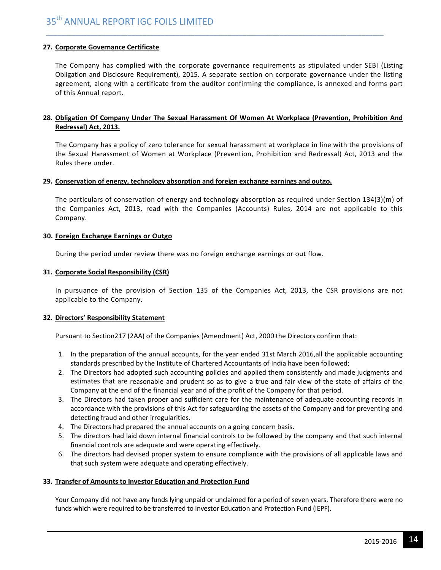#### **27. Corporate Governance Certificate**

The Company has complied with the corporate governance requirements as stipulated under SEBI (Listing Obligation and Disclosure Requirement), 2015. A separate section on corporate governance under the listing agreement, along with a certificate from the auditor confirming the compliance, is annexed and forms part of this Annual report.

 $\_$  ,  $\_$  ,  $\_$  ,  $\_$  ,  $\_$  ,  $\_$  ,  $\_$  ,  $\_$  ,  $\_$  ,  $\_$  ,  $\_$  ,  $\_$  ,  $\_$  ,  $\_$  ,  $\_$  ,  $\_$  ,  $\_$  ,  $\_$  ,  $\_$  ,  $\_$  ,  $\_$  ,  $\_$  ,  $\_$  ,  $\_$  ,  $\_$  ,  $\_$  ,  $\_$  ,  $\_$  ,  $\_$  ,  $\_$  ,  $\_$  ,  $\_$  ,  $\_$  ,  $\_$  ,  $\_$  ,  $\_$  ,  $\_$  ,

#### **28. Obligation Of Company Under The Sexual Harassment Of Women At Workplace (Prevention, Prohibition And Redressal) Act, 2013.**

The Company has a policy of zero tolerance for sexual harassment at workplace in line with the provisions of the Sexual Harassment of Women at Workplace (Prevention, Prohibition and Redressal) Act, 2013 and the Rules there under.

#### **29. Conservation of energy, technology absorption and foreign exchange earnings and outgo.**

The particulars of conservation of energy and technology absorption as required under Section 134(3)(m) of the Companies Act, 2013, read with the Companies (Accounts) Rules, 2014 are not applicable to this Company.

#### **30. Foreign Exchange Earnings or Outgo**

During the period under review there was no foreign exchange earnings or out flow.

#### **31. Corporate Social Responsibility (CSR)**

In pursuance of the provision of Section 135 of the Companies Act, 2013, the CSR provisions are not applicable to the Company.

#### **32. Directors' Responsibility Statement**

Pursuant to Section217 (2AA) of the Companies (Amendment) Act, 2000 the Directors confirm that:

- 1. In the preparation of the annual accounts, for the year ended 31st March 2016,all the applicable accounting standards prescribed by the Institute of Chartered Accountants of India have been followed;
- 2. The Directors had adopted such accounting policies and applied them consistently and made judgments and estimates that are reasonable and prudent so as to give a true and fair view of the state of affairs of the Company at the end of the financial year and of the profit of the Company for that period.
- 3. The Directors had taken proper and sufficient care for the maintenance of adequate accounting records in accordance with the provisions of this Act for safeguarding the assets of the Company and for preventing and detecting fraud and other irregularities.
- 4. The Directors had prepared the annual accounts on a going concern basis.
- 5. The directors had laid down internal financial controls to be followed by the company and that such internal financial controls are adequate and were operating effectively.
- 6. The directors had devised proper system to ensure compliance with the provisions of all applicable laws and that such system were adequate and operating effectively.

#### **33. Transfer of Amounts to Investor Education and Protection Fund**

Your Company did not have any funds lying unpaid or unclaimed for a period of seven years. Therefore there were no funds which were required to be transferred to Investor Education and Protection Fund (IEPF).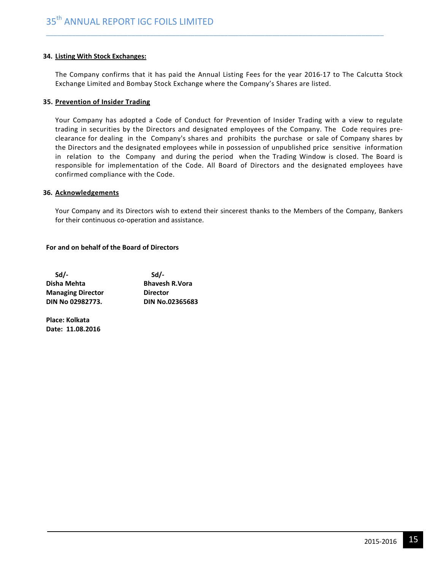#### **34. Listing With Stock Exchanges:**

The Company confirms that it has paid the Annual Listing Fees for the year 2016‐17 to The Calcutta Stock Exchange Limited and Bombay Stock Exchange where the Company's Shares are listed.

 $\_$  ,  $\_$  ,  $\_$  ,  $\_$  ,  $\_$  ,  $\_$  ,  $\_$  ,  $\_$  ,  $\_$  ,  $\_$  ,  $\_$  ,  $\_$  ,  $\_$  ,  $\_$  ,  $\_$  ,  $\_$  ,  $\_$  ,  $\_$  ,  $\_$  ,  $\_$  ,  $\_$  ,  $\_$  ,  $\_$  ,  $\_$  ,  $\_$  ,  $\_$  ,  $\_$  ,  $\_$  ,  $\_$  ,  $\_$  ,  $\_$  ,  $\_$  ,  $\_$  ,  $\_$  ,  $\_$  ,  $\_$  ,  $\_$  ,

#### **35. Prevention of Insider Trading**

Your Company has adopted a Code of Conduct for Prevention of Insider Trading with a view to regulate trading in securities by the Directors and designated employees of the Company. The Code requires pre‐ clearance for dealing in the Company's shares and prohibits the purchase or sale of Company shares by the Directors and the designated employees while in possession of unpublished price sensitive information in relation to the Company and during the period when the Trading Window is closed. The Board is responsible for implementation of the Code. All Board of Directors and the designated employees have confirmed compliance with the Code.

#### **36. Acknowledgements**

Your Company and its Directors wish to extend their sincerest thanks to the Members of the Company, Bankers for their continuous co-operation and assistance.

#### **For and on behalf of the Board of Directors**

| $Sd$ /-                  | $Sd/-$                 |
|--------------------------|------------------------|
| Disha Mehta              | <b>Bhavesh R.Vora</b>  |
| <b>Managing Director</b> | <b>Director</b>        |
| DIN No 02982773.         | <b>DIN No.02365683</b> |

**Place: Kolkata Date: 11.08.2016**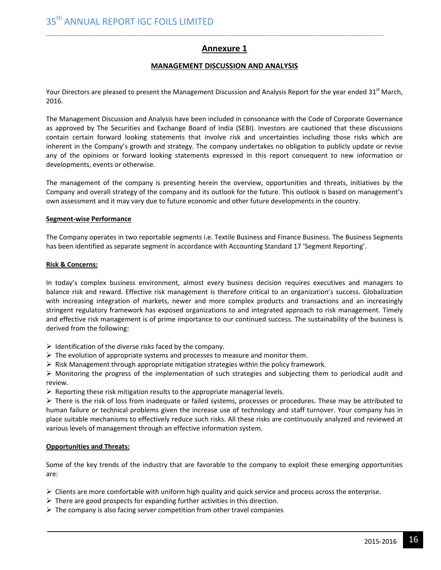## **Annexure 1**

 $\_$  ,  $\_$  ,  $\_$  ,  $\_$  ,  $\_$  ,  $\_$  ,  $\_$  ,  $\_$  ,  $\_$  ,  $\_$  ,  $\_$  ,  $\_$  ,  $\_$  ,  $\_$  ,  $\_$  ,  $\_$  ,  $\_$  ,  $\_$  ,  $\_$  ,  $\_$  ,  $\_$  ,  $\_$  ,  $\_$  ,  $\_$  ,  $\_$  ,  $\_$  ,  $\_$  ,  $\_$  ,  $\_$  ,  $\_$  ,  $\_$  ,  $\_$  ,  $\_$  ,  $\_$  ,  $\_$  ,  $\_$  ,  $\_$  ,

#### **MANAGEMENT DISCUSSION AND ANALYSIS**

Your Directors are pleased to present the Management Discussion and Analysis Report for the year ended 31<sup>st</sup> March, 2016.

The Management Discussion and Analysis have been included in consonance with the Code of Corporate Governance as approved by The Securities and Exchange Board of India (SEBI). Investors are cautioned that these discussions contain certain forward looking statements that involve risk and uncertainties including those risks which are inherent in the Company's growth and strategy. The company undertakes no obligation to publicly update or revise any of the opinions or forward looking statements expressed in this report consequent to new information or developments, events or otherwise.

The management of the company is presenting herein the overview, opportunities and threats, initiatives by the Company and overall strategy of the company and its outlook for the future. This outlook is based on management's own assessment and it may vary due to future economic and other future developments in the country.

#### **Segment‐wise Performance**

The Company operates in two reportable segments i.e. Textile Business and Finance Business. The Business Segments has been identified as separate segment in accordance with Accounting Standard 17 'Segment Reporting'.

#### **Risk & Concerns:**

In today's complex business environment, almost every business decision requires executives and managers to balance risk and reward. Effective risk management is therefore critical to an organization's success. Globalization with increasing integration of markets, newer and more complex products and transactions and an increasingly stringent regulatory framework has exposed organizations to and integrated approach to risk management. Timely and effective risk management is of prime importance to our continued success. The sustainability of the business is derived from the following:

- $\triangleright$  Identification of the diverse risks faced by the company.
- $\triangleright$  The evolution of appropriate systems and processes to measure and monitor them.
- $\triangleright$  Risk Management through appropriate mitigation strategies within the policy framework.
- $\triangleright$  Monitoring the progress of the implementation of such strategies and subjecting them to periodical audit and review.

 $\triangleright$  Reporting these risk mitigation results to the appropriate managerial levels.

 $\triangleright$  There is the risk of loss from inadequate or failed systems, processes or procedures. These may be attributed to human failure or technical problems given the increase use of technology and staff turnover. Your company has in place suitable mechanisms to effectively reduce such risks. All these risks are continuously analyzed and reviewed at various levels of management through an effective information system.

#### **Opportunities and Threats:**

Some of the key trends of the industry that are favorable to the company to exploit these emerging opportunities are:

- $\triangleright$  Clients are more comfortable with uniform high quality and quick service and process across the enterprise.
- $\triangleright$  There are good prospects for expanding further activities in this direction.
- $\triangleright$  The company is also facing server competition from other travel companies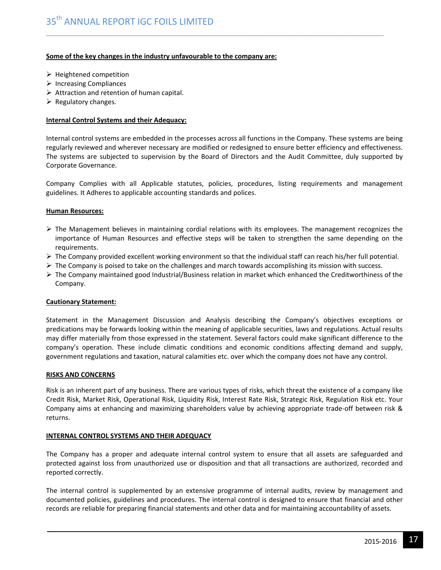#### **Some of the key changes in the industry unfavourable to the company are:**

- $\triangleright$  Heightened competition
- $\triangleright$  Increasing Compliances
- $\triangleright$  Attraction and retention of human capital.
- $\triangleright$  Regulatory changes.

#### **Internal Control Systems and their Adequacy:**

Internal control systems are embedded in the processes across all functions in the Company. These systems are being regularly reviewed and wherever necessary are modified or redesigned to ensure better efficiency and effectiveness. The systems are subjected to supervision by the Board of Directors and the Audit Committee, duly supported by Corporate Governance.

 $\_$  ,  $\_$  ,  $\_$  ,  $\_$  ,  $\_$  ,  $\_$  ,  $\_$  ,  $\_$  ,  $\_$  ,  $\_$  ,  $\_$  ,  $\_$  ,  $\_$  ,  $\_$  ,  $\_$  ,  $\_$  ,  $\_$  ,  $\_$  ,  $\_$  ,  $\_$  ,  $\_$  ,  $\_$  ,  $\_$  ,  $\_$  ,  $\_$  ,  $\_$  ,  $\_$  ,  $\_$  ,  $\_$  ,  $\_$  ,  $\_$  ,  $\_$  ,  $\_$  ,  $\_$  ,  $\_$  ,  $\_$  ,  $\_$  ,

Company Complies with all Applicable statutes, policies, procedures, listing requirements and management guidelines. It Adheres to applicable accounting standards and polices.

#### **Human Resources:**

- $\triangleright$  The Management believes in maintaining cordial relations with its employees. The management recognizes the importance of Human Resources and effective steps will be taken to strengthen the same depending on the requirements.
- $\triangleright$  The Company provided excellent working environment so that the individual staff can reach his/her full potential.
- $\triangleright$  The Company is poised to take on the challenges and march towards accomplishing its mission with success.
- $\triangleright$  The Company maintained good Industrial/Business relation in market which enhanced the Creditworthiness of the Company.

#### **Cautionary Statement:**

Statement in the Management Discussion and Analysis describing the Company's objectives exceptions or predications may be forwards looking within the meaning of applicable securities, laws and regulations. Actual results may differ materially from those expressed in the statement. Several factors could make significant difference to the company's operation. These include climatic conditions and economic conditions affecting demand and supply, government regulations and taxation, natural calamities etc. over which the company does not have any control.

#### **RISKS AND CONCERNS**

Risk is an inherent part of any business. There are various types of risks, which threat the existence of a company like Credit Risk, Market Risk, Operational Risk, Liquidity Risk, Interest Rate Risk, Strategic Risk, Regulation Risk etc. Your Company aims at enhancing and maximizing shareholders value by achieving appropriate trade‐off between risk & returns.

#### **INTERNAL CONTROL SYSTEMS AND THEIR ADEQUACY**

The Company has a proper and adequate internal control system to ensure that all assets are safeguarded and protected against loss from unauthorized use or disposition and that all transactions are authorized, recorded and reported correctly.

The internal control is supplemented by an extensive programme of internal audits, review by management and documented policies, guidelines and procedures. The internal control is designed to ensure that financial and other records are reliable for preparing financial statements and other data and for maintaining accountability of assets.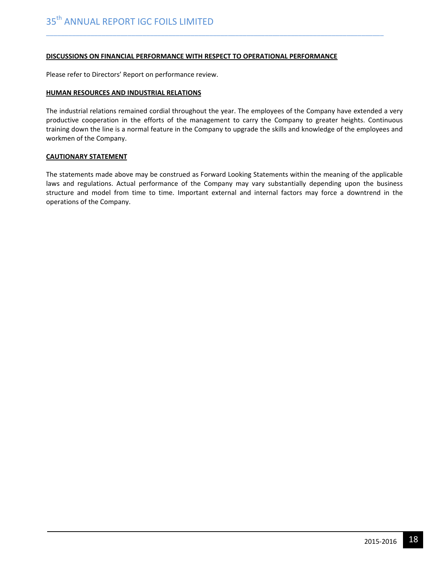#### **DISCUSSIONS ON FINANCIAL PERFORMANCE WITH RESPECT TO OPERATIONAL PERFORMANCE**

 $\_$  ,  $\_$  ,  $\_$  ,  $\_$  ,  $\_$  ,  $\_$  ,  $\_$  ,  $\_$  ,  $\_$  ,  $\_$  ,  $\_$  ,  $\_$  ,  $\_$  ,  $\_$  ,  $\_$  ,  $\_$  ,  $\_$  ,  $\_$  ,  $\_$  ,  $\_$  ,  $\_$  ,  $\_$  ,  $\_$  ,  $\_$  ,  $\_$  ,  $\_$  ,  $\_$  ,  $\_$  ,  $\_$  ,  $\_$  ,  $\_$  ,  $\_$  ,  $\_$  ,  $\_$  ,  $\_$  ,  $\_$  ,  $\_$  ,

Please refer to Directors' Report on performance review.

#### **HUMAN RESOURCES AND INDUSTRIAL RELATIONS**

The industrial relations remained cordial throughout the year. The employees of the Company have extended a very productive cooperation in the efforts of the management to carry the Company to greater heights. Continuous training down the line is a normal feature in the Company to upgrade the skills and knowledge of the employees and workmen of the Company.

#### **CAUTIONARY STATEMENT**

The statements made above may be construed as Forward Looking Statements within the meaning of the applicable laws and regulations. Actual performance of the Company may vary substantially depending upon the business structure and model from time to time. Important external and internal factors may force a downtrend in the operations of the Company.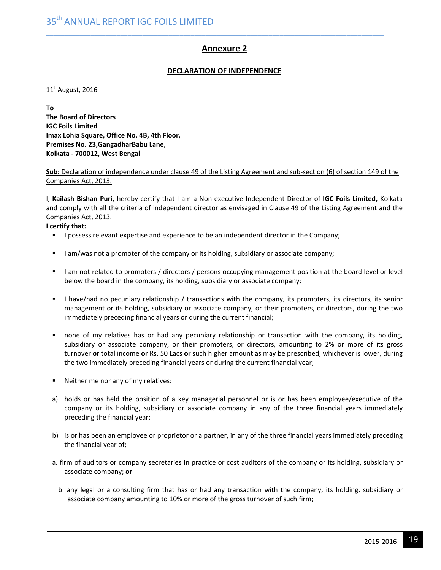## **Annexure 2**

 $\_$  ,  $\_$  ,  $\_$  ,  $\_$  ,  $\_$  ,  $\_$  ,  $\_$  ,  $\_$  ,  $\_$  ,  $\_$  ,  $\_$  ,  $\_$  ,  $\_$  ,  $\_$  ,  $\_$  ,  $\_$  ,  $\_$  ,  $\_$  ,  $\_$  ,  $\_$  ,  $\_$  ,  $\_$  ,  $\_$  ,  $\_$  ,  $\_$  ,  $\_$  ,  $\_$  ,  $\_$  ,  $\_$  ,  $\_$  ,  $\_$  ,  $\_$  ,  $\_$  ,  $\_$  ,  $\_$  ,  $\_$  ,  $\_$  ,

#### **DECLARATION OF INDEPENDENCE**

 $11<sup>th</sup>$ August, 2016

 $\mathbf{To}$ **The Board of Directors IGC Foils Limited Imax Lohia Square, Office No. 4B, 4th Floor, Premises No. 23,GangadharBabu Lane, Kolkata ‐ 700012, West Bengal**

#### **Sub:** Declaration of independence under clause 49 of the Listing Agreement and sub‐section (6) of section 149 of the Companies Act, 2013.

I, **Kailash Bishan Puri,** hereby certify that I am a Non‐executive Independent Director of **IGC Foils Limited,** Kolkata and comply with all the criteria of independent director as envisaged in Clause 49 of the Listing Agreement and the Companies Act, 2013.

**I certify that:**

- **I** possess relevant expertise and experience to be an independent director in the Company;
- I am/was not a promoter of the company or its holding, subsidiary or associate company;
- I am not related to promoters / directors / persons occupying management position at the board level or level below the board in the company, its holding, subsidiary or associate company;
- I have/had no pecuniary relationship / transactions with the company, its promoters, its directors, its senior management or its holding, subsidiary or associate company, or their promoters, or directors, during the two immediately preceding financial years or during the current financial;
- none of my relatives has or had any pecuniary relationship or transaction with the company, its holding, subsidiary or associate company, or their promoters, or directors, amounting to 2% or more of its gross turnover **or** total income **or** Rs. 50 Lacs **or** such higher amount as may be prescribed, whichever is lower, during the two immediately preceding financial years or during the current financial year;
- Neither me nor any of my relatives:
- a) holds or has held the position of a key managerial personnel or is or has been employee/executive of the company or its holding, subsidiary or associate company in any of the three financial years immediately preceding the financial year;
- b) is or has been an employee or proprietor or a partner, in any of the three financial years immediately preceding the financial year of;
- a. firm of auditors or company secretaries in practice or cost auditors of the company or its holding, subsidiary or associate company; **or**
	- b. any legal or a consulting firm that has or had any transaction with the company, its holding, subsidiary or associate company amounting to 10% or more of the gross turnover of such firm;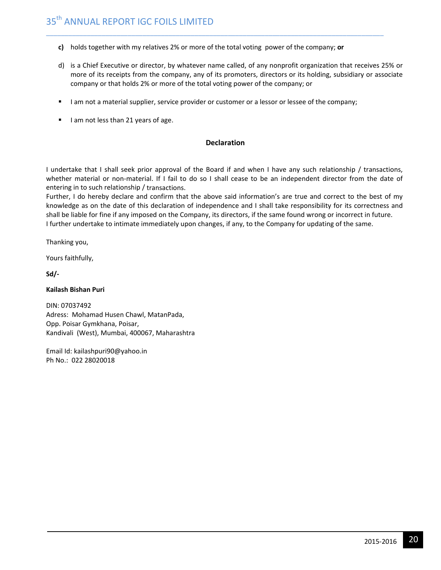**c)** holds together with my relatives 2% or more of the total voting power of the company; or

 $\_$  ,  $\_$  ,  $\_$  ,  $\_$  ,  $\_$  ,  $\_$  ,  $\_$  ,  $\_$  ,  $\_$  ,  $\_$  ,  $\_$  ,  $\_$  ,  $\_$  ,  $\_$  ,  $\_$  ,  $\_$  ,  $\_$  ,  $\_$  ,  $\_$  ,  $\_$  ,  $\_$  ,  $\_$  ,  $\_$  ,  $\_$  ,  $\_$  ,  $\_$  ,  $\_$  ,  $\_$  ,  $\_$  ,  $\_$  ,  $\_$  ,  $\_$  ,  $\_$  ,  $\_$  ,  $\_$  ,  $\_$  ,  $\_$  ,

- d) is a Chief Executive or director, by whatever name called, of any nonprofit organization that receives 25% or more of its receipts from the company, any of its promoters, directors or its holding, subsidiary or associate company or that holds 2% or more of the total voting power of the company; or
- I am not a material supplier, service provider or customer or a lessor or lessee of the company;
- I am not less than 21 years of age.

#### **Declaration**

I undertake that I shall seek prior approval of the Board if and when I have any such relationship / transactions, whether material or non-material. If I fail to do so I shall cease to be an independent director from the date of entering in to such relationship / transactions.

Further, I do hereby declare and confirm that the above said information's are true and correct to the best of my knowledge as on the date of this declaration of independence and I shall take responsibility for its correctness and shall be liable for fine if any imposed on the Company, its directors, if the same found wrong or incorrect in future. I further undertake to intimate immediately upon changes, if any, to the Company for updating of the same.

Thanking you,

Yours faithfully,

**Sd/‐** 

**Kailash Bishan Puri**

DIN: 07037492 Adress: Mohamad Husen Chawl, MatanPada, Opp. Poisar Gymkhana, Poisar, Kandivali (West), Mumbai, 400067, Maharashtra

Email Id: kailashpuri90@yahoo.in Ph No.: 022 28020018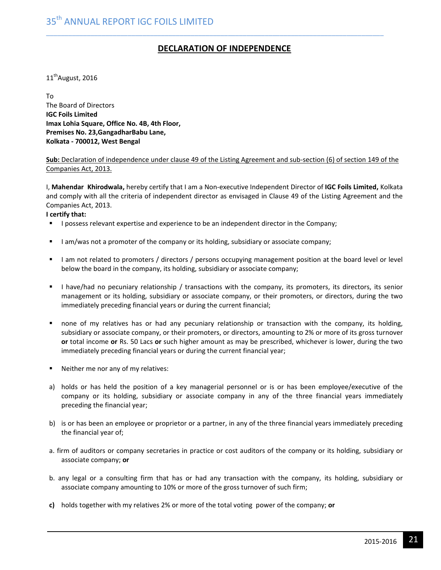## **DECLARATION OF INDEPENDENCE**

 $\_$  ,  $\_$  ,  $\_$  ,  $\_$  ,  $\_$  ,  $\_$  ,  $\_$  ,  $\_$  ,  $\_$  ,  $\_$  ,  $\_$  ,  $\_$  ,  $\_$  ,  $\_$  ,  $\_$  ,  $\_$  ,  $\_$  ,  $\_$  ,  $\_$  ,  $\_$  ,  $\_$  ,  $\_$  ,  $\_$  ,  $\_$  ,  $\_$  ,  $\_$  ,  $\_$  ,  $\_$  ,  $\_$  ,  $\_$  ,  $\_$  ,  $\_$  ,  $\_$  ,  $\_$  ,  $\_$  ,  $\_$  ,  $\_$  ,

11<sup>th</sup>August, 2016

To The Board of Directors **IGC Foils Limited Imax Lohia Square, Office No. 4B, 4th Floor, Premises No. 23,GangadharBabu Lane, Kolkata ‐ 700012, West Bengal**

#### **Sub:** Declaration of independence under clause 49 of the Listing Agreement and sub‐section (6) of section 149 of the Companies Act, 2013.

I, **Mahendar Khirodwala,** hereby certify that I am a Non‐executive Independent Director of **IGC Foils Limited,** Kolkata and comply with all the criteria of independent director as envisaged in Clause 49 of the Listing Agreement and the Companies Act, 2013.

#### **I certify that:**

- **I** possess relevant expertise and experience to be an independent director in the Company;
- I am/was not a promoter of the company or its holding, subsidiary or associate company;
- I am not related to promoters / directors / persons occupying management position at the board level or level below the board in the company, its holding, subsidiary or associate company;
- I have/had no pecuniary relationship / transactions with the company, its promoters, its directors, its senior management or its holding, subsidiary or associate company, or their promoters, or directors, during the two immediately preceding financial years or during the current financial;
- none of my relatives has or had any pecuniary relationship or transaction with the company, its holding, subsidiary or associate company, or their promoters, or directors, amounting to 2% or more of its gross turnover **or** total income **or** Rs. 50 Lacs **or** such higher amount as may be prescribed, whichever is lower, during the two immediately preceding financial years or during the current financial year;
- Neither me nor any of my relatives:
- a) holds or has held the position of a key managerial personnel or is or has been employee/executive of the company or its holding, subsidiary or associate company in any of the three financial years immediately preceding the financial year;
- b) is or has been an employee or proprietor or a partner, in any of the three financial years immediately preceding the financial year of;
- a. firm of auditors or company secretaries in practice or cost auditors of the company or its holding, subsidiary or associate company; **or**
- b. any legal or a consulting firm that has or had any transaction with the company, its holding, subsidiary or associate company amounting to 10% or more of the gross turnover of such firm;
- **c)** holds together with my relatives 2% or more of the total voting power of the company; **or**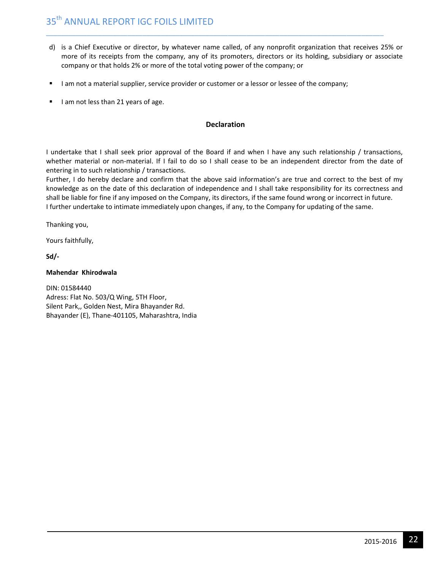## 35<sup>th</sup> ANNUAL REPORT IGC FOILS LIMITED

d) is a Chief Executive or director, by whatever name called, of any nonprofit organization that receives 25% or more of its receipts from the company, any of its promoters, directors or its holding, subsidiary or associate company or that holds 2% or more of the total voting power of the company; or

 $\_$  ,  $\_$  ,  $\_$  ,  $\_$  ,  $\_$  ,  $\_$  ,  $\_$  ,  $\_$  ,  $\_$  ,  $\_$  ,  $\_$  ,  $\_$  ,  $\_$  ,  $\_$  ,  $\_$  ,  $\_$  ,  $\_$  ,  $\_$  ,  $\_$  ,  $\_$  ,  $\_$  ,  $\_$  ,  $\_$  ,  $\_$  ,  $\_$  ,  $\_$  ,  $\_$  ,  $\_$  ,  $\_$  ,  $\_$  ,  $\_$  ,  $\_$  ,  $\_$  ,  $\_$  ,  $\_$  ,  $\_$  ,  $\_$  ,

- I am not a material supplier, service provider or customer or a lessor or lessee of the company;
- I am not less than 21 years of age.

#### **Declaration**

I undertake that I shall seek prior approval of the Board if and when I have any such relationship / transactions, whether material or non-material. If I fail to do so I shall cease to be an independent director from the date of entering in to such relationship / transactions.

Further, I do hereby declare and confirm that the above said information's are true and correct to the best of my knowledge as on the date of this declaration of independence and I shall take responsibility for its correctness and shall be liable for fine if any imposed on the Company, its directors, if the same found wrong or incorrect in future. I further undertake to intimate immediately upon changes, if any, to the Company for updating of the same.

Thanking you,

Yours faithfully,

**Sd/‐** 

#### **Mahendar Khirodwala**

DIN: 01584440 Adress: Flat No. 503/Q Wing, 5TH Floor, Silent Park,, Golden Nest, Mira Bhayander Rd. Bhayander (E), Thane‐401105, Maharashtra, India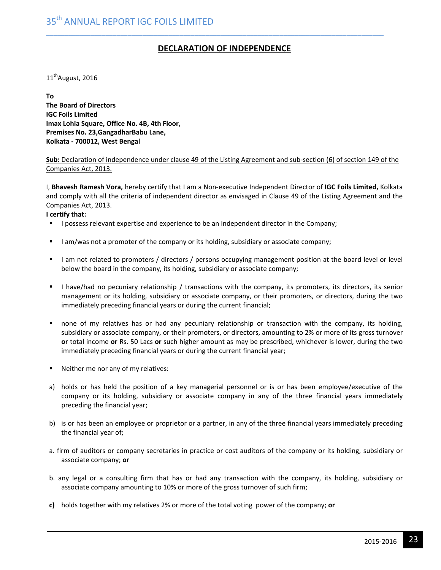## **DECLARATION OF INDEPENDENCE**

 $\_$  ,  $\_$  ,  $\_$  ,  $\_$  ,  $\_$  ,  $\_$  ,  $\_$  ,  $\_$  ,  $\_$  ,  $\_$  ,  $\_$  ,  $\_$  ,  $\_$  ,  $\_$  ,  $\_$  ,  $\_$  ,  $\_$  ,  $\_$  ,  $\_$  ,  $\_$  ,  $\_$  ,  $\_$  ,  $\_$  ,  $\_$  ,  $\_$  ,  $\_$  ,  $\_$  ,  $\_$  ,  $\_$  ,  $\_$  ,  $\_$  ,  $\_$  ,  $\_$  ,  $\_$  ,  $\_$  ,  $\_$  ,  $\_$  ,

11<sup>th</sup>August, 2016

 $\mathbf{To}$ **The Board of Directors IGC Foils Limited Imax Lohia Square, Office No. 4B, 4th Floor, Premises No. 23,GangadharBabu Lane, Kolkata ‐ 700012, West Bengal**

#### **Sub:** Declaration of independence under clause 49 of the Listing Agreement and sub‐section (6) of section 149 of the Companies Act, 2013.

I, **Bhavesh Ramesh Vora,** hereby certify that I am a Non‐executive Independent Director of **IGC Foils Limited,** Kolkata and comply with all the criteria of independent director as envisaged in Clause 49 of the Listing Agreement and the Companies Act, 2013.

#### **I certify that:**

- **I** possess relevant expertise and experience to be an independent director in the Company;
- I am/was not a promoter of the company or its holding, subsidiary or associate company;
- I am not related to promoters / directors / persons occupying management position at the board level or level below the board in the company, its holding, subsidiary or associate company;
- I have/had no pecuniary relationship / transactions with the company, its promoters, its directors, its senior management or its holding, subsidiary or associate company, or their promoters, or directors, during the two immediately preceding financial years or during the current financial;
- none of my relatives has or had any pecuniary relationship or transaction with the company, its holding, subsidiary or associate company, or their promoters, or directors, amounting to 2% or more of its gross turnover **or** total income **or** Rs. 50 Lacs **or** such higher amount as may be prescribed, whichever is lower, during the two immediately preceding financial years or during the current financial year;
- Neither me nor any of my relatives:
- a) holds or has held the position of a key managerial personnel or is or has been employee/executive of the company or its holding, subsidiary or associate company in any of the three financial years immediately preceding the financial year;
- b) is or has been an employee or proprietor or a partner, in any of the three financial years immediately preceding the financial year of;
- a. firm of auditors or company secretaries in practice or cost auditors of the company or its holding, subsidiary or associate company; **or**
- b. any legal or a consulting firm that has or had any transaction with the company, its holding, subsidiary or associate company amounting to 10% or more of the gross turnover of such firm;
- **c)** holds together with my relatives 2% or more of the total voting power of the company; **or**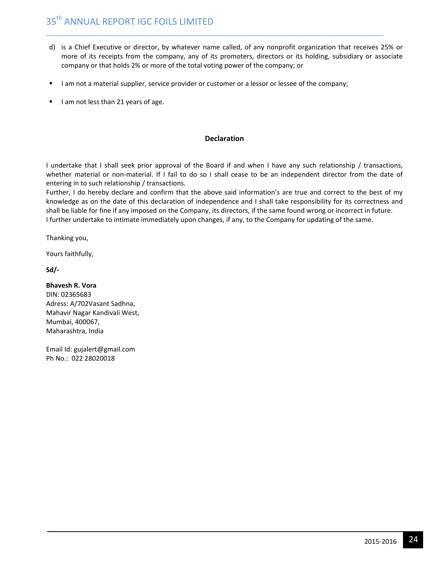## 35<sup>th</sup> ANNUAL REPORT IGC FOILS LIMITED

d) is a Chief Executive or director, by whatever name called, of any nonprofit organization that receives 25% or more of its receipts from the company, any of its promoters, directors or its holding, subsidiary or associate company or that holds 2% or more of the total voting power of the company; or

 $\_$  ,  $\_$  ,  $\_$  ,  $\_$  ,  $\_$  ,  $\_$  ,  $\_$  ,  $\_$  ,  $\_$  ,  $\_$  ,  $\_$  ,  $\_$  ,  $\_$  ,  $\_$  ,  $\_$  ,  $\_$  ,  $\_$  ,  $\_$  ,  $\_$  ,  $\_$  ,  $\_$  ,  $\_$  ,  $\_$  ,  $\_$  ,  $\_$  ,  $\_$  ,  $\_$  ,  $\_$  ,  $\_$  ,  $\_$  ,  $\_$  ,  $\_$  ,  $\_$  ,  $\_$  ,  $\_$  ,  $\_$  ,  $\_$  ,

- I am not a material supplier, service provider or customer or a lessor or lessee of the company;
- I am not less than 21 years of age.

#### **Declaration**

I undertake that I shall seek prior approval of the Board if and when I have any such relationship / transactions, whether material or non-material. If I fail to do so I shall cease to be an independent director from the date of entering in to such relationship / transactions.

Further, I do hereby declare and confirm that the above said information's are true and correct to the best of my knowledge as on the date of this declaration of independence and I shall take responsibility for its correctness and shall be liable for fine if any imposed on the Company, its directors, if the same found wrong or incorrect in future. I further undertake to intimate immediately upon changes, if any, to the Company for updating of the same.

Thanking you,

Yours faithfully,

**Sd/‐** 

**Bhavesh R. Vora** DIN: 02365683 Adress: A/702Vasant Sadhna, Mahavir Nagar Kandivali West, Mumbai, 400067, Maharashtra, India

Email Id: gujalert@gmail.com Ph No.: 022 28020018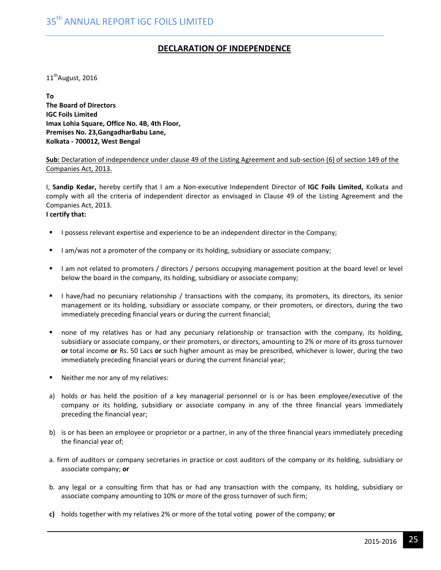## **DECLARATION OF INDEPENDENCE**

 $\_$  ,  $\_$  ,  $\_$  ,  $\_$  ,  $\_$  ,  $\_$  ,  $\_$  ,  $\_$  ,  $\_$  ,  $\_$  ,  $\_$  ,  $\_$  ,  $\_$  ,  $\_$  ,  $\_$  ,  $\_$  ,  $\_$  ,  $\_$  ,  $\_$  ,  $\_$  ,  $\_$  ,  $\_$  ,  $\_$  ,  $\_$  ,  $\_$  ,  $\_$  ,  $\_$  ,  $\_$  ,  $\_$  ,  $\_$  ,  $\_$  ,  $\_$  ,  $\_$  ,  $\_$  ,  $\_$  ,  $\_$  ,  $\_$  ,

11<sup>th</sup>August, 2016

 $\mathbf{To}$ **The Board of Directors IGC Foils Limited Imax Lohia Square, Office No. 4B, 4th Floor, Premises No. 23,GangadharBabu Lane, Kolkata ‐ 700012, West Bengal**

#### **Sub:** Declaration of independence under clause 49 of the Listing Agreement and sub‐section (6) of section 149 of the Companies Act, 2013.

I, **Sandip Kedar,** hereby certify that I am a Non‐executive Independent Director of **IGC Foils Limited,** Kolkata and comply with all the criteria of independent director as envisaged in Clause 49 of the Listing Agreement and the Companies Act, 2013. **I certify that:**

- I possess relevant expertise and experience to be an independent director in the Company;
- I am/was not a promoter of the company or its holding, subsidiary or associate company;
- I am not related to promoters / directors / persons occupying management position at the board level or level below the board in the company, its holding, subsidiary or associate company;
- I have/had no pecuniary relationship / transactions with the company, its promoters, its directors, its senior management or its holding, subsidiary or associate company, or their promoters, or directors, during the two immediately preceding financial years or during the current financial;
- none of my relatives has or had any pecuniary relationship or transaction with the company, its holding, subsidiary or associate company, or their promoters, or directors, amounting to 2% or more of its gross turnover **or** total income **or** Rs. 50 Lacs **or** such higher amount as may be prescribed, whichever is lower, during the two immediately preceding financial years or during the current financial year;
- Neither me nor any of my relatives:
- a) holds or has held the position of a key managerial personnel or is or has been employee/executive of the company or its holding, subsidiary or associate company in any of the three financial years immediately preceding the financial year;
- b) is or has been an employee or proprietor or a partner, in any of the three financial years immediately preceding the financial year of;
- a. firm of auditors or company secretaries in practice or cost auditors of the company or its holding, subsidiary or associate company; **or**
- b. any legal or a consulting firm that has or had any transaction with the company, its holding, subsidiary or associate company amounting to 10% or more of the gross turnover of such firm;
- **c)** holds together with my relatives 2% or more of the total voting power of the company; **or**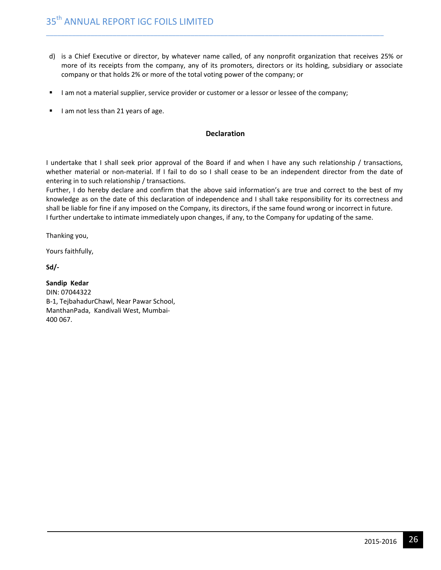d) is a Chief Executive or director, by whatever name called, of any nonprofit organization that receives 25% or more of its receipts from the company, any of its promoters, directors or its holding, subsidiary or associate company or that holds 2% or more of the total voting power of the company; or

 $\_$  ,  $\_$  ,  $\_$  ,  $\_$  ,  $\_$  ,  $\_$  ,  $\_$  ,  $\_$  ,  $\_$  ,  $\_$  ,  $\_$  ,  $\_$  ,  $\_$  ,  $\_$  ,  $\_$  ,  $\_$  ,  $\_$  ,  $\_$  ,  $\_$  ,  $\_$  ,  $\_$  ,  $\_$  ,  $\_$  ,  $\_$  ,  $\_$  ,  $\_$  ,  $\_$  ,  $\_$  ,  $\_$  ,  $\_$  ,  $\_$  ,  $\_$  ,  $\_$  ,  $\_$  ,  $\_$  ,  $\_$  ,  $\_$  ,

- I am not a material supplier, service provider or customer or a lessor or lessee of the company;
- I am not less than 21 years of age.

#### **Declaration**

I undertake that I shall seek prior approval of the Board if and when I have any such relationship / transactions, whether material or non-material. If I fail to do so I shall cease to be an independent director from the date of entering in to such relationship / transactions.

Further, I do hereby declare and confirm that the above said information's are true and correct to the best of my knowledge as on the date of this declaration of independence and I shall take responsibility for its correctness and shall be liable for fine if any imposed on the Company, its directors, if the same found wrong or incorrect in future. I further undertake to intimate immediately upon changes, if any, to the Company for updating of the same.

Thanking you,

Yours faithfully,

**Sd/‐** 

**Sandip Kedar** DIN: 07044322 B‐1, TejbahadurChawl, Near Pawar School, ManthanPada, Kandivali West, Mumbai‐ 400 067.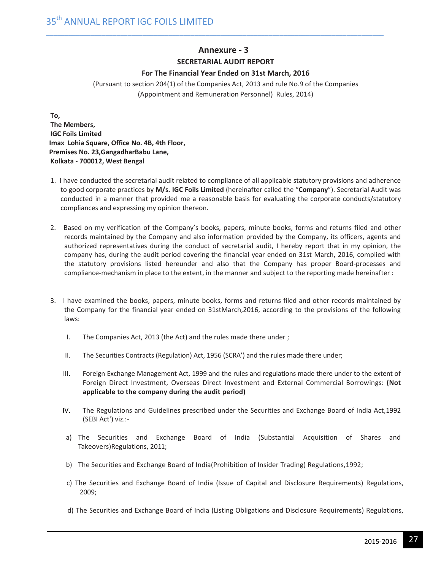### **Annexure ‐ 3**

 $\_$  ,  $\_$  ,  $\_$  ,  $\_$  ,  $\_$  ,  $\_$  ,  $\_$  ,  $\_$  ,  $\_$  ,  $\_$  ,  $\_$  ,  $\_$  ,  $\_$  ,  $\_$  ,  $\_$  ,  $\_$  ,  $\_$  ,  $\_$  ,  $\_$  ,  $\_$  ,  $\_$  ,  $\_$  ,  $\_$  ,  $\_$  ,  $\_$  ,  $\_$  ,  $\_$  ,  $\_$  ,  $\_$  ,  $\_$  ,  $\_$  ,  $\_$  ,  $\_$  ,  $\_$  ,  $\_$  ,  $\_$  ,  $\_$  ,

#### **SECRETARIAL AUDIT REPORT**

#### **For The Financial Year Ended on 31st March, 2016**

(Pursuant to section 204(1) of the Companies Act, 2013 and rule No.9 of the Companies (Appointment and Remuneration Personnel) Rules, 2014)

**To, The Members, IGC Foils Limited Imax Lohia Square, Office No. 4B, 4th Floor, Premises No. 23,GangadharBabu Lane, Kolkata ‐ 700012, West Bengal**

- 1. I have conducted the secretarial audit related to compliance of all applicable statutory provisions and adherence to good corporate practices by **M/s. IGC Foils Limited** (hereinafter called the "**Company**"). Secretarial Audit was conducted in a manner that provided me a reasonable basis for evaluating the corporate conducts/statutory compliances and expressing my opinion thereon.
- 2. Based on my verification of the Company's books, papers, minute books, forms and returns filed and other records maintained by the Company and also information provided by the Company, its officers, agents and authorized representatives during the conduct of secretarial audit, I hereby report that in my opinion, the company has, during the audit period covering the financial year ended on 31st March, 2016, complied with the statutory provisions listed hereunder and also that the Company has proper Board‐processes and compliance-mechanism in place to the extent, in the manner and subject to the reporting made hereinafter :
- 3. I have examined the books, papers, minute books, forms and returns filed and other records maintained by the Company for the financial year ended on 31stMarch,2016, according to the provisions of the following laws:
	- I. The Companies Act, 2013 (the Act) and the rules made there under ;
	- II. The Securities Contracts (Regulation) Act, 1956 (SCRA') and the rules made there under;
	- III. Foreign Exchange Management Act, 1999 and the rules and regulations made there under to the extent of Foreign Direct Investment, Overseas Direct Investment and External Commercial Borrowings: **(Not applicable to the company during the audit period)**
	- IV. The Regulations and Guidelines prescribed under the Securities and Exchange Board of India Act,1992 (SEBI Act') viz.:‐
	- a) The Securities and Exchange Board of India (Substantial Acquisition of Shares and Takeovers)Regulations, 2011;
	- b) The Securities and Exchange Board of India(Prohibition of Insider Trading) Regulations,1992;
	- c) The Securities and Exchange Board of India (Issue of Capital and Disclosure Requirements) Regulations, 2009;
	- d) The Securities and Exchange Board of India (Listing Obligations and Disclosure Requirements) Regulations,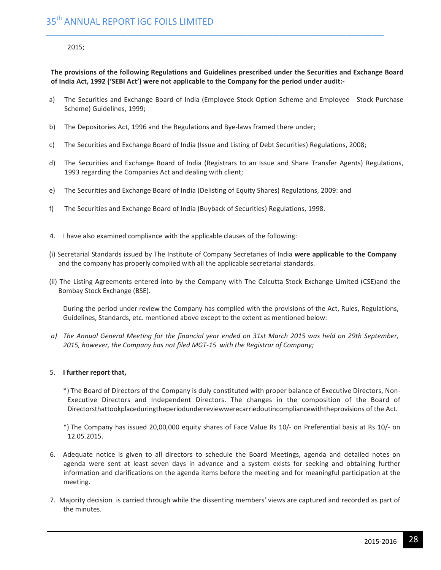#### 2015;

**The provisions of the following Regulations and Guidelines prescribed under the Securities and Exchange Board of India Act, 1992 ('SEBI Act') were not applicable to the Company for the period under audit:‐** 

 $\_$  ,  $\_$  ,  $\_$  ,  $\_$  ,  $\_$  ,  $\_$  ,  $\_$  ,  $\_$  ,  $\_$  ,  $\_$  ,  $\_$  ,  $\_$  ,  $\_$  ,  $\_$  ,  $\_$  ,  $\_$  ,  $\_$  ,  $\_$  ,  $\_$  ,  $\_$  ,  $\_$  ,  $\_$  ,  $\_$  ,  $\_$  ,  $\_$  ,  $\_$  ,  $\_$  ,  $\_$  ,  $\_$  ,  $\_$  ,  $\_$  ,  $\_$  ,  $\_$  ,  $\_$  ,  $\_$  ,  $\_$  ,  $\_$  ,

- a) The Securities and Exchange Board of India (Employee Stock Option Scheme and Employee Stock Purchase Scheme) Guidelines, 1999;
- b) The Depositories Act, 1996 and the Regulations and Bye-laws framed there under;
- c) The Securities and Exchange Board of India (Issue and Listing of Debt Securities) Regulations, 2008;
- d) The Securities and Exchange Board of India (Registrars to an Issue and Share Transfer Agents) Regulations, 1993 regarding the Companies Act and dealing with client;
- e) The Securities and Exchange Board of India (Delisting of Equity Shares) Regulations, 2009: and
- f) The Securities and Exchange Board of India (Buyback of Securities) Regulations, 1998.
- 4. I have also examined compliance with the applicable clauses of the following:
- (i) Secretarial Standards issued by The Institute of Company Secretaries of India **were applicable to the Company** and the company has properly complied with all the applicable secretarial standards.
- (ii) The Listing Agreements entered into by the Company with The Calcutta Stock Exchange Limited (CSE)and the Bombay Stock Exchange (BSE).

During the period under review the Company has complied with the provisions of the Act, Rules, Regulations, Guidelines, Standards, etc. mentioned above except to the extent as mentioned below:

a) The Annual General Meeting for the financial year ended on 31st March 2015 was held on 29th September, *2015, however, the Company has not filed MGT‐15 with the Registrar of Company;*

#### 5. **I further report that,**

\*) The Board of Directors of the Company is duly constituted with proper balance of Executive Directors, Non‐ Executive Directors and Independent Directors. The changes in the composition of the Board of Directorsthattookplaceduringtheperiodunderreviewwerecarriedoutincompliancewiththeprovisions of the Act.

\*) The Company has issued 20,00,000 equity shares of Face Value Rs 10/‐ on Preferential basis at Rs 10/‐ on 12.05.2015.

- 6. Adequate notice is given to all directors to schedule the Board Meetings, agenda and detailed notes on agenda were sent at least seven days in advance and a system exists for seeking and obtaining further information and clarifications on the agenda items before the meeting and for meaningful participation at the meeting.
- 7. Majority decision is carried through while the dissenting members' views are captured and recorded as part of the minutes.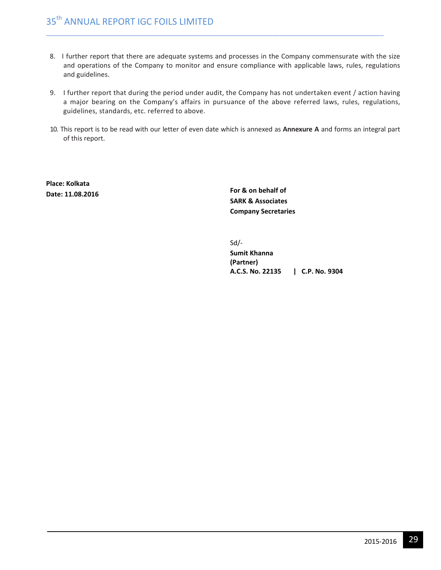8. I further report that there are adequate systems and processes in the Company commensurate with the size and operations of the Company to monitor and ensure compliance with applicable laws, rules, regulations and guidelines.

 $\_$  ,  $\_$  ,  $\_$  ,  $\_$  ,  $\_$  ,  $\_$  ,  $\_$  ,  $\_$  ,  $\_$  ,  $\_$  ,  $\_$  ,  $\_$  ,  $\_$  ,  $\_$  ,  $\_$  ,  $\_$  ,  $\_$  ,  $\_$  ,  $\_$  ,  $\_$  ,  $\_$  ,  $\_$  ,  $\_$  ,  $\_$  ,  $\_$  ,  $\_$  ,  $\_$  ,  $\_$  ,  $\_$  ,  $\_$  ,  $\_$  ,  $\_$  ,  $\_$  ,  $\_$  ,  $\_$  ,  $\_$  ,  $\_$  ,

- 9. I further report that during the period under audit, the Company has not undertaken event / action having a major bearing on the Company's affairs in pursuance of the above referred laws, rules, regulations, guidelines, standards, etc. referred to above.
- 10. This report is to be read with our letter of even date which is annexed as **Annexure A** and forms an integral part of this report.

**Place: Kolkata**

**Date: 11.08.2016 For & on behalf of SARK & Associates Company Secretaries**

Sd/‐

**Sumit Khanna (Partner) A.C.S. No. 22135 | C.P. No. 9304**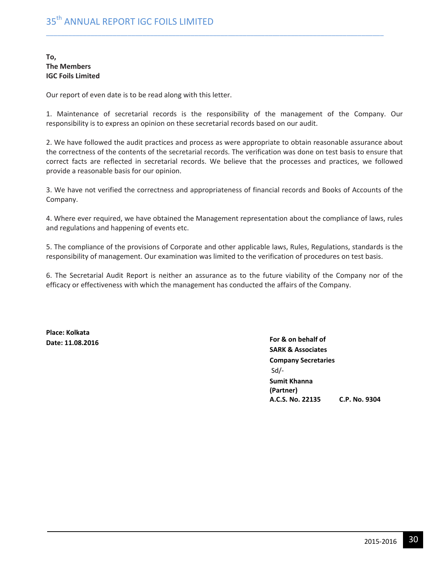#### **To, The Members IGC Foils Limited**

Our report of even date is to be read along with this letter.

1. Maintenance of secretarial records is the responsibility of the management of the Company. Our responsibility is to express an opinion on these secretarial records based on our audit.

 $\_$  ,  $\_$  ,  $\_$  ,  $\_$  ,  $\_$  ,  $\_$  ,  $\_$  ,  $\_$  ,  $\_$  ,  $\_$  ,  $\_$  ,  $\_$  ,  $\_$  ,  $\_$  ,  $\_$  ,  $\_$  ,  $\_$  ,  $\_$  ,  $\_$  ,  $\_$  ,  $\_$  ,  $\_$  ,  $\_$  ,  $\_$  ,  $\_$  ,  $\_$  ,  $\_$  ,  $\_$  ,  $\_$  ,  $\_$  ,  $\_$  ,  $\_$  ,  $\_$  ,  $\_$  ,  $\_$  ,  $\_$  ,  $\_$  ,

2. We have followed the audit practices and process as were appropriate to obtain reasonable assurance about the correctness of the contents of the secretarial records. The verification was done on test basis to ensure that correct facts are reflected in secretarial records. We believe that the processes and practices, we followed provide a reasonable basis for our opinion.

3. We have not verified the correctness and appropriateness of financial records and Books of Accounts of the Company.

4. Where ever required, we have obtained the Management representation about the compliance of laws, rules and regulations and happening of events etc.

5. The compliance of the provisions of Corporate and other applicable laws, Rules, Regulations, standards is the responsibility of management. Our examination was limited to the verification of procedures on test basis.

6. The Secretarial Audit Report is neither an assurance as to the future viability of the Company nor of the efficacy or effectiveness with which the management has conducted the affairs of the Company.

**Place: Kolkata Date: 11.08.2016 For & on behalf of** 

 **SARK & Associates Company Secretaries** Sd/‐  **Sumit Khanna (Partner) A.C.S. No. 22135 C.P. No. 9304**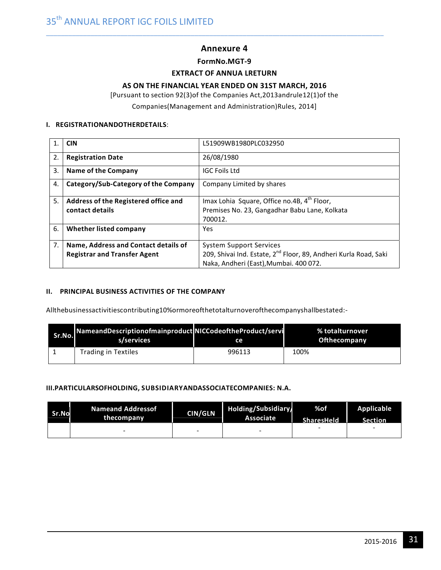## **Annexure 4**

 $\_$  ,  $\_$  ,  $\_$  ,  $\_$  ,  $\_$  ,  $\_$  ,  $\_$  ,  $\_$  ,  $\_$  ,  $\_$  ,  $\_$  ,  $\_$  ,  $\_$  ,  $\_$  ,  $\_$  ,  $\_$  ,  $\_$  ,  $\_$  ,  $\_$  ,  $\_$  ,  $\_$  ,  $\_$  ,  $\_$  ,  $\_$  ,  $\_$  ,  $\_$  ,  $\_$  ,  $\_$  ,  $\_$  ,  $\_$  ,  $\_$  ,  $\_$  ,  $\_$  ,  $\_$  ,  $\_$  ,  $\_$  ,  $\_$  ,

#### **FormNo.MGT‐9**

#### **EXTRACT OF ANNUA LRETURN**

### **AS ON THE FINANCIAL YEAR ENDED ON 31ST MARCH, 2016**

[Pursuant to section 92(3)of the Companies Act,2013andrule12(1)of the Companies(Management and Administration)Rules, 2014]

#### **I. REGISTRATIONANDOTHERDETAILS**:

|    | <b>CIN</b>                           | L51909WB1980PLC032950                                                        |
|----|--------------------------------------|------------------------------------------------------------------------------|
| 2. | <b>Registration Date</b>             | 26/08/1980                                                                   |
| 3. | <b>Name of the Company</b>           | <b>IGC Foils Ltd</b>                                                         |
| 4. | Category/Sub-Category of the Company | Company Limited by shares                                                    |
| 5. | Address of the Registered office and | Imax Lohia Square, Office no.4B, 4 <sup>th</sup> Floor,                      |
|    | contact details                      | Premises No. 23, Gangadhar Babu Lane, Kolkata                                |
|    |                                      | 700012.                                                                      |
| 6. | Whether listed company               | <b>Yes</b>                                                                   |
| 7. | Name, Address and Contact details of | <b>System Support Services</b>                                               |
|    | <b>Registrar and Transfer Agent</b>  | 209, Shivai Ind. Estate, 2 <sup>nd</sup> Floor, 89, Andheri Kurla Road, Saki |
|    |                                      | Naka, Andheri (East), Mumbai. 400 072.                                       |

#### **II. PRINCIPAL BUSINESS ACTIVITIES OF THE COMPANY**

Allthebusinessactivitiescontributing10%ormoreofthetotalturnoverofthecompanyshallbestated:‐

| Sr.No. | NameandDescriptionofmainproduct NICCodeoftheProduct/servi<br>s/services | ce     | % totalturnover<br>Ofthecompany |
|--------|-------------------------------------------------------------------------|--------|---------------------------------|
|        | <b>Trading in Textiles</b>                                              | 996113 | 100%                            |

#### **III.PARTICULARSOFHOLDING, SUBSIDIARYANDASSOCIATECOMPANIES: N.A.**

| Sr.No | <b>Nameand Addressof</b><br>thecompany | <b>CIN/GLN</b> | Holding/Subsidiary<br>Associate | %of<br>SharesHeld | Applicable<br>Section |
|-------|----------------------------------------|----------------|---------------------------------|-------------------|-----------------------|
|       | $\sim$                                 |                | -                               |                   |                       |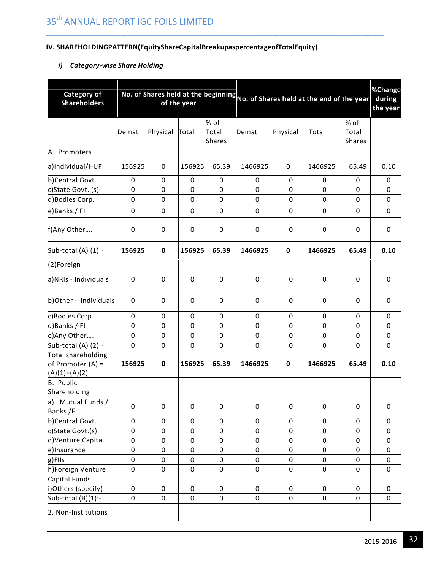## **IV. SHAREHOLDINGPATTERN(EquityShareCapitalBreakupaspercentageofTotalEquity)**

 $\_$  ,  $\_$  ,  $\_$  ,  $\_$  ,  $\_$  ,  $\_$  ,  $\_$  ,  $\_$  ,  $\_$  ,  $\_$  ,  $\_$  ,  $\_$  ,  $\_$  ,  $\_$  ,  $\_$  ,  $\_$  ,  $\_$  ,  $\_$  ,  $\_$  ,  $\_$  ,  $\_$  ,  $\_$  ,  $\_$  ,  $\_$  ,  $\_$  ,  $\_$  ,  $\_$  ,  $\_$  ,  $\_$  ,  $\_$  ,  $\_$  ,  $\_$  ,  $\_$  ,  $\_$  ,  $\_$  ,  $\_$  ,  $\_$  ,

#### *i) Category‐wise Share Holding*

| <b>Category of</b><br><b>Shareholders</b>                    |             |                  | of the year |                         | No. of Shares held at the beginning No. of Shares held at the end of the year |             |                  | %Change<br>during<br>the year |             |
|--------------------------------------------------------------|-------------|------------------|-------------|-------------------------|-------------------------------------------------------------------------------|-------------|------------------|-------------------------------|-------------|
|                                                              | Demat       | Physical         | Total       | % of<br>Total<br>Shares | Demat                                                                         | Physical    | Total            | % of<br>Total<br>Shares       |             |
| A. Promoters                                                 |             |                  |             |                         |                                                                               |             |                  |                               |             |
| a)Individual/HUF                                             | 156925      | 0                | 156925      | 65.39                   | 1466925                                                                       | 0           | 1466925          | 65.49                         | 0.10        |
| b)Central Govt.                                              | 0           | 0                | $\mathbf 0$ | 0                       | 0                                                                             | 0           | 0                | 0                             | 0           |
| c)State Govt. (s)                                            | 0           | $\mathbf 0$      | 0           | 0                       | 0                                                                             | 0           | $\mathbf 0$      | $\mathbf 0$                   | 0           |
| d)Bodies Corp.                                               | 0           | $\boldsymbol{0}$ | 0           | 0                       | $\boldsymbol{0}$                                                              | $\mathbf 0$ | $\boldsymbol{0}$ | $\mathbf 0$                   | 0           |
| e)Banks / FI                                                 | 0           | $\mathbf 0$      | $\mathbf 0$ | $\mathbf 0$             | 0                                                                             | 0           | $\mathbf 0$      | $\mathbf 0$                   | 0           |
| f)Any Other                                                  | 0           | $\mathbf 0$      | $\mathbf 0$ | $\boldsymbol{0}$        | 0                                                                             | 0           | $\boldsymbol{0}$ | $\mathbf 0$                   | 0           |
| Sub-total (A) (1):-                                          | 156925      | 0                | 156925      | 65.39                   | 1466925                                                                       | 0           | 1466925          | 65.49                         | 0.10        |
| (2)Foreign                                                   |             |                  |             |                         |                                                                               |             |                  |                               |             |
| a)NRIs - Individuals                                         | $\mathbf 0$ | 0                | $\mathbf 0$ | 0                       | 0                                                                             | 0           | 0                | 0                             | 0           |
| b) Other - Individuals                                       | 0           | 0                | $\mathbf 0$ | 0                       | 0                                                                             | 0           | 0                | $\mathbf 0$                   | 0           |
| c)Bodies Corp.                                               | 0           | $\boldsymbol{0}$ | 0           | 0                       | 0                                                                             | $\mathbf 0$ | $\boldsymbol{0}$ | 0                             | 0           |
| d)Banks / FI                                                 | 0           | 0                | 0           | 0                       | 0                                                                             | 0           | 0                | 0                             | 0           |
| e)Any Other                                                  | 0           | 0                | 0           | 0                       | 0                                                                             | 0           | 0                | $\mathbf 0$                   | 0           |
| Sub-total (A) (2):-                                          | 0           | $\mathbf 0$      | 0           | 0                       | 0                                                                             | 0           | $\boldsymbol{0}$ | $\mathbf 0$                   | 0           |
| Total shareholding<br>of Promoter $(A) =$<br>$(A)(1)+(A)(2)$ | 156925      | 0                | 156925      | 65.39                   | 1466925                                                                       | 0           | 1466925          | 65.49                         | 0.10        |
| <b>B.</b> Public<br>Shareholding                             |             |                  |             |                         |                                                                               |             |                  |                               |             |
| a) Mutual Funds /<br>Banks /FI                               | $\pmb{0}$   | $\pmb{0}$        | 0           | 0                       | 0                                                                             | $\pmb{0}$   | $\boldsymbol{0}$ | $\pmb{0}$                     | $\pmb{0}$   |
| b)Central Govt.                                              | 0           | 0                | $\mathbf 0$ | 0                       | 0                                                                             | 0           | 0                | 0                             | 0           |
| c)State Govt.(s)                                             | 0           | $\boldsymbol{0}$ | 0           | 0                       | $\boldsymbol{0}$                                                              | $\mathbf 0$ | $\boldsymbol{0}$ | $\mathbf 0$                   | $\mathbf 0$ |
| d) Venture Capital                                           | 0           | $\mathbf 0$      | 0           | 0                       | $\boldsymbol{0}$                                                              | $\mathbf 0$ | $\boldsymbol{0}$ | $\mathbf 0$                   | 0           |
| e)Insurance                                                  | 0           | $\boldsymbol{0}$ | 0           | 0                       | $\boldsymbol{0}$                                                              | $\pmb{0}$   | $\boldsymbol{0}$ | $\mathbf 0$                   | $\pmb{0}$   |
| g)FIIs                                                       | 0           | 0                | 0           | 0                       | 0                                                                             | 0           | 0                | $\mathbf 0$                   | 0           |
| h)Foreign Venture                                            | 0           | 0                | 0           | 0                       | 0                                                                             | 0           | $\boldsymbol{0}$ | 0                             | 0           |
| Capital Funds                                                |             |                  |             |                         |                                                                               |             |                  |                               |             |
| i)Others (specify)                                           | 0           | 0                | $\mathbf 0$ | $\boldsymbol{0}$        | 0                                                                             | 0           | $\boldsymbol{0}$ | $\mathbf 0$                   | 0           |
| Sub-total $(B)(1)$ :-                                        | 0           | 0                | 0           | 0                       | 0                                                                             | 0           | $\boldsymbol{0}$ | $\mathbf 0$                   | 0           |
| 2. Non-Institutions                                          |             |                  |             |                         |                                                                               |             |                  |                               |             |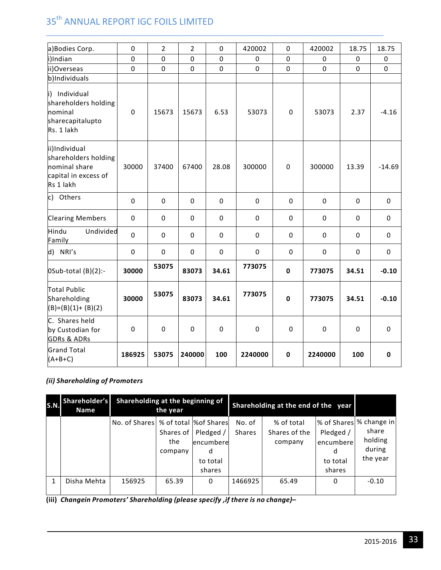## 35th ANNUAL REPORT IGC FOILS LIMITED

| a) Bodies Corp.                                                                             | $\mathbf 0$ | $\overline{2}$ | $\overline{2}$ | $\Omega$    | 420002      | $\mathbf 0$  | 420002      | 18.75       | 18.75       |
|---------------------------------------------------------------------------------------------|-------------|----------------|----------------|-------------|-------------|--------------|-------------|-------------|-------------|
| i)Indian                                                                                    | 0           | $\mathbf 0$    | $\mathbf 0$    | $\mathbf 0$ | $\mathbf 0$ | $\mathbf 0$  | 0           | $\mathbf 0$ | 0           |
| ii)Overseas                                                                                 | 0           | $\mathbf 0$    | $\mathbf 0$    | $\mathbf 0$ | $\mathbf 0$ | $\mathbf 0$  | $\mathbf 0$ | $\mathbf 0$ | 0           |
| b)Individuals                                                                               |             |                |                |             |             |              |             |             |             |
| i) Individual<br>shareholders holding<br>nominal<br>sharecapitalupto<br>Rs. 1 lakh          | $\pmb{0}$   | 15673          | 15673          | 6.53        | 53073       | $\mathbf 0$  | 53073       | 2.37        | $-4.16$     |
| ii)Individual<br>shareholders holding<br>nominal share<br>capital in excess of<br>Rs 1 lakh | 30000       | 37400          | 67400          | 28.08       | 300000      | $\mathbf 0$  | 300000      | 13.39       | $-14.69$    |
| c) Others                                                                                   | $\mathbf 0$ | 0              | $\Omega$       | $\Omega$    | $\mathbf 0$ | 0            | $\mathbf 0$ | $\Omega$    | 0           |
| <b>Clearing Members</b>                                                                     | $\pmb{0}$   | 0              | $\mathbf 0$    | $\mathbf 0$ | 0           | 0            | 0           | $\mathbf 0$ | 0           |
| Undivided<br>Hindu<br>Family                                                                | $\pmb{0}$   | 0              | $\mathbf 0$    | $\mathbf 0$ | $\mathbf 0$ | $\mathbf 0$  | $\mathbf 0$ | $\mathbf 0$ | 0           |
| d) NRI's                                                                                    | $\mathbf 0$ | 0              | $\mathbf 0$    | $\mathbf 0$ | $\mathbf 0$ | 0            | $\mathbf 0$ | $\mathbf 0$ | 0           |
| $OSub-total(B)(2)$ :-                                                                       | 30000       | 53075          | 83073          | 34.61       | 773075      | $\mathbf 0$  | 773075      | 34.51       | $-0.10$     |
| <b>Total Public</b><br>Shareholding<br>$(B)=(B)(1)+(B)(2)$                                  | 30000       | 53075          | 83073          | 34.61       | 773075      | $\mathbf{0}$ | 773075      | 34.51       | $-0.10$     |
| C. Shares held<br>by Custodian for<br><b>GDRs &amp; ADRs</b>                                | $\pmb{0}$   | $\pmb{0}$      | $\mathbf 0$    | $\mathbf 0$ | $\pmb{0}$   | $\mathbf 0$  | $\mathbf 0$ | $\mathbf 0$ | 0           |
| <b>Grand Total</b><br>$(A+B+C)$                                                             | 186925      | 53075          | 240000         | 100         | 2240000     | $\mathbf 0$  | 2240000     | 100         | $\mathbf 0$ |

 $\_$  ,  $\_$  ,  $\_$  ,  $\_$  ,  $\_$  ,  $\_$  ,  $\_$  ,  $\_$  ,  $\_$  ,  $\_$  ,  $\_$  ,  $\_$  ,  $\_$  ,  $\_$  ,  $\_$  ,  $\_$  ,  $\_$  ,  $\_$  ,  $\_$  ,  $\_$  ,  $\_$  ,  $\_$  ,  $\_$  ,  $\_$  ,  $\_$  ,  $\_$  ,  $\_$  ,  $\_$  ,  $\_$  ,  $\_$  ,  $\_$  ,  $\_$  ,  $\_$  ,  $\_$  ,  $\_$  ,  $\_$  ,  $\_$  ,

## *(ii) Shareholding of Promoters*

| <b>S.N.</b> | Shareholder's<br><b>Name</b> | Shareholding at the beginning of<br>the year |           |            | Shareholding at the end of the year |               |           |                         |  |
|-------------|------------------------------|----------------------------------------------|-----------|------------|-------------------------------------|---------------|-----------|-------------------------|--|
|             |                              | No. of Shares   % of total   % of Shares     |           |            | No. of                              | % of total    |           | % of Shares % change in |  |
|             |                              |                                              | Shares of | Pledged /  | <b>Shares</b>                       | Shares of the | Pledged / | share                   |  |
|             |                              |                                              | the       | lencumbere |                                     | company       | encumbere | holding                 |  |
|             |                              |                                              | company   | d          |                                     |               | d         | during                  |  |
|             |                              |                                              |           | to total   |                                     |               | to total  | the year                |  |
|             |                              |                                              |           | shares     |                                     |               | shares    |                         |  |
|             | Disha Mehta                  | 156925                                       | 65.39     | 0          | 1466925                             | 65.49         | 0         | $-0.10$                 |  |
|             |                              |                                              |           |            |                                     |               |           |                         |  |

**(iii)** *Changein Promoters' Shareholding (please specify ,if there is no change)–*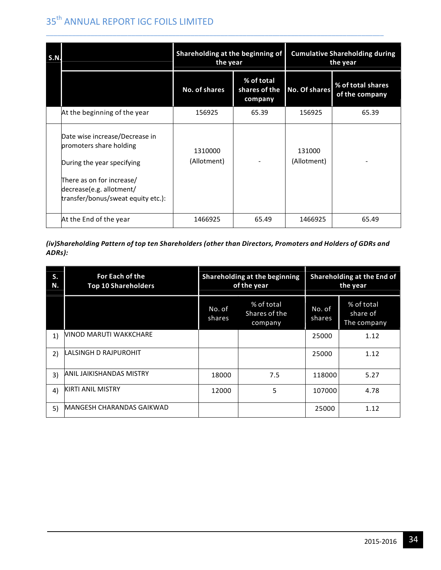## 35<sup>th</sup> ANNUAL REPORT IGC FOILS LIMITED

| S.N. |                                                                                                                                                                                        | Shareholding at the beginning of<br>the year |                                        | <b>Cumulative Shareholding during</b><br>the year |                                     |  |
|------|----------------------------------------------------------------------------------------------------------------------------------------------------------------------------------------|----------------------------------------------|----------------------------------------|---------------------------------------------------|-------------------------------------|--|
|      |                                                                                                                                                                                        | No. of shares                                | % of total<br>shares of the<br>company | No. Of shares                                     | % of total shares<br>of the company |  |
|      | At the beginning of the year                                                                                                                                                           | 156925                                       | 65.39                                  | 156925                                            | 65.39                               |  |
|      | Date wise increase/Decrease in<br>promoters share holding<br>During the year specifying<br>There as on for increase/<br>decrease(e.g. allotment/<br>transfer/bonus/sweat equity etc.): | 1310000<br>(Allotment)                       |                                        | 131000<br>(Allotment)                             |                                     |  |
|      | At the End of the year                                                                                                                                                                 | 1466925                                      | 65.49                                  | 1466925                                           | 65.49                               |  |

 $\_$  ,  $\_$  ,  $\_$  ,  $\_$  ,  $\_$  ,  $\_$  ,  $\_$  ,  $\_$  ,  $\_$  ,  $\_$  ,  $\_$  ,  $\_$  ,  $\_$  ,  $\_$  ,  $\_$  ,  $\_$  ,  $\_$  ,  $\_$  ,  $\_$  ,  $\_$  ,  $\_$  ,  $\_$  ,  $\_$  ,  $\_$  ,  $\_$  ,  $\_$  ,  $\_$  ,  $\_$  ,  $\_$  ,  $\_$  ,  $\_$  ,  $\_$  ,  $\_$  ,  $\_$  ,  $\_$  ,  $\_$  ,  $\_$  ,

*(iv)Shareholding Pattern of top ten Shareholders (other than Directors, Promoters and Holders of GDRs and ADRs):*

| S.<br>N. | For Each of the<br><b>Top 10 Shareholders</b> |                  | Shareholding at the beginning<br>of the year | Shareholding at the End of<br>the year |                                       |  |
|----------|-----------------------------------------------|------------------|----------------------------------------------|----------------------------------------|---------------------------------------|--|
|          |                                               | No. of<br>shares | % of total<br>Shares of the<br>company       | No. of<br>shares                       | % of total<br>share of<br>The company |  |
| 1)       | VINOD MARUTI WAKKCHARE                        |                  |                                              | 25000                                  | 1.12                                  |  |
| 2)       | LALSINGH D RAJPUROHIT                         |                  |                                              | 25000                                  | 1.12                                  |  |
| 3)       | ANIL JAIKISHANDAS MISTRY                      | 18000            | 7.5                                          | 118000                                 | 5.27                                  |  |
| 4)       | <b>KIRTI ANIL MISTRY</b>                      | 12000            | 5                                            | 107000                                 | 4.78                                  |  |
| 5)       | MANGESH CHARANDAS GAIKWAD                     |                  |                                              | 25000                                  | 1.12                                  |  |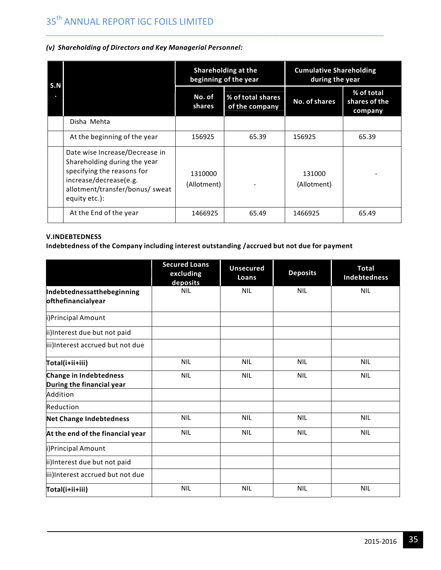*(v) Shareholding of Directors and Key Managerial Personnel:*

| S.N |                                                                                                                                                                            | Shareholding at the<br>beginning of the year |                                     | <b>Cumulative Shareholding</b><br>during the year |                                        |
|-----|----------------------------------------------------------------------------------------------------------------------------------------------------------------------------|----------------------------------------------|-------------------------------------|---------------------------------------------------|----------------------------------------|
|     |                                                                                                                                                                            | No. of<br>shares                             | % of total shares<br>of the company | No. of shares                                     | % of total<br>shares of the<br>company |
|     | Disha Mehta                                                                                                                                                                |                                              |                                     |                                                   |                                        |
|     | At the beginning of the year                                                                                                                                               | 156925                                       | 65.39                               | 156925                                            | 65.39                                  |
|     | Date wise Increase/Decrease in<br>Shareholding during the year<br>specifying the reasons for<br>increase/decrease(e.g.<br>allotment/transfer/bonus/ sweat<br>equity etc.): | 1310000<br>(Allotment)                       |                                     | 131000<br>(Allotment)                             |                                        |
|     | At the End of the year                                                                                                                                                     | 1466925                                      | 65.49                               | 1466925                                           | 65.49                                  |

 $\_$  ,  $\_$  ,  $\_$  ,  $\_$  ,  $\_$  ,  $\_$  ,  $\_$  ,  $\_$  ,  $\_$  ,  $\_$  ,  $\_$  ,  $\_$  ,  $\_$  ,  $\_$  ,  $\_$  ,  $\_$  ,  $\_$  ,  $\_$  ,  $\_$  ,  $\_$  ,  $\_$  ,  $\_$  ,  $\_$  ,  $\_$  ,  $\_$  ,  $\_$  ,  $\_$  ,  $\_$  ,  $\_$  ,  $\_$  ,  $\_$  ,  $\_$  ,  $\_$  ,  $\_$  ,  $\_$  ,  $\_$  ,  $\_$  ,

#### **V.INDEBTEDNESS**

**Indebtedness of the Company including interest outstanding /accrued but not due for payment**

|                                                     | <b>Secured Loans</b><br>excluding<br>deposits | <b>Unsecured</b><br>Loans | <b>Deposits</b> | <b>Total</b><br><b>Indebtedness</b> |
|-----------------------------------------------------|-----------------------------------------------|---------------------------|-----------------|-------------------------------------|
| Indebtednessatthebeginning<br>ofthefinancialyear    | <b>NIL</b>                                    | <b>NIL</b>                | <b>NIL</b>      | <b>NIL</b>                          |
| i)Principal Amount                                  |                                               |                           |                 |                                     |
| ii)Interest due but not paid                        |                                               |                           |                 |                                     |
| iii)Interest accrued but not due                    |                                               |                           |                 |                                     |
| Total(i+ii+iii)                                     | <b>NIL</b>                                    | <b>NIL</b>                | <b>NIL</b>      | <b>NIL</b>                          |
| Change in Indebtedness<br>During the financial year | <b>NIL</b>                                    | <b>NIL</b>                | <b>NIL</b>      | <b>NIL</b>                          |
| Addition                                            |                                               |                           |                 |                                     |
| Reduction                                           |                                               |                           |                 |                                     |
| <b>Net Change Indebtedness</b>                      | <b>NIL</b>                                    | <b>NIL</b>                | <b>NIL</b>      | <b>NIL</b>                          |
| At the end of the financial year                    | <b>NIL</b>                                    | <b>NIL</b>                | <b>NIL</b>      | <b>NIL</b>                          |
| i)Principal Amount                                  |                                               |                           |                 |                                     |
| ii)Interest due but not paid                        |                                               |                           |                 |                                     |
| iii)Interest accrued but not due                    |                                               |                           |                 |                                     |
| Total(i+ii+iii)                                     | <b>NIL</b>                                    | <b>NIL</b>                | <b>NIL</b>      | <b>NIL</b>                          |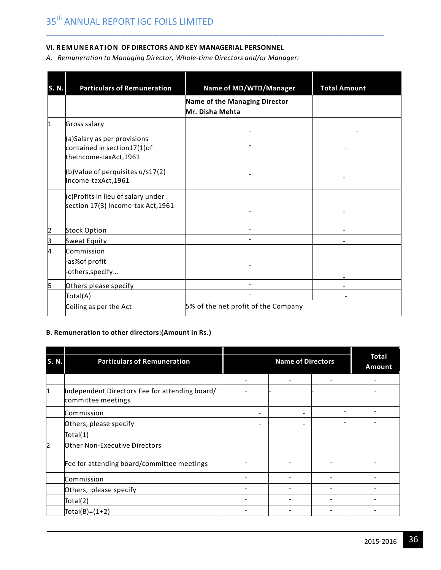### **VI. REMUNERATION OF DIRECTORS AND KEY MANAGERIAL PERSONNEL**

*A. Remuneration to Managing Director, Whole‐time Directors and/or Manager:*

| S. N.          | <b>Particulars of Remuneration</b>                                                  | Name of MD/WTD/Manager                           | <b>Total Amount</b> |  |
|----------------|-------------------------------------------------------------------------------------|--------------------------------------------------|---------------------|--|
|                |                                                                                     | Name of the Managing Director<br>Mr. Disha Mehta |                     |  |
| 1              | Gross salary                                                                        |                                                  |                     |  |
|                | (a)Salary as per provisions<br>contained in section17(1)of<br>theIncome-taxAct,1961 |                                                  |                     |  |
|                | (b)Value of perquisites $u/s17(2)$<br>Income-taxAct,1961                            |                                                  |                     |  |
|                | (c)Profits in lieu of salary under<br>section 17(3) Income-tax Act, 1961            |                                                  |                     |  |
| $\overline{2}$ | <b>Stock Option</b>                                                                 |                                                  |                     |  |
| З              | <b>Sweat Equity</b>                                                                 |                                                  |                     |  |
| 4              | Commission<br>-as%of profit<br>-others, specify                                     |                                                  |                     |  |
| 5              | Others please specify                                                               |                                                  |                     |  |
|                | Total(A)                                                                            |                                                  |                     |  |
|                | Ceiling as per the Act                                                              | 5% of the net profit of the Company              |                     |  |

 $\_$  ,  $\_$  ,  $\_$  ,  $\_$  ,  $\_$  ,  $\_$  ,  $\_$  ,  $\_$  ,  $\_$  ,  $\_$  ,  $\_$  ,  $\_$  ,  $\_$  ,  $\_$  ,  $\_$  ,  $\_$  ,  $\_$  ,  $\_$  ,  $\_$  ,  $\_$  ,  $\_$  ,  $\_$  ,  $\_$  ,  $\_$  ,  $\_$  ,  $\_$  ,  $\_$  ,  $\_$  ,  $\_$  ,  $\_$  ,  $\_$  ,  $\_$  ,  $\_$  ,  $\_$  ,  $\_$  ,  $\_$  ,  $\_$  ,

#### **B. Remuneration to other directors:(Amount in Rs.)**

| S. N. | <b>Particulars of Remuneration</b>                                   | <b>Name of Directors</b> |  | <b>Total</b><br>Amount |
|-------|----------------------------------------------------------------------|--------------------------|--|------------------------|
|       |                                                                      |                          |  |                        |
|       | Independent Directors Fee for attending board/<br>committee meetings |                          |  |                        |
|       | Commission                                                           | ۰                        |  |                        |
|       | Others, please specify                                               | ۳                        |  |                        |
|       | Total(1)                                                             |                          |  |                        |
| I2    | <b>Other Non-Executive Directors</b>                                 |                          |  |                        |
|       | Fee for attending board/committee meetings                           |                          |  |                        |
|       | Commission                                                           |                          |  |                        |
|       | Others, please specify                                               |                          |  |                        |
|       | Total(2)                                                             |                          |  |                        |
|       | $Total(B)=(1+2)$                                                     |                          |  |                        |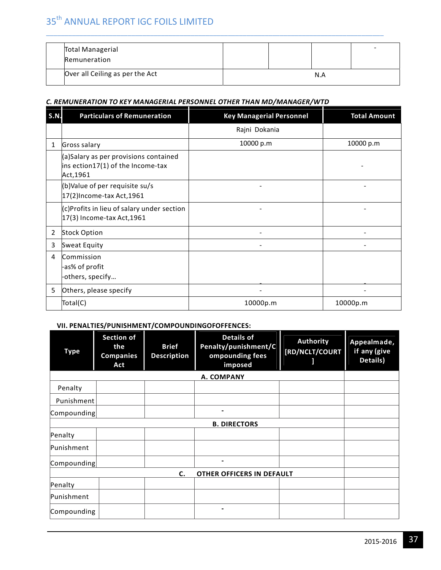## 35<sup>th</sup> ANNUAL REPORT IGC FOILS LIMITED

| <b>Total Managerial</b><br>Remuneration |  |     |  |
|-----------------------------------------|--|-----|--|
| Over all Ceiling as per the Act         |  | N.A |  |

 $\_$  ,  $\_$  ,  $\_$  ,  $\_$  ,  $\_$  ,  $\_$  ,  $\_$  ,  $\_$  ,  $\_$  ,  $\_$  ,  $\_$  ,  $\_$  ,  $\_$  ,  $\_$  ,  $\_$  ,  $\_$  ,  $\_$  ,  $\_$  ,  $\_$  ,  $\_$  ,  $\_$  ,  $\_$  ,  $\_$  ,  $\_$  ,  $\_$  ,  $\_$  ,  $\_$  ,  $\_$  ,  $\_$  ,  $\_$  ,  $\_$  ,  $\_$  ,  $\_$  ,  $\_$  ,  $\_$  ,  $\_$  ,  $\_$  ,

### *C. REMUNERATION TO KEY MANAGERIAL PERSONNEL OTHER THAN MD/MANAGER/WTD*

| <b>S.N.</b> | <b>Particulars of Remuneration</b>                                                      | <b>Key Managerial Personnel</b> | <b>Total Amount</b> |
|-------------|-----------------------------------------------------------------------------------------|---------------------------------|---------------------|
|             |                                                                                         | Rajni Dokania                   |                     |
| 1           | Gross salary                                                                            | 10000 p.m                       | 10000 p.m           |
|             | (a)Salary as per provisions contained<br>ins ection17(1) of the Income-tax<br>Act, 1961 |                                 |                     |
|             | (b)Value of per requisite su/s<br>$17(2)$ Income-tax Act, 1961                          |                                 |                     |
|             | (c)Profits in lieu of salary under section<br>17(3) Income-tax Act, 1961                |                                 |                     |
| 2           | <b>Stock Option</b>                                                                     |                                 |                     |
| 3           | <b>Sweat Equity</b>                                                                     |                                 |                     |
| 4           | Commission<br>-as% of profit<br>-others, specify                                        |                                 |                     |
| 5           | Others, please specify                                                                  |                                 |                     |
|             | Total(C)                                                                                | 10000p.m                        | 10000p.m            |

#### **VII. PENALTIES/PUNISHMENT/COMPOUNDINGOFOFFENCES:**

| <b>Type</b> | <b>Section of</b><br>the<br><b>Companies</b><br>Act | <b>Brief</b><br><b>Description</b> | <b>Details of</b><br>Penalty/punishment/C<br>ompounding fees<br>imposed | <b>Authority</b><br>[RD/NCLT/COURT | Appealmade,<br>if any (give<br>Details) |
|-------------|-----------------------------------------------------|------------------------------------|-------------------------------------------------------------------------|------------------------------------|-----------------------------------------|
|             |                                                     |                                    | A. COMPANY                                                              |                                    |                                         |
| Penalty     |                                                     |                                    |                                                                         |                                    |                                         |
| Punishment  |                                                     |                                    |                                                                         |                                    |                                         |
| Compounding |                                                     |                                    |                                                                         |                                    |                                         |
|             |                                                     |                                    | <b>B. DIRECTORS</b>                                                     |                                    |                                         |
| Penalty     |                                                     |                                    |                                                                         |                                    |                                         |
| Punishment  |                                                     |                                    |                                                                         |                                    |                                         |
| Compounding |                                                     |                                    |                                                                         |                                    |                                         |
|             |                                                     | C.                                 | OTHER OFFICERS IN DEFAULT                                               |                                    |                                         |
| Penalty     |                                                     |                                    |                                                                         |                                    |                                         |
| Punishment  |                                                     |                                    |                                                                         |                                    |                                         |
| Compounding |                                                     |                                    | ۰                                                                       |                                    |                                         |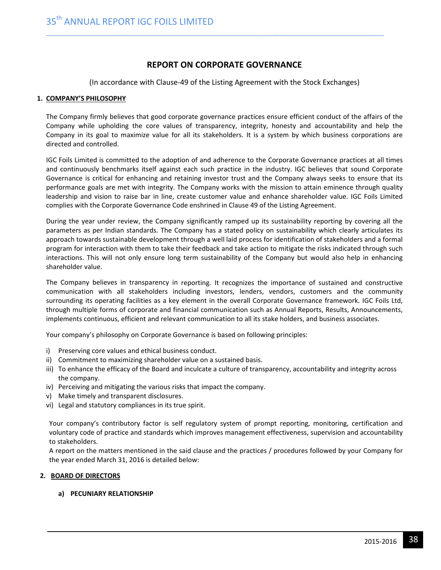### **REPORT ON CORPORATE GOVERNANCE**

 $\_$  ,  $\_$  ,  $\_$  ,  $\_$  ,  $\_$  ,  $\_$  ,  $\_$  ,  $\_$  ,  $\_$  ,  $\_$  ,  $\_$  ,  $\_$  ,  $\_$  ,  $\_$  ,  $\_$  ,  $\_$  ,  $\_$  ,  $\_$  ,  $\_$  ,  $\_$  ,  $\_$  ,  $\_$  ,  $\_$  ,  $\_$  ,  $\_$  ,  $\_$  ,  $\_$  ,  $\_$  ,  $\_$  ,  $\_$  ,  $\_$  ,  $\_$  ,  $\_$  ,  $\_$  ,  $\_$  ,  $\_$  ,  $\_$  ,

#### (In accordance with Clause‐49 of the Listing Agreement with the Stock Exchanges)

#### **1. COMPANY'S PHILOSOPHY**

The Company firmly believes that good corporate governance practices ensure efficient conduct of the affairs of the Company while upholding the core values of transparency, integrity, honesty and accountability and help the Company in its goal to maximize value for all its stakeholders. It is a system by which business corporations are directed and controlled.

IGC Foils Limited is committed to the adoption of and adherence to the Corporate Governance practices at all times and continuously benchmarks itself against each such practice in the industry. IGC believes that sound Corporate Governance is critical for enhancing and retaining investor trust and the Company always seeks to ensure that its performance goals are met with integrity. The Company works with the mission to attain eminence through quality leadership and vision to raise bar in line, create customer value and enhance shareholder value. IGC Foils Limited complies with the Corporate Governance Code enshrined in Clause 49 of the Listing Agreement.

During the year under review, the Company significantly ramped up its sustainability reporting by covering all the parameters as per Indian standards. The Company has a stated policy on sustainability which clearly articulates its approach towards sustainable development through a well laid process for identification of stakeholders and a formal program for interaction with them to take their feedback and take action to mitigate the risks indicated through such interactions. This will not only ensure long term sustainability of the Company but would also help in enhancing shareholder value.

The Company believes in transparency in reporting. It recognizes the importance of sustained and constructive communication with all stakeholders including investors, lenders, vendors, customers and the community surrounding its operating facilities as a key element in the overall Corporate Governance framework. IGC Foils Ltd, through multiple forms of corporate and financial communication such as Annual Reports, Results, Announcements, implements continuous, efficient and relevant communication to all its stake holders, and business associates.

Your company's philosophy on Corporate Governance is based on following principles:

- i) Preserving core values and ethical business conduct.
- ii) Commitment to maximizing shareholder value on a sustained basis.
- iii) To enhance the efficacy of the Board and inculcate a culture of transparency, accountability and integrity across the company.
- iv) Perceiving and mitigating the various risks that impact the company.
- v) Make timely and transparent disclosures.
- vi) Legal and statutory compliances in its true spirit.

Your company's contributory factor is self regulatory system of prompt reporting, monitoring, certification and voluntary code of practice and standards which improves management effectiveness, supervision and accountability to stakeholders.

A report on the matters mentioned in the said clause and the practices / procedures followed by your Company for the year ended March 31, 2016 is detailed below:

#### **2. BOARD OF DIRECTORS**

#### **a) PECUNIARY RELATIONSHIP**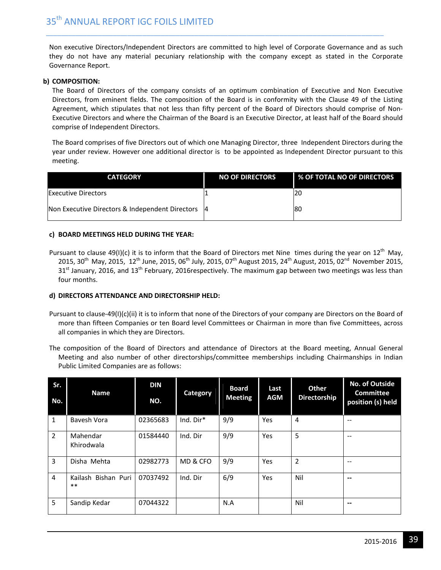Non executive Directors/Independent Directors are committed to high level of Corporate Governance and as such they do not have any material pecuniary relationship with the company except as stated in the Corporate Governance Report.

 $\_$  ,  $\_$  ,  $\_$  ,  $\_$  ,  $\_$  ,  $\_$  ,  $\_$  ,  $\_$  ,  $\_$  ,  $\_$  ,  $\_$  ,  $\_$  ,  $\_$  ,  $\_$  ,  $\_$  ,  $\_$  ,  $\_$  ,  $\_$  ,  $\_$  ,  $\_$  ,  $\_$  ,  $\_$  ,  $\_$  ,  $\_$  ,  $\_$  ,  $\_$  ,  $\_$  ,  $\_$  ,  $\_$  ,  $\_$  ,  $\_$  ,  $\_$  ,  $\_$  ,  $\_$  ,  $\_$  ,  $\_$  ,  $\_$  ,

#### **b) COMPOSITION:**

The Board of Directors of the company consists of an optimum combination of Executive and Non Executive Directors, from eminent fields. The composition of the Board is in conformity with the Clause 49 of the Listing Agreement, which stipulates that not less than fifty percent of the Board of Directors should comprise of Non‐ Executive Directors and where the Chairman of the Board is an Executive Director, at least half of the Board should comprise of Independent Directors.

The Board comprises of five Directors out of which one Managing Director, three Independent Directors during the year under review. However one additional director is to be appointed as Independent Director pursuant to this meeting.

| <b>CATEGORY</b>                                 |     | <b>NO OF DIRECTORS</b> | <b>% OF TOTAL NO OF DIRECTORS</b> |
|-------------------------------------------------|-----|------------------------|-----------------------------------|
| <b>Executive Directors</b>                      |     |                        | I2C                               |
| Non Executive Directors & Independent Directors | -14 |                        | 18C                               |

#### **c) BOARD MEETINGS HELD DURING THE YEAR:**

Pursuant to clause 49(I)(c) it is to inform that the Board of Directors met Nine times during the vear on  $12^{th}$  Mav. 2015, 30<sup>th</sup> May, 2015, 12<sup>th</sup> June, 2015, 06<sup>th</sup> July, 2015, 07<sup>th</sup> August 2015, 24<sup>th</sup> August, 2015, 02<sup>nd</sup> November 2015,  $31<sup>st</sup>$  January, 2016, and  $13<sup>th</sup>$  February, 2016respectively. The maximum gap between two meetings was less than four months.

#### **d) DIRECTORS ATTENDANCE AND DIRECTORSHIP HELD:**

- Pursuant to clause-49(I)(c)(ii) it is to inform that none of the Directors of your company are Directors on the Board of more than fifteen Companies or ten Board level Committees or Chairman in more than five Committees, across all companies in which they are Directors.
- The composition of the Board of Directors and attendance of Directors at the Board meeting, Annual General Meeting and also number of other directorships/committee memberships including Chairmanships in Indian Public Limited Companies are as follows:

| Sr.<br>No.     | Name                         | <b>DIN</b><br>NO. | Category  | <b>Board</b><br><b>Meeting</b> | Last<br><b>AGM</b> | <b>Other</b><br><b>Directorship</b> | No. of Outside<br><b>Committee</b><br>position (s) held |
|----------------|------------------------------|-------------------|-----------|--------------------------------|--------------------|-------------------------------------|---------------------------------------------------------|
| 1              | Bavesh Vora                  | 02365683          | Ind. Dir* | 9/9                            | Yes                | 4                                   | $-$                                                     |
| $\overline{2}$ | Mahendar<br>Khirodwala       | 01584440          | Ind. Dir  | 9/9                            | Yes                | 5                                   | --                                                      |
| 3              | Disha Mehta                  | 02982773          | MD & CFO  | 9/9                            | Yes                | $\overline{2}$                      | --                                                      |
| 4              | Kailash Bishan Puri<br>$***$ | 07037492          | Ind. Dir  | 6/9                            | Yes                | Nil                                 | --                                                      |
| 5 <sup>5</sup> | Sandip Kedar                 | 07044322          |           | N.A                            |                    | Nil                                 | --                                                      |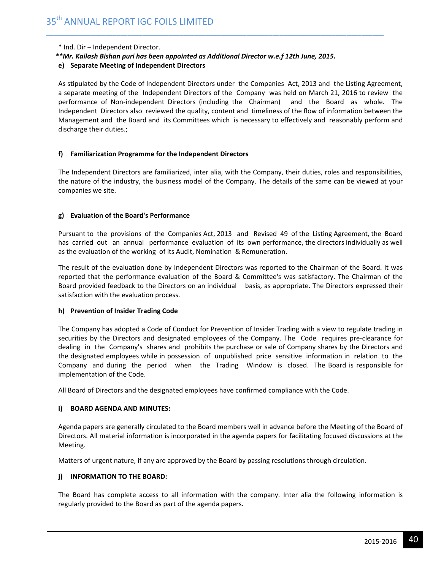#### \* Ind. Dir – Independent Director.

*\*\*Mr. Kailash Bishan puri has been appointed as Additional Director w.e.f 12th June, 2015.*

 $\_$  ,  $\_$  ,  $\_$  ,  $\_$  ,  $\_$  ,  $\_$  ,  $\_$  ,  $\_$  ,  $\_$  ,  $\_$  ,  $\_$  ,  $\_$  ,  $\_$  ,  $\_$  ,  $\_$  ,  $\_$  ,  $\_$  ,  $\_$  ,  $\_$  ,  $\_$  ,  $\_$  ,  $\_$  ,  $\_$  ,  $\_$  ,  $\_$  ,  $\_$  ,  $\_$  ,  $\_$  ,  $\_$  ,  $\_$  ,  $\_$  ,  $\_$  ,  $\_$  ,  $\_$  ,  $\_$  ,  $\_$  ,  $\_$  ,

#### **e) Separate Meeting of Independent Directors**

As stipulated by the Code of Independent Directors under the Companies Act, 2013 and the Listing Agreement, a separate meeting of the Independent Directors of the Company was held on March 21, 2016 to review the performance of Non-independent Directors (including the Chairman) and the Board as whole. The Independent Directors also reviewed the quality, content and timeliness of the flow of information between the Management and the Board and its Committees which is necessary to effectively and reasonably perform and discharge their duties.;

#### **f) Familiarization Programme for the Independent Directors**

The Independent Directors are familiarized, inter alia, with the Company, their duties, roles and responsibilities, the nature of the industry, the business model of the Company. The details of the same can be viewed at your companies we site.

#### **g) Evaluation of the Board's Performance**

Pursuant to the provisions of the Companies Act, 2013 and Revised 49 of the Listing Agreement, the Board has carried out an annual performance evaluation of its own performance, the directors individually as well as the evaluation of the working of its Audit, Nomination & Remuneration.

The result of the evaluation done by Independent Directors was reported to the Chairman of the Board. It was reported that the performance evaluation of the Board & Committee's was satisfactory. The Chairman of the Board provided feedback to the Directors on an individual basis, as appropriate. The Directors expressed their satisfaction with the evaluation process.

#### **h) Prevention of Insider Trading Code**

The Company has adopted a Code of Conduct for Prevention of Insider Trading with a view to regulate trading in securities by the Directors and designated employees of the Company. The Code requires pre-clearance for dealing in the Company's shares and prohibits the purchase or sale of Company shares by the Directors and the designated employees while in possession of unpublished price sensitive information in relation to the Company and during the period when the Trading Window is closed. The Board is responsible for implementation of the Code.

All Board of Directors and the designated employees have confirmed compliance with the Code.

#### **i) BOARD AGENDA AND MINUTES:**

Agenda papers are generally circulated to the Board members well in advance before the Meeting of the Board of Directors. All material information is incorporated in the agenda papers for facilitating focused discussions at the Meeting.

Matters of urgent nature, if any are approved by the Board by passing resolutions through circulation.

#### **j) INFORMATION TO THE BOARD:**

The Board has complete access to all information with the company. Inter alia the following information is regularly provided to the Board as part of the agenda papers.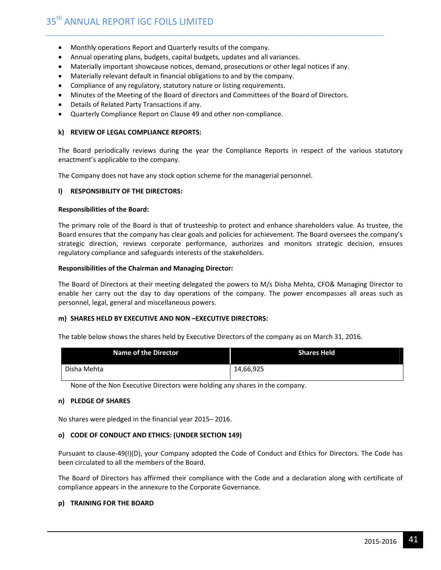- Monthly operations Report and Quarterly results of the company.
- Annual operating plans, budgets, capital budgets, updates and all variances.
- Materially important showcause notices, demand, prosecutions or other legal notices if any.

 $\_$  ,  $\_$  ,  $\_$  ,  $\_$  ,  $\_$  ,  $\_$  ,  $\_$  ,  $\_$  ,  $\_$  ,  $\_$  ,  $\_$  ,  $\_$  ,  $\_$  ,  $\_$  ,  $\_$  ,  $\_$  ,  $\_$  ,  $\_$  ,  $\_$  ,  $\_$  ,  $\_$  ,  $\_$  ,  $\_$  ,  $\_$  ,  $\_$  ,  $\_$  ,  $\_$  ,  $\_$  ,  $\_$  ,  $\_$  ,  $\_$  ,  $\_$  ,  $\_$  ,  $\_$  ,  $\_$  ,  $\_$  ,  $\_$  ,

- Materially relevant default in financial obligations to and by the company.
- Compliance of any regulatory, statutory nature or listing requirements.
- Minutes of the Meeting of the Board of directors and Committees of the Board of Directors.
- Details of Related Party Transactions if any.
- Quarterly Compliance Report on Clause 49 and other non‐compliance.

#### **k) REVIEW OF LEGAL COMPLIANCE REPORTS:**

The Board periodically reviews during the year the Compliance Reports in respect of the various statutory enactment's applicable to the company.

The Company does not have any stock option scheme for the managerial personnel.

#### **l) RESPONSIBILITY OF THE DIRECTORS:**

#### **Responsibilities of the Board:**

The primary role of the Board is that of trusteeship to protect and enhance shareholders value. As trustee, the Board ensures that the company has clear goals and policies for achievement. The Board oversees the company's strategic direction, reviews corporate performance, authorizes and monitors strategic decision, ensures regulatory compliance and safeguards interests of the stakeholders.

#### **Responsibilities of the Chairman and Managing Director:**

The Board of Directors at their meeting delegated the powers to M/s Disha Mehta, CFO& Managing Director to enable her carry out the day to day operations of the company. The power encompasses all areas such as personnel, legal, general and miscellaneous powers.

#### **m) SHARES HELD BY EXECUTIVE AND NON –EXECUTIVE DIRECTORS:**

The table below shows the shares held by Executive Directors of the company as on March 31, 2016.

| <b>Name of the Director</b> | <b>Shares Held</b> |
|-----------------------------|--------------------|
| Disha Mehta                 | 14,66,925          |

None of the Non Executive Directors were holding any shares in the company.

#### **n) PLEDGE OF SHARES**

No shares were pledged in the financial year 2015– 2016.

#### **o) CODE OF CONDUCT AND ETHICS: (UNDER SECTION 149)**

Pursuant to clause‐49(I)(D), your Company adopted the Code of Conduct and Ethics for Directors. The Code has been circulated to all the members of the Board.

The Board of Directors has affirmed their compliance with the Code and a declaration along with certificate of compliance appears in the annexure to the Corporate Governance.

#### **p) TRAINING FOR THE BOARD**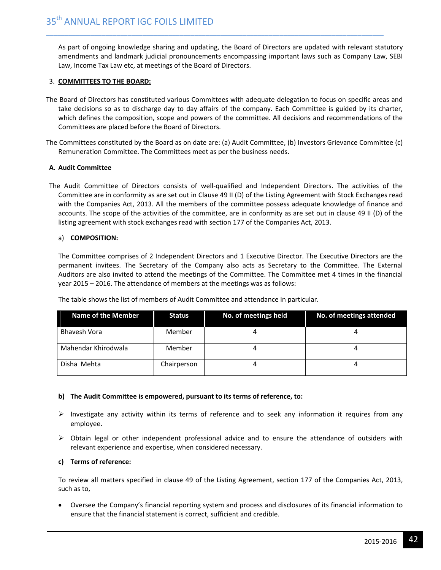As part of ongoing knowledge sharing and updating, the Board of Directors are updated with relevant statutory amendments and landmark judicial pronouncements encompassing important laws such as Company Law, SEBI Law, Income Tax Law etc, at meetings of the Board of Directors.

 $\_$  ,  $\_$  ,  $\_$  ,  $\_$  ,  $\_$  ,  $\_$  ,  $\_$  ,  $\_$  ,  $\_$  ,  $\_$  ,  $\_$  ,  $\_$  ,  $\_$  ,  $\_$  ,  $\_$  ,  $\_$  ,  $\_$  ,  $\_$  ,  $\_$  ,  $\_$  ,  $\_$  ,  $\_$  ,  $\_$  ,  $\_$  ,  $\_$  ,  $\_$  ,  $\_$  ,  $\_$  ,  $\_$  ,  $\_$  ,  $\_$  ,  $\_$  ,  $\_$  ,  $\_$  ,  $\_$  ,  $\_$  ,  $\_$  ,

#### 3. **COMMITTEES TO THE BOARD:**

- The Board of Directors has constituted various Committees with adequate delegation to focus on specific areas and take decisions so as to discharge day to day affairs of the company. Each Committee is guided by its charter, which defines the composition, scope and powers of the committee. All decisions and recommendations of the Committees are placed before the Board of Directors.
- The Committees constituted by the Board as on date are: (a) Audit Committee, (b) Investors Grievance Committee (c) Remuneration Committee. The Committees meet as per the business needs.

#### **A. Audit Committee**

The Audit Committee of Directors consists of well‐qualified and Independent Directors. The activities of the Committee are in conformity as are set out in Clause 49 II (D) of the Listing Agreement with Stock Exchanges read with the Companies Act, 2013. All the members of the committee possess adequate knowledge of finance and accounts. The scope of the activities of the committee, are in conformity as are set out in clause 49 II (D) of the listing agreement with stock exchanges read with section 177 of the Companies Act, 2013.

#### a) **COMPOSITION:**

The Committee comprises of 2 Independent Directors and 1 Executive Director. The Executive Directors are the permanent invitees. The Secretary of the Company also acts as Secretary to the Committee. The External Auditors are also invited to attend the meetings of the Committee. The Committee met 4 times in the financial year 2015 – 2016. The attendance of members at the meetings was as follows:

| <b>Name of the Member</b> | <b>Status</b> | No. of meetings held | No. of meetings attended |
|---------------------------|---------------|----------------------|--------------------------|
| Bhavesh Vora              | Member        |                      |                          |
| Mahendar Khirodwala       | Member        |                      |                          |
| Disha Mehta               | Chairperson   |                      |                          |

The table shows the list of members of Audit Committee and attendance in particular.

#### **b) The Audit Committee is empowered, pursuant to its terms of reference, to:**

- $\triangleright$  Investigate any activity within its terms of reference and to seek any information it requires from any employee.
- $\triangleright$  Obtain legal or other independent professional advice and to ensure the attendance of outsiders with relevant experience and expertise, when considered necessary.

#### **c) Terms of reference:**

To review all matters specified in clause 49 of the Listing Agreement, section 177 of the Companies Act, 2013, such as to,

• Oversee the Company's financial reporting system and process and disclosures of its financial information to ensure that the financial statement is correct, sufficient and credible.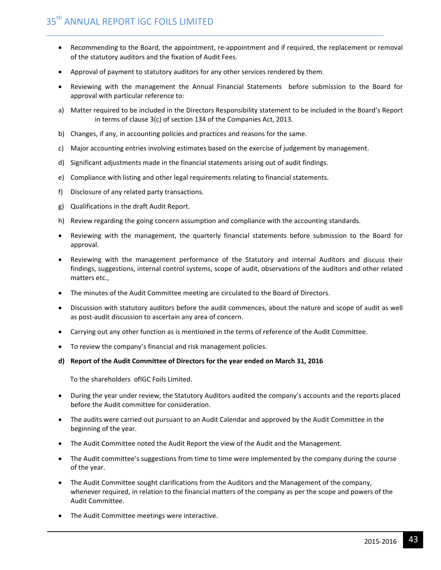• Recommending to the Board, the appointment, re-appointment and if required, the replacement or removal of the statutory auditors and the fixation of Audit Fees.

 $\_$  ,  $\_$  ,  $\_$  ,  $\_$  ,  $\_$  ,  $\_$  ,  $\_$  ,  $\_$  ,  $\_$  ,  $\_$  ,  $\_$  ,  $\_$  ,  $\_$  ,  $\_$  ,  $\_$  ,  $\_$  ,  $\_$  ,  $\_$  ,  $\_$  ,  $\_$  ,  $\_$  ,  $\_$  ,  $\_$  ,  $\_$  ,  $\_$  ,  $\_$  ,  $\_$  ,  $\_$  ,  $\_$  ,  $\_$  ,  $\_$  ,  $\_$  ,  $\_$  ,  $\_$  ,  $\_$  ,  $\_$  ,  $\_$  ,

- Approval of payment to statutory auditors for any other services rendered by them.
- Reviewing with the management the Annual Financial Statements before submission to the Board for approval with particular reference to:
- a) Matter required to be included in the Directors Responsibility statement to be included in the Board's Report in terms of clause 3(c) of section 134 of the Companies Act, 2013.
- b) Changes, if any, in accounting policies and practices and reasons for the same.
- c) Major accounting entries involving estimates based on the exercise of judgement by management.
- d) Significant adjustments made in the financial statements arising out of audit findings.
- e) Compliance with listing and other legal requirements relating to financial statements.
- f) Disclosure of any related party transactions.
- g) Qualifications in the draft Audit Report.
- h) Review regarding the going concern assumption and compliance with the accounting standards.
- Reviewing with the management, the quarterly financial statements before submission to the Board for approval.
- Reviewing with the management performance of the Statutory and internal Auditors and discuss their findings, suggestions, internal control systems, scope of audit, observations of the auditors and other related matters etc.,
- The minutes of the Audit Committee meeting are circulated to the Board of Directors.
- Discussion with statutory auditors before the audit commences, about the nature and scope of audit as well as post‐audit discussion to ascertain any area of concern.
- Carrying out any other function as is mentioned in the terms of reference of the Audit Committee.
- To review the company's financial and risk management policies.
- **d) Report of the Audit Committee of Directors for the year ended on March 31, 2016**

To the shareholders ofIGC Foils Limited.

- During the year under review, the Statutory Auditors audited the company's accounts and the reports placed before the Audit committee for consideration.
- The audits were carried out pursuant to an Audit Calendar and approved by the Audit Committee in the beginning of the year.
- The Audit Committee noted the Audit Report the view of the Audit and the Management.
- The Audit committee's suggestions from time to time were implemented by the company during the course of the year.
- The Audit Committee sought clarifications from the Auditors and the Management of the company, whenever required, in relation to the financial matters of the company as per the scope and powers of the Audit Committee.
- The Audit Committee meetings were interactive.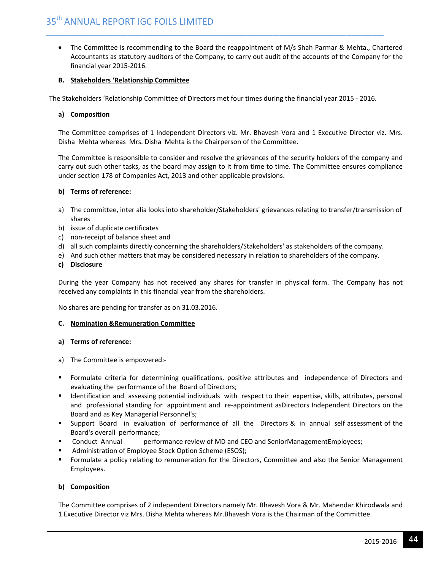• The Committee is recommending to the Board the reappointment of M/s Shah Parmar & Mehta., Chartered Accountants as statutory auditors of the Company, to carry out audit of the accounts of the Company for the financial year 2015‐2016.

#### **B. Stakeholders 'Relationship Committee**

The Stakeholders 'Relationship Committee of Directors met four times during the financial year 2015 ‐ 2016.

 $\_$  ,  $\_$  ,  $\_$  ,  $\_$  ,  $\_$  ,  $\_$  ,  $\_$  ,  $\_$  ,  $\_$  ,  $\_$  ,  $\_$  ,  $\_$  ,  $\_$  ,  $\_$  ,  $\_$  ,  $\_$  ,  $\_$  ,  $\_$  ,  $\_$  ,  $\_$  ,  $\_$  ,  $\_$  ,  $\_$  ,  $\_$  ,  $\_$  ,  $\_$  ,  $\_$  ,  $\_$  ,  $\_$  ,  $\_$  ,  $\_$  ,  $\_$  ,  $\_$  ,  $\_$  ,  $\_$  ,  $\_$  ,  $\_$  ,

#### **a) Composition**

The Committee comprises of 1 Independent Directors viz. Mr. Bhavesh Vora and 1 Executive Director viz. Mrs. Disha Mehta whereas Mrs. Disha Mehta is the Chairperson of the Committee.

The Committee is responsible to consider and resolve the grievances of the security holders of the company and carry out such other tasks, as the board may assign to it from time to time. The Committee ensures compliance under section 178 of Companies Act, 2013 and other applicable provisions.

#### **b) Terms of reference:**

- a) The committee, inter alia looks into shareholder/Stakeholders' grievances relating to transfer/transmission of shares
- b) issue of duplicate certificates
- c) non‐receipt of balance sheet and
- d) all such complaints directly concerning the shareholders/Stakeholders' as stakeholders of the company.
- e) And such other matters that may be considered necessary in relation to shareholders of the company.
- **c) Disclosure**

During the year Company has not received any shares for transfer in physical form. The Company has not received any complaints in this financial year from the shareholders.

No shares are pending for transfer as on 31.03.2016.

#### **C. Nomination &Remuneration Committee**

#### **a) Terms of reference:**

- a) The Committee is empowered:‐
- Formulate criteria for determining qualifications, positive attributes and independence of Directors and evaluating the performance of the Board of Directors;
- Identification and assessing potential individuals with respect to their expertise, skills, attributes, personal and professional standing for appointment and re‐appointment asDirectors Independent Directors on the Board and as Key Managerial Personnel's;
- Support Board in evaluation of performance of all the Directors & in annual self assessment of the Board's overall performance;
- Conduct Annual performance review of MD and CEO and SeniorManagementEmployees;
- Administration of Employee Stock Option Scheme (ESOS);
- Formulate a policy relating to remuneration for the Directors, Committee and also the Senior Management Employees.

#### **b) Composition**

The Committee comprises of 2 independent Directors namely Mr. Bhavesh Vora & Mr. Mahendar Khirodwala and 1 Executive Director viz Mrs. Disha Mehta whereas Mr.Bhavesh Vora is the Chairman of the Committee.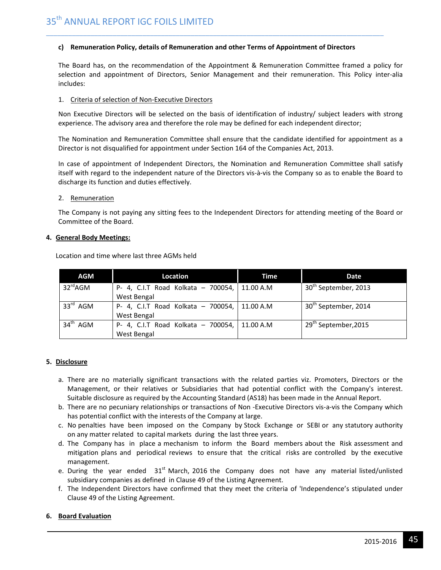#### **c) Remuneration Policy, details of Remuneration and other Terms of Appointment of Directors**

 $\_$  ,  $\_$  ,  $\_$  ,  $\_$  ,  $\_$  ,  $\_$  ,  $\_$  ,  $\_$  ,  $\_$  ,  $\_$  ,  $\_$  ,  $\_$  ,  $\_$  ,  $\_$  ,  $\_$  ,  $\_$  ,  $\_$  ,  $\_$  ,  $\_$  ,  $\_$  ,  $\_$  ,  $\_$  ,  $\_$  ,  $\_$  ,  $\_$  ,  $\_$  ,  $\_$  ,  $\_$  ,  $\_$  ,  $\_$  ,  $\_$  ,  $\_$  ,  $\_$  ,  $\_$  ,  $\_$  ,  $\_$  ,  $\_$  ,

The Board has, on the recommendation of the Appointment & Remuneration Committee framed a policy for selection and appointment of Directors, Senior Management and their remuneration. This Policy inter‐alia includes:

#### 1. Criteria of selection of Non‐Executive Directors

Non Executive Directors will be selected on the basis of identification of industry/ subject leaders with strong experience. The advisory area and therefore the role may be defined for each independent director;

The Nomination and Remuneration Committee shall ensure that the candidate identified for appointment as a Director is not disqualified for appointment under Section 164 of the Companies Act, 2013.

In case of appointment of Independent Directors, the Nomination and Remuneration Committee shall satisfy itself with regard to the independent nature of the Directors vis‐à‐vis the Company so as to enable the Board to discharge its function and duties effectively.

#### 2. Remuneration

The Company is not paying any sitting fees to the Independent Directors for attending meeting of the Board or Committee of the Board.

#### **4. General Body Meetings:**

Location and time where last three AGMs held

| <b>AGM</b>              | <b>Location</b>                                | Time | Date                             |
|-------------------------|------------------------------------------------|------|----------------------------------|
| $32^{\text{rd}}$ AGM    | P- 4, C.I.T Road Kolkata - 700054,   11.00 A.M |      | 30 <sup>th</sup> September, 2013 |
|                         | West Bengal                                    |      |                                  |
| $133^{\text{rd}}$ AGM   | P- 4, C.I.T Road Kolkata - 700054,   11.00 A.M |      | 30 <sup>th</sup> September, 2014 |
|                         | West Bengal                                    |      |                                  |
| $34^{\text{th}}$<br>AGM | P- 4, C.I.T Road Kolkata - 700054,   11.00 A.M |      | 29 <sup>th</sup> September, 2015 |
|                         | West Bengal                                    |      |                                  |

#### **5. Disclosure**

- a. There are no materially significant transactions with the related parties viz. Promoters, Directors or the Management, or their relatives or Subsidiaries that had potential conflict with the Company's interest. Suitable disclosure as required by the Accounting Standard (AS18) has been made in the Annual Report.
- b. There are no pecuniary relationships or transactions of Non ‐Executive Directors vis‐a‐vis the Company which has potential conflict with the interests of the Company at large.
- c. No penalties have been imposed on the Company by Stock Exchange or SEBI or any statutory authority on any matter related to capital markets during the last three years.
- d. The Company has in place a mechanism to inform the Board members about the Risk assessment and mitigation plans and periodical reviews to ensure that the critical risks are controlled by the executive management.
- e. During the year ended  $31^{st}$  March, 2016 the Company does not have any material listed/unlisted subsidiary companies as defined in Clause 49 of the Listing Agreement.
- f. The Independent Directors have confirmed that they meet the criteria of 'Independence's stipulated under Clause 49 of the Listing Agreement.

#### **6. Board Evaluation**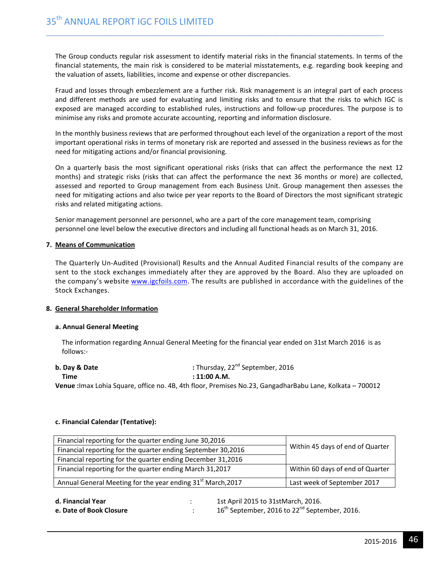The Group conducts regular risk assessment to identify material risks in the financial statements. In terms of the financial statements, the main risk is considered to be material misstatements, e.g. regarding book keeping and the valuation of assets, liabilities, income and expense or other discrepancies.

 $\_$  ,  $\_$  ,  $\_$  ,  $\_$  ,  $\_$  ,  $\_$  ,  $\_$  ,  $\_$  ,  $\_$  ,  $\_$  ,  $\_$  ,  $\_$  ,  $\_$  ,  $\_$  ,  $\_$  ,  $\_$  ,  $\_$  ,  $\_$  ,  $\_$  ,  $\_$  ,  $\_$  ,  $\_$  ,  $\_$  ,  $\_$  ,  $\_$  ,  $\_$  ,  $\_$  ,  $\_$  ,  $\_$  ,  $\_$  ,  $\_$  ,  $\_$  ,  $\_$  ,  $\_$  ,  $\_$  ,  $\_$  ,  $\_$  ,

Fraud and losses through embezzlement are a further risk. Risk management is an integral part of each process and different methods are used for evaluating and limiting risks and to ensure that the risks to which IGC is exposed are managed according to established rules, instructions and follow‐up procedures. The purpose is to minimise any risks and promote accurate accounting, reporting and information disclosure.

In the monthly business reviews that are performed throughout each level of the organization a report of the most important operational risks in terms of monetary risk are reported and assessed in the business reviews as for the need for mitigating actions and/or financial provisioning.

On a quarterly basis the most significant operational risks (risks that can affect the performance the next 12 months) and strategic risks (risks that can affect the performance the next 36 months or more) are collected, assessed and reported to Group management from each Business Unit. Group management then assesses the need for mitigating actions and also twice per year reports to the Board of Directors the most significant strategic risks and related mitigating actions.

Senior management personnel are personnel, who are a part of the core management team, comprising personnel one level below the executive directors and including all functional heads as on March 31, 2016.

#### **7. Means of Communication**

The Quarterly Un‐Audited (Provisional) Results and the Annual Audited Financial results of the company are sent to the stock exchanges immediately after they are approved by the Board. Also they are uploaded on the company's website www.igcfoils.com. The results are published in accordance with the guidelines of the Stock Exchanges.

#### **8. General Shareholder Information**

#### **a. Annual General Meeting**

The information regarding Annual General Meeting for the financial year ended on 31st March 2016 is as follows:‐

### **b.** Day & Date **b. Day** & Date  **is the CO**  $\alpha$  **c**  $\alpha$  **c**  $\alpha$  **c**  $\alpha$  **c**  $\alpha$  **c**  $\alpha$  **c**  $\alpha$  **c**  $\alpha$  **c**  $\alpha$  **c**  $\alpha$  **c**  $\alpha$  **c**  $\alpha$  **c**  $\alpha$  **c**  $\alpha$  **c**  $\alpha$  **c**  $\alpha$  **c**  $\alpha$  **c**  $\alpha$  **c**  $\alpha$  **c**  $\alpha$

### **Time : 11:00 A.M.**

**Venue :**Imax Lohia Square, office no. 4B, 4th floor, Premises No.23, GangadharBabu Lane, Kolkata – 700012

#### **c. Financial Calendar (Tentative):**

| Financial reporting for the quarter ending June 30,2016                 | Within 45 days of end of Quarter |  |
|-------------------------------------------------------------------------|----------------------------------|--|
| Financial reporting for the quarter ending September 30,2016            |                                  |  |
| Financial reporting for the quarter ending December 31,2016             |                                  |  |
| Financial reporting for the quarter ending March 31,2017                | Within 60 days of end of Quarter |  |
| Annual General Meeting for the year ending 31 <sup>st</sup> March, 2017 | Last week of September 2017      |  |

**d. Financial Year** : 1st April 2015 to 31stMarch, 2016.

- 
- **e. Date of Book Closure** : 16th September, 2016 to 22nd September, 2016.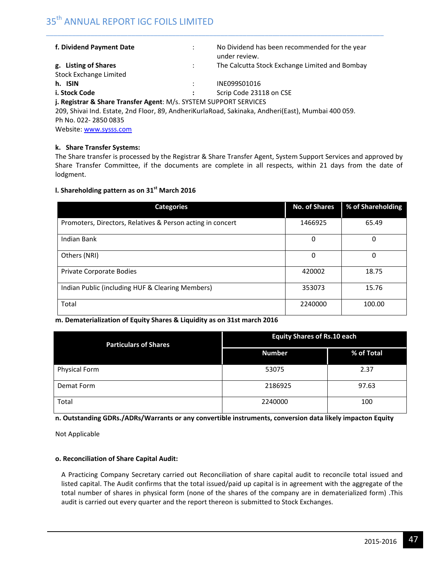| f. Dividend Payment Date                                          |               | No Dividend has been recommended for the year<br>under review. |  |  |  |  |
|-------------------------------------------------------------------|---------------|----------------------------------------------------------------|--|--|--|--|
| g. Listing of Shares<br>Stock Exchange Limited                    | $\mathcal{L}$ | The Calcutta Stock Exchange Limited and Bombay                 |  |  |  |  |
| h. ISIN                                                           |               | INE099S01016                                                   |  |  |  |  |
| i. Stock Code                                                     |               | Scrip Code 23118 on CSE                                        |  |  |  |  |
| j. Registrar & Share Transfer Agent: M/s. SYSTEM SUPPORT SERVICES |               |                                                                |  |  |  |  |

 $\_$  ,  $\_$  ,  $\_$  ,  $\_$  ,  $\_$  ,  $\_$  ,  $\_$  ,  $\_$  ,  $\_$  ,  $\_$  ,  $\_$  ,  $\_$  ,  $\_$  ,  $\_$  ,  $\_$  ,  $\_$  ,  $\_$  ,  $\_$  ,  $\_$  ,  $\_$  ,  $\_$  ,  $\_$  ,  $\_$  ,  $\_$  ,  $\_$  ,  $\_$  ,  $\_$  ,  $\_$  ,  $\_$  ,  $\_$  ,  $\_$  ,  $\_$  ,  $\_$  ,  $\_$  ,  $\_$  ,  $\_$  ,  $\_$  ,

209, Shivai Ind. Estate, 2nd Floor, 89, AndheriKurlaRoad, Sakinaka, Andheri(East), Mumbai 400 059. Ph No. 022‐ 2850 0835 Website: www.sysss.com

#### **k. Share Transfer Systems:**

The Share transfer is processed by the Registrar & Share Transfer Agent, System Support Services and approved by Share Transfer Committee, if the documents are complete in all respects, within 21 days from the date of lodgment.

#### **l. Shareholding pattern as on 31st March 2016**

| <b>Categories</b>                                          | <b>No. of Shares</b> | % of Shareholding |
|------------------------------------------------------------|----------------------|-------------------|
| Promoters, Directors, Relatives & Person acting in concert | 1466925              | 65.49             |
| Indian Bank                                                | 0                    | 0                 |
| Others (NRI)                                               | $\Omega$             | 0                 |
| Private Corporate Bodies                                   | 420002               | 18.75             |
| Indian Public (including HUF & Clearing Members)           | 353073               | 15.76             |
| Total                                                      | 2240000              | 100.00            |

**m. Dematerialization of Equity Shares & Liquidity as on 31st march 2016**

| <b>Particulars of Shares</b> | <b>Equity Shares of Rs.10 each</b> |            |  |
|------------------------------|------------------------------------|------------|--|
|                              | <b>Number</b>                      | % of Total |  |
| Physical Form                | 53075                              | 2.37       |  |
| Demat Form                   | 2186925                            | 97.63      |  |
| Total                        | 2240000                            | 100        |  |

**n. Outstanding GDRs./ADRs/Warrants or any convertible instruments, conversion data likely impacton Equity** 

Not Applicable

#### **o. Reconciliation of Share Capital Audit:**

A Practicing Company Secretary carried out Reconciliation of share capital audit to reconcile total issued and listed capital. The Audit confirms that the total issued/paid up capital is in agreement with the aggregate of the total number of shares in physical form (none of the shares of the company are in dematerialized form) .This audit is carried out every quarter and the report thereon is submitted to Stock Exchanges.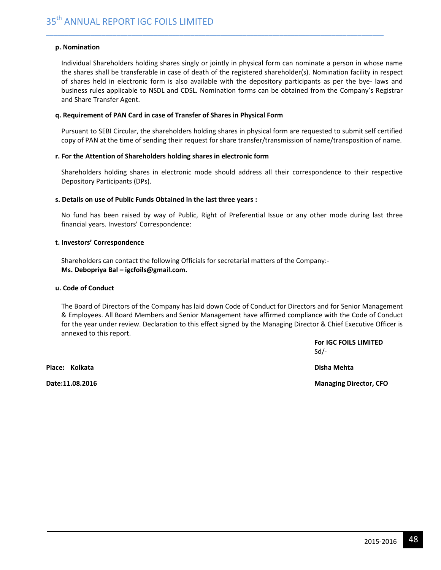#### **p. Nomination**

Individual Shareholders holding shares singly or jointly in physical form can nominate a person in whose name the shares shall be transferable in case of death of the registered shareholder(s). Nomination facility in respect of shares held in electronic form is also available with the depository participants as per the bye‐ laws and business rules applicable to NSDL and CDSL. Nomination forms can be obtained from the Company's Registrar and Share Transfer Agent.

 $\_$  ,  $\_$  ,  $\_$  ,  $\_$  ,  $\_$  ,  $\_$  ,  $\_$  ,  $\_$  ,  $\_$  ,  $\_$  ,  $\_$  ,  $\_$  ,  $\_$  ,  $\_$  ,  $\_$  ,  $\_$  ,  $\_$  ,  $\_$  ,  $\_$  ,  $\_$  ,  $\_$  ,  $\_$  ,  $\_$  ,  $\_$  ,  $\_$  ,  $\_$  ,  $\_$  ,  $\_$  ,  $\_$  ,  $\_$  ,  $\_$  ,  $\_$  ,  $\_$  ,  $\_$  ,  $\_$  ,  $\_$  ,  $\_$  ,

#### **q. Requirement of PAN Card in case of Transfer of Shares in Physical Form**

Pursuant to SEBI Circular, the shareholders holding shares in physical form are requested to submit self certified copy of PAN at the time of sending their request for share transfer/transmission of name/transposition of name.

#### **r. For the Attention of Shareholders holding shares in electronic form**

Shareholders holding shares in electronic mode should address all their correspondence to their respective Depository Participants (DPs).

#### **s. Details on use of Public Funds Obtained in the last three years :**

No fund has been raised by way of Public, Right of Preferential Issue or any other mode during last three financial years. Investors' Correspondence:

#### **t. Investors' Correspondence**

Shareholders can contact the following Officials for secretarial matters of the Company:‐ **Ms. Debopriya Bal – igcfoils@gmail.com.**

#### **u. Code of Conduct**

The Board of Directors of the Company has laid down Code of Conduct for Directors and for Senior Management & Employees. All Board Members and Senior Management have affirmed compliance with the Code of Conduct for the year under review. Declaration to this effect signed by the Managing Director & Chief Executive Officer is annexed to this report.

**For IGC FOILS LIMITED** Sd/−

**Place: Kolkata Disha Mehta**

**Date:11.08.2016 Managing Director, CFO**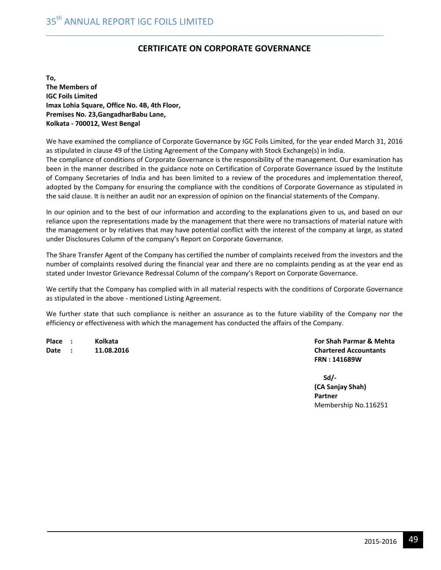### **CERTIFICATE ON CORPORATE GOVERNANCE**

 $\_$  ,  $\_$  ,  $\_$  ,  $\_$  ,  $\_$  ,  $\_$  ,  $\_$  ,  $\_$  ,  $\_$  ,  $\_$  ,  $\_$  ,  $\_$  ,  $\_$  ,  $\_$  ,  $\_$  ,  $\_$  ,  $\_$  ,  $\_$  ,  $\_$  ,  $\_$  ,  $\_$  ,  $\_$  ,  $\_$  ,  $\_$  ,  $\_$  ,  $\_$  ,  $\_$  ,  $\_$  ,  $\_$  ,  $\_$  ,  $\_$  ,  $\_$  ,  $\_$  ,  $\_$  ,  $\_$  ,  $\_$  ,  $\_$  ,

**To, The Members of IGC Foils Limited Imax Lohia Square, Office No. 4B, 4th Floor, Premises No. 23,GangadharBabu Lane, Kolkata ‐ 700012, West Bengal** 

We have examined the compliance of Corporate Governance by IGC Foils Limited, for the year ended March 31, 2016 as stipulated in clause 49 of the Listing Agreement of the Company with Stock Exchange(s) in India. The compliance of conditions of Corporate Governance is the responsibility of the management. Our examination has been in the manner described in the guidance note on Certification of Corporate Governance issued by the Institute of Company Secretaries of India and has been limited to a review of the procedures and implementation thereof, adopted by the Company for ensuring the compliance with the conditions of Corporate Governance as stipulated in the said clause. It is neither an audit nor an expression of opinion on the financial statements of the Company.

In our opinion and to the best of our information and according to the explanations given to us, and based on our reliance upon the representations made by the management that there were no transactions of material nature with the management or by relatives that may have potential conflict with the interest of the company at large, as stated under Disclosures Column of the company's Report on Corporate Governance.

The Share Transfer Agent of the Company has certified the number of complaints received from the investors and the number of complaints resolved during the financial year and there are no complaints pending as at the year end as stated under Investor Grievance Redressal Column of the company's Report on Corporate Governance.

We certify that the Company has complied with in all material respects with the conditions of Corporate Governance as stipulated in the above ‐ mentioned Listing Agreement.

We further state that such compliance is neither an assurance as to the future viability of the Company nor the efficiency or effectiveness with which the management has conducted the affairs of the Company.

**Date : 11.08.2016 Chartered Accountants**

**Place : Kolkata For Shah Parmar & Mehta FRN : 141689W**

**Sd/‐ (CA Sanjay Shah) Partner** Membership No.116251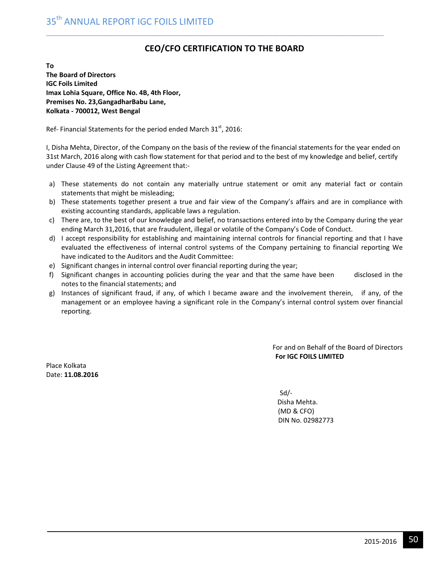### **CEO/CFO CERTIFICATION TO THE BOARD**

 $\_$  ,  $\_$  ,  $\_$  ,  $\_$  ,  $\_$  ,  $\_$  ,  $\_$  ,  $\_$  ,  $\_$  ,  $\_$  ,  $\_$  ,  $\_$  ,  $\_$  ,  $\_$  ,  $\_$  ,  $\_$  ,  $\_$  ,  $\_$  ,  $\_$  ,  $\_$  ,  $\_$  ,  $\_$  ,  $\_$  ,  $\_$  ,  $\_$  ,  $\_$  ,  $\_$  ,  $\_$  ,  $\_$  ,  $\_$  ,  $\_$  ,  $\_$  ,  $\_$  ,  $\_$  ,  $\_$  ,  $\_$  ,  $\_$  ,

**To The Board of Directors IGC Foils Limited Imax Lohia Square, Office No. 4B, 4th Floor, Premises No. 23,GangadharBabu Lane, Kolkata ‐ 700012, West Bengal**

Ref-Financial Statements for the period ended March  $31<sup>st</sup>$ , 2016:

I, Disha Mehta, Director, of the Company on the basis of the review of the financial statements for the year ended on 31st March, 2016 along with cash flow statement for that period and to the best of my knowledge and belief, certify under Clause 49 of the Listing Agreement that:‐

- a) These statements do not contain any materially untrue statement or omit any material fact or contain statements that might be misleading;
- b) These statements together present a true and fair view of the Company's affairs and are in compliance with existing accounting standards, applicable laws a regulation.
- c) There are, to the best of our knowledge and belief, no transactions entered into by the Company during the year ending March 31,2016, that are fraudulent, illegal or volatile of the Company's Code of Conduct.
- d) I accept responsibility for establishing and maintaining internal controls for financial reporting and that I have evaluated the effectiveness of internal control systems of the Company pertaining to financial reporting We have indicated to the Auditors and the Audit Committee:
- e) Significant changes in internal control over financial reporting during the year;
- f) Significant changes in accounting policies during the year and that the same have been disclosed in the notes to the financial statements; and
- g) Instances of significant fraud, if any, of which I became aware and the involvement therein, if any, of the management or an employee having a significant role in the Company's internal control system over financial reporting.

For and on Behalf of the Board of Directors  **For IGC FOILS LIMITED**

Place Kolkata Date: **11.08.2016**

> Sd/‐ Disha Mehta. (MD & CFO) DIN No. 02982773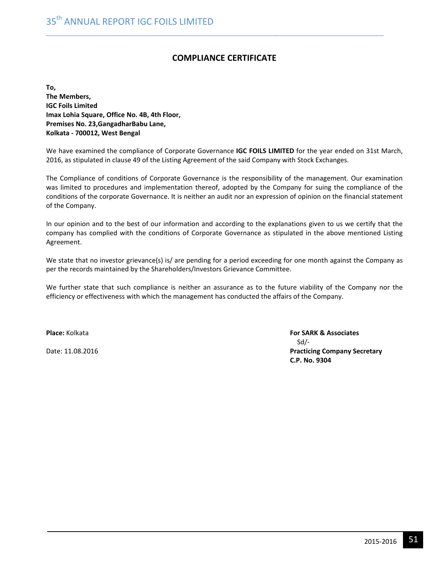### **COMPLIANCE CERTIFICATE**

 $\_$  ,  $\_$  ,  $\_$  ,  $\_$  ,  $\_$  ,  $\_$  ,  $\_$  ,  $\_$  ,  $\_$  ,  $\_$  ,  $\_$  ,  $\_$  ,  $\_$  ,  $\_$  ,  $\_$  ,  $\_$  ,  $\_$  ,  $\_$  ,  $\_$  ,  $\_$  ,  $\_$  ,  $\_$  ,  $\_$  ,  $\_$  ,  $\_$  ,  $\_$  ,  $\_$  ,  $\_$  ,  $\_$  ,  $\_$  ,  $\_$  ,  $\_$  ,  $\_$  ,  $\_$  ,  $\_$  ,  $\_$  ,  $\_$  ,

**To, The Members, IGC Foils Limited Imax Lohia Square, Office No. 4B, 4th Floor, Premises No. 23,GangadharBabu Lane, Kolkata ‐ 700012, West Bengal**

We have examined the compliance of Corporate Governance **IGC FOILS LIMITED** for the year ended on 31st March, 2016, as stipulated in clause 49 of the Listing Agreement of the said Company with Stock Exchanges.

The Compliance of conditions of Corporate Governance is the responsibility of the management. Our examination was limited to procedures and implementation thereof, adopted by the Company for suing the compliance of the conditions of the corporate Governance. It is neither an audit nor an expression of opinion on the financial statement of the Company.

In our opinion and to the best of our information and according to the explanations given to us we certify that the company has complied with the conditions of Corporate Governance as stipulated in the above mentioned Listing Agreement.

We state that no investor grievance(s) is/ are pending for a period exceeding for one month against the Company as per the records maintained by the Shareholders/Investors Grievance Committee.

We further state that such compliance is neither an assurance as to the future viability of the Company nor the efficiency or effectiveness with which the management has conducted the affairs of the Company.

**Place:** Kolkata **For SARK & Associates** Sd/‐ Date: 11.08.2016 **Practicing Company Secretary C.P. No. 9304**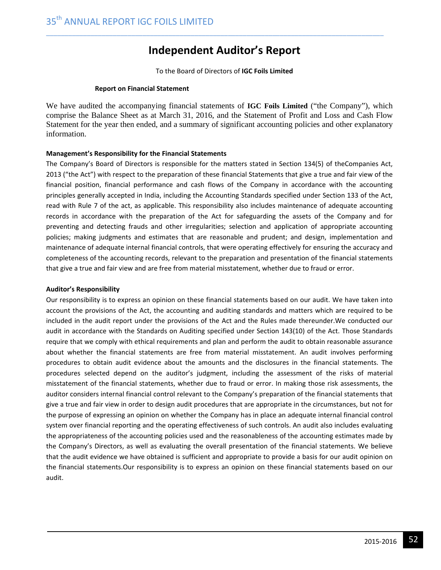## **Independent Auditor's Report**

 $\_$  ,  $\_$  ,  $\_$  ,  $\_$  ,  $\_$  ,  $\_$  ,  $\_$  ,  $\_$  ,  $\_$  ,  $\_$  ,  $\_$  ,  $\_$  ,  $\_$  ,  $\_$  ,  $\_$  ,  $\_$  ,  $\_$  ,  $\_$  ,  $\_$  ,  $\_$  ,  $\_$  ,  $\_$  ,  $\_$  ,  $\_$  ,  $\_$  ,  $\_$  ,  $\_$  ,  $\_$  ,  $\_$  ,  $\_$  ,  $\_$  ,  $\_$  ,  $\_$  ,  $\_$  ,  $\_$  ,  $\_$  ,  $\_$  ,

To the Board of Directors of **IGC Foils Limited**

#### **Report on Financial Statement**

We have audited the accompanying financial statements of **IGC Foils Limited** ("the Company"), which comprise the Balance Sheet as at March 31, 2016, and the Statement of Profit and Loss and Cash Flow Statement for the year then ended, and a summary of significant accounting policies and other explanatory information.

#### **Management's Responsibility for the Financial Statements**

The Company's Board of Directors is responsible for the matters stated in Section 134(5) of theCompanies Act, 2013 ("the Act") with respect to the preparation of these financial Statements that give a true and fair view of the financial position, financial performance and cash flows of the Company in accordance with the accounting principles generally accepted in India, including the Accounting Standards specified under Section 133 of the Act, read with Rule 7 of the act, as applicable. This responsibility also includes maintenance of adequate accounting records in accordance with the preparation of the Act for safeguarding the assets of the Company and for preventing and detecting frauds and other irregularities; selection and application of appropriate accounting policies; making judgments and estimates that are reasonable and prudent; and design, implementation and maintenance of adequate internal financial controls, that were operating effectively for ensuring the accuracy and completeness of the accounting records, relevant to the preparation and presentation of the financial statements that give a true and fair view and are free from material misstatement, whether due to fraud or error.

#### **Auditor's Responsibility**

Our responsibility is to express an opinion on these financial statements based on our audit. We have taken into account the provisions of the Act, the accounting and auditing standards and matters which are required to be included in the audit report under the provisions of the Act and the Rules made thereunder.We conducted our audit in accordance with the Standards on Auditing specified under Section 143(10) of the Act. Those Standards require that we comply with ethical requirements and plan and perform the audit to obtain reasonable assurance about whether the financial statements are free from material misstatement. An audit involves performing procedures to obtain audit evidence about the amounts and the disclosures in the financial statements. The procedures selected depend on the auditor's judgment, including the assessment of the risks of material misstatement of the financial statements, whether due to fraud or error. In making those risk assessments, the auditor considers internal financial control relevant to the Company's preparation of the financial statements that give a true and fair view in order to design audit procedures that are appropriate in the circumstances, but not for the purpose of expressing an opinion on whether the Company has in place an adequate internal financial control system over financial reporting and the operating effectiveness of such controls. An audit also includes evaluating the appropriateness of the accounting policies used and the reasonableness of the accounting estimates made by the Company's Directors, as well as evaluating the overall presentation of the financial statements. We believe that the audit evidence we have obtained is sufficient and appropriate to provide a basis for our audit opinion on the financial statements.Our responsibility is to express an opinion on these financial statements based on our audit.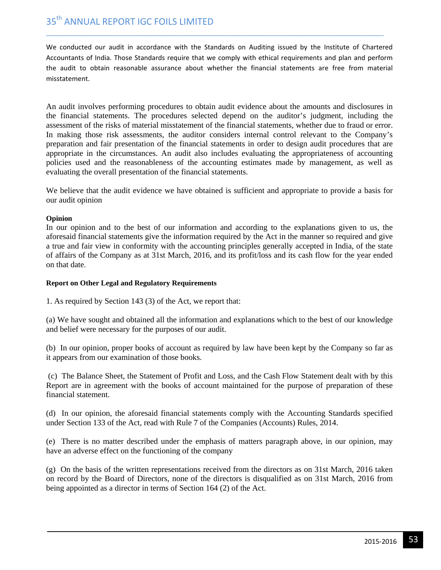We conducted our audit in accordance with the Standards on Auditing issued by the Institute of Chartered Accountants of India. Those Standards require that we comply with ethical requirements and plan and perform the audit to obtain reasonable assurance about whether the financial statements are free from material misstatement.

 $\_$  ,  $\_$  ,  $\_$  ,  $\_$  ,  $\_$  ,  $\_$  ,  $\_$  ,  $\_$  ,  $\_$  ,  $\_$  ,  $\_$  ,  $\_$  ,  $\_$  ,  $\_$  ,  $\_$  ,  $\_$  ,  $\_$  ,  $\_$  ,  $\_$  ,  $\_$  ,  $\_$  ,  $\_$  ,  $\_$  ,  $\_$  ,  $\_$  ,  $\_$  ,  $\_$  ,  $\_$  ,  $\_$  ,  $\_$  ,  $\_$  ,  $\_$  ,  $\_$  ,  $\_$  ,  $\_$  ,  $\_$  ,  $\_$  ,

An audit involves performing procedures to obtain audit evidence about the amounts and disclosures in the financial statements. The procedures selected depend on the auditor's judgment, including the assessment of the risks of material misstatement of the financial statements, whether due to fraud or error. In making those risk assessments, the auditor considers internal control relevant to the Company's preparation and fair presentation of the financial statements in order to design audit procedures that are appropriate in the circumstances. An audit also includes evaluating the appropriateness of accounting policies used and the reasonableness of the accounting estimates made by management, as well as evaluating the overall presentation of the financial statements.

We believe that the audit evidence we have obtained is sufficient and appropriate to provide a basis for our audit opinion

#### **Opinion**

In our opinion and to the best of our information and according to the explanations given to us, the aforesaid financial statements give the information required by the Act in the manner so required and give a true and fair view in conformity with the accounting principles generally accepted in India, of the state of affairs of the Company as at 31st March, 2016, and its profit/loss and its cash flow for the year ended on that date.

#### **Report on Other Legal and Regulatory Requirements**

1. As required by Section 143 (3) of the Act, we report that:

(a) We have sought and obtained all the information and explanations which to the best of our knowledge and belief were necessary for the purposes of our audit.

(b) In our opinion, proper books of account as required by law have been kept by the Company so far as it appears from our examination of those books.

 (c) The Balance Sheet, the Statement of Profit and Loss, and the Cash Flow Statement dealt with by this Report are in agreement with the books of account maintained for the purpose of preparation of these financial statement.

(d) In our opinion, the aforesaid financial statements comply with the Accounting Standards specified under Section 133 of the Act, read with Rule 7 of the Companies (Accounts) Rules, 2014.

(e) There is no matter described under the emphasis of matters paragraph above, in our opinion, may have an adverse effect on the functioning of the company

(g) On the basis of the written representations received from the directors as on 31st March, 2016 taken on record by the Board of Directors, none of the directors is disqualified as on 31st March, 2016 from being appointed as a director in terms of Section 164 (2) of the Act.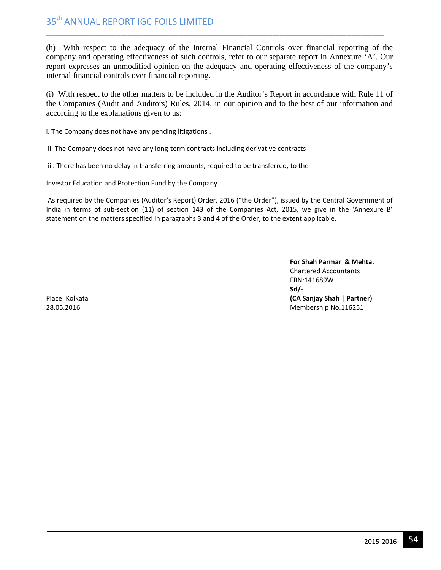## 35<sup>th</sup> ANNUAL REPORT IGC FOILS LIMITED

(h) With respect to the adequacy of the Internal Financial Controls over financial reporting of the company and operating effectiveness of such controls, refer to our separate report in Annexure 'A'. Our report expresses an unmodified opinion on the adequacy and operating effectiveness of the company's internal financial controls over financial reporting.

 $\_$  ,  $\_$  ,  $\_$  ,  $\_$  ,  $\_$  ,  $\_$  ,  $\_$  ,  $\_$  ,  $\_$  ,  $\_$  ,  $\_$  ,  $\_$  ,  $\_$  ,  $\_$  ,  $\_$  ,  $\_$  ,  $\_$  ,  $\_$  ,  $\_$  ,  $\_$  ,  $\_$  ,  $\_$  ,  $\_$  ,  $\_$  ,  $\_$  ,  $\_$  ,  $\_$  ,  $\_$  ,  $\_$  ,  $\_$  ,  $\_$  ,  $\_$  ,  $\_$  ,  $\_$  ,  $\_$  ,  $\_$  ,  $\_$  ,

(i) With respect to the other matters to be included in the Auditor's Report in accordance with Rule 11 of the Companies (Audit and Auditors) Rules, 2014, in our opinion and to the best of our information and according to the explanations given to us:

i. The Company does not have any pending litigations .

ii. The Company does not have any long‐term contracts including derivative contracts

iii. There has been no delay in transferring amounts, required to be transferred, to the

Investor Education and Protection Fund by the Company.

As required by the Companies (Auditor's Report) Order, 2016 ("the Order"), issued by the Central Government of India in terms of sub-section (11) of section 143 of the Companies Act, 2015, we give in the 'Annexure B' statement on the matters specified in paragraphs 3 and 4 of the Order, to the extent applicable.

**For Shah Parmar & Mehta.** Chartered Accountants FRN:141689W **Sd/‐**  Place: Kolkata **(CA Sanjay Shah | Partner)** 28.05.2016 Membership No.116251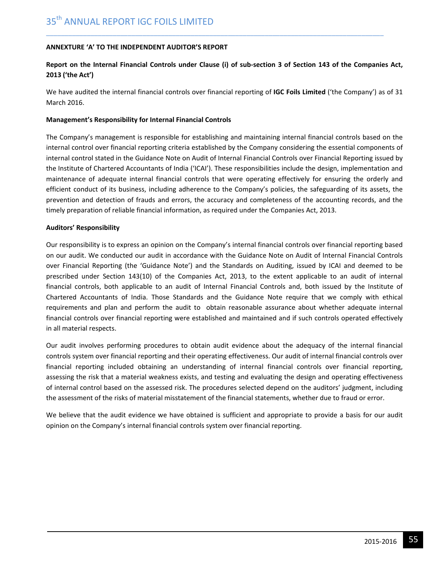#### **ANNEXTURE 'A' TO THE INDEPENDENT AUDITOR'S REPORT**

#### Report on the Internal Financial Controls under Clause (i) of sub-section 3 of Section 143 of the Companies Act, **2013 ('the Act')**

 $\_$  ,  $\_$  ,  $\_$  ,  $\_$  ,  $\_$  ,  $\_$  ,  $\_$  ,  $\_$  ,  $\_$  ,  $\_$  ,  $\_$  ,  $\_$  ,  $\_$  ,  $\_$  ,  $\_$  ,  $\_$  ,  $\_$  ,  $\_$  ,  $\_$  ,  $\_$  ,  $\_$  ,  $\_$  ,  $\_$  ,  $\_$  ,  $\_$  ,  $\_$  ,  $\_$  ,  $\_$  ,  $\_$  ,  $\_$  ,  $\_$  ,  $\_$  ,  $\_$  ,  $\_$  ,  $\_$  ,  $\_$  ,  $\_$  ,

We have audited the internal financial controls over financial reporting of **IGC Foils Limited** ('the Company') as of 31 March 2016.

#### **Management's Responsibility for Internal Financial Controls**

The Company's management is responsible for establishing and maintaining internal financial controls based on the internal control over financial reporting criteria established by the Company considering the essential components of internal control stated in the Guidance Note on Audit of Internal Financial Controls over Financial Reporting issued by the Institute of Chartered Accountants of India ('ICAI'). These responsibilities include the design, implementation and maintenance of adequate internal financial controls that were operating effectively for ensuring the orderly and efficient conduct of its business, including adherence to the Company's policies, the safeguarding of its assets, the prevention and detection of frauds and errors, the accuracy and completeness of the accounting records, and the timely preparation of reliable financial information, as required under the Companies Act, 2013.

#### **Auditors' Responsibility**

Our responsibility is to express an opinion on the Company's internal financial controls over financial reporting based on our audit. We conducted our audit in accordance with the Guidance Note on Audit of Internal Financial Controls over Financial Reporting (the 'Guidance Note') and the Standards on Auditing, issued by ICAI and deemed to be prescribed under Section 143(10) of the Companies Act, 2013, to the extent applicable to an audit of internal financial controls, both applicable to an audit of Internal Financial Controls and, both issued by the Institute of Chartered Accountants of India. Those Standards and the Guidance Note require that we comply with ethical requirements and plan and perform the audit to obtain reasonable assurance about whether adequate internal financial controls over financial reporting were established and maintained and if such controls operated effectively in all material respects.

Our audit involves performing procedures to obtain audit evidence about the adequacy of the internal financial controls system over financial reporting and their operating effectiveness. Our audit of internal financial controls over financial reporting included obtaining an understanding of internal financial controls over financial reporting, assessing the risk that a material weakness exists, and testing and evaluating the design and operating effectiveness of internal control based on the assessed risk. The procedures selected depend on the auditors' judgment, including the assessment of the risks of material misstatement of the financial statements, whether due to fraud or error.

We believe that the audit evidence we have obtained is sufficient and appropriate to provide a basis for our audit opinion on the Company's internal financial controls system over financial reporting.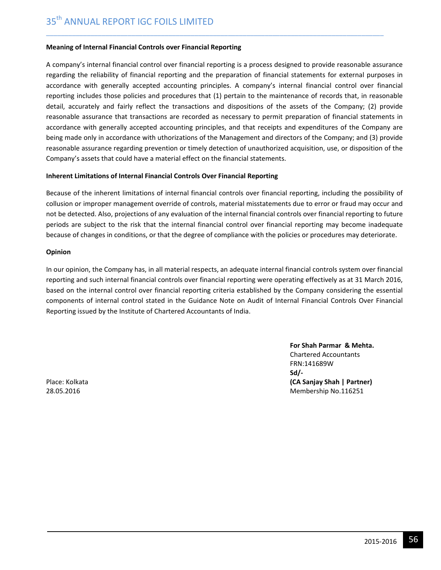#### **Meaning of Internal Financial Controls over Financial Reporting**

A company's internal financial control over financial reporting is a process designed to provide reasonable assurance regarding the reliability of financial reporting and the preparation of financial statements for external purposes in accordance with generally accepted accounting principles. A company's internal financial control over financial reporting includes those policies and procedures that (1) pertain to the maintenance of records that, in reasonable detail, accurately and fairly reflect the transactions and dispositions of the assets of the Company; (2) provide reasonable assurance that transactions are recorded as necessary to permit preparation of financial statements in accordance with generally accepted accounting principles, and that receipts and expenditures of the Company are being made only in accordance with uthorizations of the Management and directors of the Company; and (3) provide reasonable assurance regarding prevention or timely detection of unauthorized acquisition, use, or disposition of the Company's assets that could have a material effect on the financial statements.

 $\_$  ,  $\_$  ,  $\_$  ,  $\_$  ,  $\_$  ,  $\_$  ,  $\_$  ,  $\_$  ,  $\_$  ,  $\_$  ,  $\_$  ,  $\_$  ,  $\_$  ,  $\_$  ,  $\_$  ,  $\_$  ,  $\_$  ,  $\_$  ,  $\_$  ,  $\_$  ,  $\_$  ,  $\_$  ,  $\_$  ,  $\_$  ,  $\_$  ,  $\_$  ,  $\_$  ,  $\_$  ,  $\_$  ,  $\_$  ,  $\_$  ,  $\_$  ,  $\_$  ,  $\_$  ,  $\_$  ,  $\_$  ,  $\_$  ,

#### **Inherent Limitations of Internal Financial Controls Over Financial Reporting**

Because of the inherent limitations of internal financial controls over financial reporting, including the possibility of collusion or improper management override of controls, material misstatements due to error or fraud may occur and not be detected. Also, projections of any evaluation of the internal financial controls over financial reporting to future periods are subject to the risk that the internal financial control over financial reporting may become inadequate because of changes in conditions, or that the degree of compliance with the policies or procedures may deteriorate.

#### **Opinion**

In our opinion, the Company has, in all material respects, an adequate internal financial controls system over financial reporting and such internal financial controls over financial reporting were operating effectively as at 31 March 2016, based on the internal control over financial reporting criteria established by the Company considering the essential components of internal control stated in the Guidance Note on Audit of Internal Financial Controls Over Financial Reporting issued by the Institute of Chartered Accountants of India.

**For Shah Parmar & Mehta.** Chartered Accountants FRN:141689W **Sd/‐**  Place: Kolkata **(CA Sanjay Shah | Partner)** 28.05.2016 Membership No.116251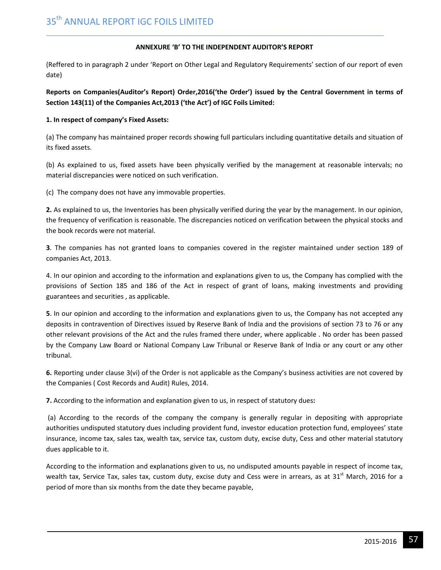#### **ANNEXURE 'B' TO THE INDEPENDENT AUDITOR'S REPORT**

 $\_$  ,  $\_$  ,  $\_$  ,  $\_$  ,  $\_$  ,  $\_$  ,  $\_$  ,  $\_$  ,  $\_$  ,  $\_$  ,  $\_$  ,  $\_$  ,  $\_$  ,  $\_$  ,  $\_$  ,  $\_$  ,  $\_$  ,  $\_$  ,  $\_$  ,  $\_$  ,  $\_$  ,  $\_$  ,  $\_$  ,  $\_$  ,  $\_$  ,  $\_$  ,  $\_$  ,  $\_$  ,  $\_$  ,  $\_$  ,  $\_$  ,  $\_$  ,  $\_$  ,  $\_$  ,  $\_$  ,  $\_$  ,  $\_$  ,

(Reffered to in paragraph 2 under 'Report on Other Legal and Regulatory Requirements' section of our report of even date)

**Reports on Companies(Auditor's Report) Order,2016('the Order') issued by the Central Government in terms of Section 143(11) of the Companies Act,2013 ('the Act') of IGC Foils Limited:**

#### **1. In respect of company's Fixed Assets:**

(a) The company has maintained proper records showing full particulars including quantitative details and situation of its fixed assets.

(b) As explained to us, fixed assets have been physically verified by the management at reasonable intervals; no material discrepancies were noticed on such verification.

(c) The company does not have any immovable properties.

**2.** As explained to us, the Inventories has been physically verified during the year by the management. In our opinion, the frequency of verification is reasonable. The discrepancies noticed on verification between the physical stocks and the book records were not material.

**3**. The companies has not granted loans to companies covered in the register maintained under section 189 of companies Act, 2013.

4. In our opinion and according to the information and explanations given to us, the Company has complied with the provisions of Section 185 and 186 of the Act in respect of grant of loans, making investments and providing guarantees and securities , as applicable.

**5**. In our opinion and according to the information and explanations given to us, the Company has not accepted any deposits in contravention of Directives issued by Reserve Bank of India and the provisions of section 73 to 76 or any other relevant provisions of the Act and the rules framed there under, where applicable . No order has been passed by the Company Law Board or National Company Law Tribunal or Reserve Bank of India or any court or any other tribunal.

**6.** Reporting under clause 3(vi) of the Order is not applicable as the Company's business activities are not covered by the Companies ( Cost Records and Audit) Rules, 2014.

**7.** According to the information and explanation given to us, in respect of statutory dues**:**

(a) According to the records of the company the company is generally regular in depositing with appropriate authorities undisputed statutory dues including provident fund, investor education protection fund, employees' state insurance, income tax, sales tax, wealth tax, service tax, custom duty, excise duty, Cess and other material statutory dues applicable to it.

According to the information and explanations given to us, no undisputed amounts payable in respect of income tax, wealth tax, Service Tax, sales tax, custom duty, excise duty and Cess were in arrears, as at  $31^{st}$  March, 2016 for a period of more than six months from the date they became payable,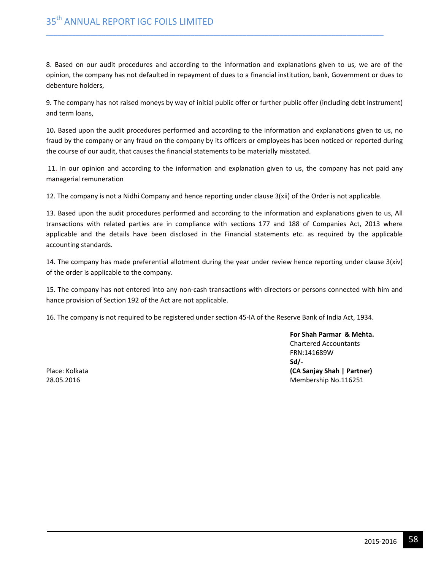## 35<sup>th</sup> ANNUAL REPORT IGC FOILS LIMITED

8. Based on our audit procedures and according to the information and explanations given to us, we are of the opinion, the company has not defaulted in repayment of dues to a financial institution, bank, Government or dues to debenture holders,

 $\_$  ,  $\_$  ,  $\_$  ,  $\_$  ,  $\_$  ,  $\_$  ,  $\_$  ,  $\_$  ,  $\_$  ,  $\_$  ,  $\_$  ,  $\_$  ,  $\_$  ,  $\_$  ,  $\_$  ,  $\_$  ,  $\_$  ,  $\_$  ,  $\_$  ,  $\_$  ,  $\_$  ,  $\_$  ,  $\_$  ,  $\_$  ,  $\_$  ,  $\_$  ,  $\_$  ,  $\_$  ,  $\_$  ,  $\_$  ,  $\_$  ,  $\_$  ,  $\_$  ,  $\_$  ,  $\_$  ,  $\_$  ,  $\_$  ,

9**.** The company has not raised moneys by way of initial public offer or further public offer (including debt instrument) and term loans,

10**.** Based upon the audit procedures performed and according to the information and explanations given to us, no fraud by the company or any fraud on the company by its officers or employees has been noticed or reported during the course of our audit, that causes the financial statements to be materially misstated.

11. In our opinion and according to the information and explanation given to us, the company has not paid any managerial remuneration

12. The company is not a Nidhi Company and hence reporting under clause 3(xii) of the Order is not applicable.

13. Based upon the audit procedures performed and according to the information and explanations given to us, All transactions with related parties are in compliance with sections 177 and 188 of Companies Act, 2013 where applicable and the details have been disclosed in the Financial statements etc. as required by the applicable accounting standards.

14. The company has made preferential allotment during the year under review hence reporting under clause 3(xiv) of the order is applicable to the company.

15. The company has not entered into any non‐cash transactions with directors or persons connected with him and hance provision of Section 192 of the Act are not applicable.

16. The company is not required to be registered under section 45‐IA of the Reserve Bank of India Act, 1934.

**For Shah Parmar & Mehta.** Chartered Accountants FRN:141689W **Sd/‐**  Place: Kolkata **(CA Sanjay Shah | Partner)** 28.05.2016 Membership No.116251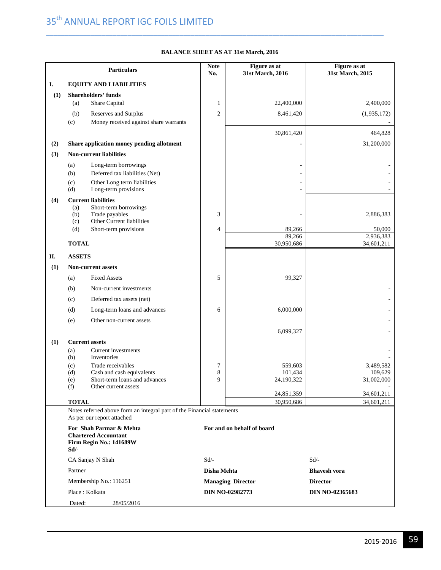|     |                  | <b>Particulars</b>                                                                                   | <b>Note</b><br>No. | Figure as at<br>31st March, 2016 | Figure as at<br>31st March, 2015 |
|-----|------------------|------------------------------------------------------------------------------------------------------|--------------------|----------------------------------|----------------------------------|
| I.  |                  | <b>EQUITY AND LIABILITIES</b>                                                                        |                    |                                  |                                  |
| (1) |                  | <b>Shareholders' funds</b>                                                                           |                    |                                  |                                  |
|     | (a)              | Share Capital                                                                                        | 1                  | 22,400,000                       | 2,400,000                        |
|     | (b)              | Reserves and Surplus                                                                                 | $\overline{c}$     | 8,461,420                        | (1,935,172)                      |
|     | (c)              | Money received against share warrants                                                                |                    |                                  |                                  |
|     |                  |                                                                                                      |                    | 30,861,420                       | 464,828                          |
| (2) |                  | Share application money pending allotment                                                            |                    |                                  | 31,200,000                       |
| (3) |                  | <b>Non-current liabilities</b>                                                                       |                    |                                  |                                  |
|     | (a)              | Long-term borrowings                                                                                 |                    |                                  |                                  |
|     | (b)              | Deferred tax liabilities (Net)                                                                       |                    |                                  |                                  |
|     | (c)<br>(d)       | Other Long term liabilities<br>Long-term provisions                                                  |                    |                                  |                                  |
| (4) |                  | <b>Current liabilities</b>                                                                           |                    |                                  |                                  |
|     | (a)              | Short-term borrowings                                                                                |                    |                                  |                                  |
|     | (b)              | Trade payables                                                                                       | 3                  |                                  | 2,886,383                        |
|     | (c)<br>(d)       | Other Current liabilities<br>Short-term provisions                                                   | 4                  | 89,266                           | 50,000                           |
|     |                  |                                                                                                      |                    | 89,266                           | 2,936,383                        |
|     | <b>TOTAL</b>     |                                                                                                      |                    | 30,950,686                       | 34,601,211                       |
| П.  | <b>ASSETS</b>    |                                                                                                      |                    |                                  |                                  |
| (1) |                  | <b>Non-current assets</b>                                                                            |                    |                                  |                                  |
|     | (a)              | <b>Fixed Assets</b>                                                                                  | 5                  | 99,327                           |                                  |
|     | (b)              | Non-current investments                                                                              |                    |                                  |                                  |
|     | (c)              | Deferred tax assets (net)                                                                            |                    |                                  |                                  |
|     | (d)              | Long-term loans and advances                                                                         | 6                  | 6,000,000                        |                                  |
|     | (e)              | Other non-current assets                                                                             |                    |                                  |                                  |
|     |                  |                                                                                                      |                    | 6,099,327                        |                                  |
| (1) |                  | <b>Current assets</b>                                                                                |                    |                                  |                                  |
|     | (a)              | Current investments                                                                                  |                    |                                  |                                  |
|     | (b)              | Inventories                                                                                          |                    |                                  |                                  |
|     | (c)<br>(d)       | Trade receivables<br>Cash and cash equivalents                                                       | 7<br>8             | 559,603<br>101,434               | 3,489,582<br>109,629             |
|     | (e)              | Short-term loans and advances                                                                        | 9                  | 24,190,322                       | 31,002,000                       |
|     | (f)              | Other current assets                                                                                 |                    | 24,851,359                       | 34,601,211                       |
|     | <b>TOTAL</b>     |                                                                                                      |                    | 30,950,686                       | 34,601,211                       |
|     |                  | Notes referred above form an integral part of the Financial statements<br>As per our report attached |                    |                                  |                                  |
|     | $Sd$ /-          | For Shah Parmar & Mehta<br><b>Chartered Accountant</b><br>Firm Regin No.: 141689W                    |                    | For and on behalf of board       |                                  |
|     | CA Sanjay N Shah |                                                                                                      | $Sd$ /-            |                                  | $Sd$ /-                          |
|     | Partner          |                                                                                                      | Disha Mehta        |                                  | <b>Bhavesh vora</b>              |
|     |                  | Membership No.: 116251                                                                               |                    | <b>Managing Director</b>         | <b>Director</b>                  |
|     |                  | Place: Kolkata                                                                                       |                    | <b>DIN NO-02982773</b>           | <b>DIN NO-02365683</b>           |
|     | Dated:           | 28/05/2016                                                                                           |                    |                                  |                                  |

#### **BALANCE SHEET AS AT 31st March, 2016**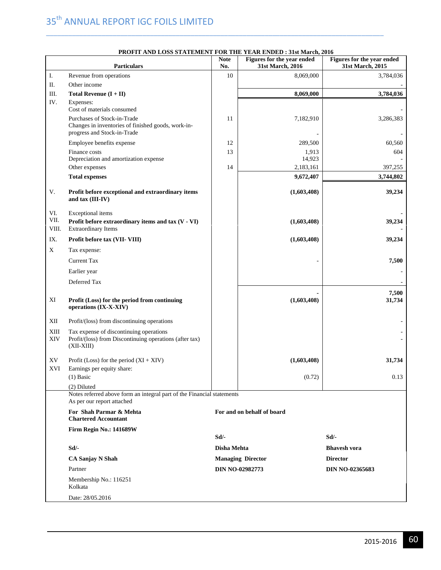|                      | <b>Particulars</b>                                                                                                  | <b>Note</b><br>No. | Figures for the year ended<br>31st March, 2016 | Figures for the year ended<br>31st March, 2015 |
|----------------------|---------------------------------------------------------------------------------------------------------------------|--------------------|------------------------------------------------|------------------------------------------------|
| Ι.                   | Revenue from operations                                                                                             | 10                 | 8,069,000                                      | 3,784,036                                      |
| П.                   | Other income                                                                                                        |                    |                                                |                                                |
| III.                 | Total Revenue $(I + II)$                                                                                            |                    | 8,069,000                                      | 3,784,036                                      |
| IV.                  | Expenses:<br>Cost of materials consumed                                                                             |                    |                                                |                                                |
|                      | Purchases of Stock-in-Trade<br>Changes in inventories of finished goods, work-in-<br>progress and Stock-in-Trade    | 11                 | 7,182,910                                      | 3,286,383                                      |
|                      | Employee benefits expense                                                                                           | 12                 | 289,500                                        | 60,560                                         |
|                      | Finance costs                                                                                                       | 13                 | 1,913                                          | 604                                            |
|                      | Depreciation and amortization expense                                                                               |                    | 14,923                                         |                                                |
|                      | Other expenses                                                                                                      | 14                 | 2,183,161                                      | 397,255                                        |
|                      | <b>Total expenses</b>                                                                                               |                    | 9,672,407                                      | 3,744,802                                      |
| V.                   | Profit before exceptional and extraordinary items<br>and tax (III-IV)                                               |                    | (1,603,408)                                    | 39,234                                         |
| VI.<br>VII.<br>VIII. | Exceptional items<br>Profit before extraordinary items and tax (V - VI)<br><b>Extraordinary Items</b>               |                    | (1,603,408)                                    | 39,234                                         |
| IX.                  | Profit before tax (VII-VIII)                                                                                        |                    | (1,603,408)                                    | 39,234                                         |
| X                    | Tax expense:                                                                                                        |                    |                                                |                                                |
|                      | <b>Current Tax</b>                                                                                                  |                    |                                                | 7,500                                          |
|                      | Earlier year                                                                                                        |                    |                                                |                                                |
|                      | Deferred Tax                                                                                                        |                    |                                                |                                                |
|                      |                                                                                                                     |                    |                                                | 7,500                                          |
| XI                   | Profit (Loss) for the period from continuing<br>operations (IX-X-XIV)                                               |                    | (1,603,408)                                    | 31,734                                         |
| XII                  | Profit/(loss) from discontinuing operations                                                                         |                    |                                                |                                                |
| XIII<br>XIV          | Tax expense of discontinuing operations<br>Profit/(loss) from Discontinuing operations (after tax)<br>(XII-XIII)    |                    |                                                |                                                |
| XV                   | Profit (Loss) for the period $(XI + XIV)$                                                                           |                    | (1,603,408)                                    | 31,734                                         |
| XVI                  | Earnings per equity share:                                                                                          |                    |                                                |                                                |
|                      | $(1)$ Basic                                                                                                         |                    | (0.72)                                         | 0.13                                           |
|                      | (2) Diluted<br>Notes referred above form an integral part of the Financial statements<br>As per our report attached |                    |                                                |                                                |
|                      | For Shah Parmar & Mehta<br><b>Chartered Accountant</b>                                                              |                    | For and on behalf of board                     |                                                |
|                      | Firm Regin No.: 141689W                                                                                             |                    |                                                |                                                |
|                      |                                                                                                                     | $Sd$ /-            |                                                | $Sd/$ -                                        |
|                      | $Sd$ /-                                                                                                             | Disha Mehta        |                                                | <b>Bhavesh vora</b>                            |
|                      | <b>CA Sanjay N Shah</b>                                                                                             |                    | <b>Managing Director</b>                       | <b>Director</b>                                |
|                      | Partner                                                                                                             |                    | <b>DIN NO-02982773</b>                         | <b>DIN NO-02365683</b>                         |
|                      | Membership No.: 116251<br>Kolkata                                                                                   |                    |                                                |                                                |
|                      | Date: 28/05.2016                                                                                                    |                    |                                                |                                                |

#### **PROFIT AND LOSS STATEMENT FOR THE YEAR ENDED : 31st March, 2016**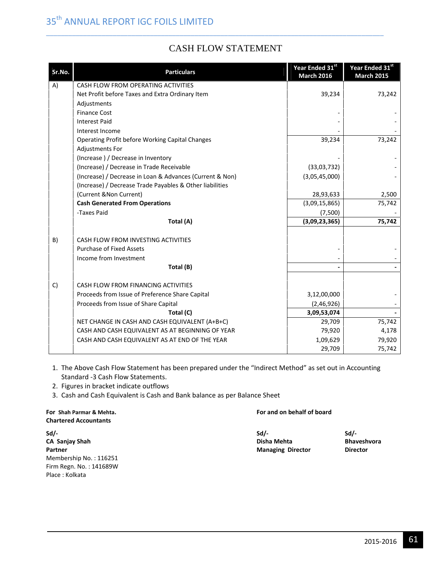## CASH FLOW STATEMENT

 $\_$  ,  $\_$  ,  $\_$  ,  $\_$  ,  $\_$  ,  $\_$  ,  $\_$  ,  $\_$  ,  $\_$  ,  $\_$  ,  $\_$  ,  $\_$  ,  $\_$  ,  $\_$  ,  $\_$  ,  $\_$  ,  $\_$  ,  $\_$  ,  $\_$  ,  $\_$  ,  $\_$  ,  $\_$  ,  $\_$  ,  $\_$  ,  $\_$  ,  $\_$  ,  $\_$  ,  $\_$  ,  $\_$  ,  $\_$  ,  $\_$  ,  $\_$  ,  $\_$  ,  $\_$  ,  $\_$  ,  $\_$  ,  $\_$  ,

| Sr.No. | <b>Particulars</b>                                       | Year Ended 31st<br><b>March 2016</b> | Year Ended 31st<br><b>March 2015</b> |
|--------|----------------------------------------------------------|--------------------------------------|--------------------------------------|
| A)     | CASH FLOW FROM OPERATING ACTIVITIES                      |                                      |                                      |
|        | Net Profit before Taxes and Extra Ordinary Item          | 39,234                               | 73,242                               |
|        | Adjustments                                              |                                      |                                      |
|        | <b>Finance Cost</b>                                      |                                      |                                      |
|        | <b>Interest Paid</b>                                     |                                      |                                      |
|        | Interest Income                                          |                                      |                                      |
|        | <b>Operating Profit before Working Capital Changes</b>   | 39,234                               | 73,242                               |
|        | Adjustments For                                          |                                      |                                      |
|        | (Increase) / Decrease in Inventory                       |                                      |                                      |
|        | (Increase) / Decrease in Trade Receivable                | (33,03,732)                          |                                      |
|        | (Increase) / Decrease in Loan & Advances (Current & Non) | (3,05,45,000)                        |                                      |
|        | (Increase) / Decrease Trade Payables & Other liabilities |                                      |                                      |
|        | (Current & Non Current)                                  | 28,93,633                            | 2,500                                |
|        | <b>Cash Generated From Operations</b>                    | (3,09,15,865)                        | 75,742                               |
|        | -Taxes Paid                                              | (7,500)                              |                                      |
|        | Total (A)                                                | (3,09,23,365)                        | 75,742                               |
| B)     | CASH FLOW FROM INVESTING ACTIVITIES                      |                                      |                                      |
|        | <b>Purchase of Fixed Assets</b>                          |                                      |                                      |
|        | Income from Investment                                   |                                      |                                      |
|        | Total (B)                                                |                                      |                                      |
| C)     | CASH FLOW FROM FINANCING ACTIVITIES                      |                                      |                                      |
|        | Proceeds from Issue of Preference Share Capital          | 3,12,00,000                          |                                      |
|        | Proceeds from Issue of Share Capital                     | (2,46,926)                           |                                      |
|        | Total (C)                                                | 3,09,53,074                          |                                      |
|        | NET CHANGE IN CASH AND CASH EQUIVALENT (A+B+C)           | 29,709                               | 75,742                               |
|        | CASH AND CASH EQUIVALENT AS AT BEGINNING OF YEAR         | 79,920                               | 4,178                                |
|        | CASH AND CASH EQUIVALENT AS AT END OF THE YEAR           | 1,09,629                             | 79,920                               |
|        |                                                          | 29,709                               | 75,742                               |

1. The Above Cash Flow Statement has been prepared under the "Indirect Method" as set out in Accounting Standard ‐3 Cash Flow Statements.

- 2. Figures in bracket indicate outflows
- 3. Cash and Cash Equivalent is Cash and Bank balance as per Balance Sheet

| For Shah Parmar & Mehta.     | For and on behalf of board |                    |  |
|------------------------------|----------------------------|--------------------|--|
| <b>Chartered Accountants</b> |                            |                    |  |
| $Sd/-$                       | $Sd/-$                     | $Sd/-$             |  |
| CA Sanjay Shah               | Disha Mehta                | <b>Bhaveshvora</b> |  |
| Partner                      | <b>Managing Director</b>   | <b>Director</b>    |  |
| Membership No.: 116251       |                            |                    |  |
| Firm Regn. No.: 141689W      |                            |                    |  |
| Place: Kolkata               |                            |                    |  |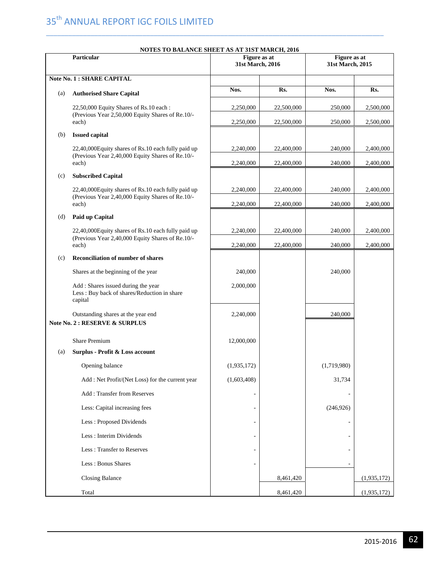|     | Particular                                                                                                       |             | Figure as at<br>31st March, 2016 |             | Figure as at<br>31st March, 2015 |  |
|-----|------------------------------------------------------------------------------------------------------------------|-------------|----------------------------------|-------------|----------------------------------|--|
|     | <b>Note No. 1: SHARE CAPITAL</b>                                                                                 |             |                                  |             |                                  |  |
| (a) | <b>Authorised Share Capital</b>                                                                                  | Nos.        | Rs.                              | Nos.        | Rs.                              |  |
|     | 22,50,000 Equity Shares of Rs.10 each:                                                                           | 2,250,000   | 22,500,000                       | 250,000     | 2,500,000                        |  |
|     | (Previous Year 2,50,000 Equity Shares of Re.10/-<br>each)                                                        | 2,250,000   | 22,500,000                       | 250,000     | 2,500,000                        |  |
| (b) | <b>Issued capital</b>                                                                                            |             |                                  |             |                                  |  |
|     | 22,40,000 Equity shares of Rs.10 each fully paid up<br>(Previous Year 2,40,000 Equity Shares of Re.10/-<br>each) | 2,240,000   | 22,400,000                       | 240,000     | 2,400,000                        |  |
|     |                                                                                                                  | 2,240,000   | 22,400,000                       | 240,000     | 2,400,000                        |  |
| (c) | <b>Subscribed Capital</b>                                                                                        |             |                                  |             |                                  |  |
|     | 22,40,000 Equity shares of Rs.10 each fully paid up<br>(Previous Year 2,40,000 Equity Shares of Re.10/-          | 2,240,000   | 22,400,000                       | 240,000     | 2,400,000                        |  |
|     | each)                                                                                                            | 2,240,000   | 22,400,000                       | 240,000     | 2,400,000                        |  |
| (d) | Paid up Capital                                                                                                  |             |                                  |             |                                  |  |
|     | 22,40,000 Equity shares of Rs.10 each fully paid up<br>(Previous Year 2,40,000 Equity Shares of Re.10/-<br>each) | 2,240,000   | 22,400,000                       | 240,000     | 2,400,000                        |  |
|     |                                                                                                                  | 2,240,000   | 22,400,000                       | 240,000     | 2,400,000                        |  |
| (c) | <b>Reconciliation of number of shares</b>                                                                        |             |                                  |             |                                  |  |
|     | Shares at the beginning of the year                                                                              | 240,000     |                                  | 240,000     |                                  |  |
|     | Add : Shares issued during the year<br>Less: Buy back of shares/Reduction in share<br>capital                    | 2,000,000   |                                  |             |                                  |  |
|     | Outstanding shares at the year end<br><b>Note No. 2: RESERVE &amp; SURPLUS</b>                                   | 2,240,000   |                                  | 240,000     |                                  |  |
|     | <b>Share Premium</b>                                                                                             | 12,000,000  |                                  |             |                                  |  |
| (a) | Surplus - Profit & Loss account                                                                                  |             |                                  |             |                                  |  |
|     | Opening balance                                                                                                  | (1,935,172) |                                  | (1,719,980) |                                  |  |
|     | Add : Net Profit/(Net Loss) for the current year                                                                 | (1,603,408) |                                  | 31,734      |                                  |  |
|     | Add: Transfer from Reserves                                                                                      |             |                                  |             |                                  |  |
|     | Less: Capital increasing fees                                                                                    |             |                                  | (246, 926)  |                                  |  |
|     | Less: Proposed Dividends                                                                                         |             |                                  |             |                                  |  |
|     | Less : Interim Dividends                                                                                         |             |                                  |             |                                  |  |
|     | Less: Transfer to Reserves                                                                                       |             |                                  |             |                                  |  |
|     | Less: Bonus Shares                                                                                               |             |                                  |             |                                  |  |
|     | <b>Closing Balance</b>                                                                                           |             | 8,461,420                        |             | (1,935,172)                      |  |
|     | Total                                                                                                            |             | 8,461,420                        |             | (1,935,172)                      |  |

#### **NOTES TO BALANCE SHEET AS AT 31ST MARCH, 2016**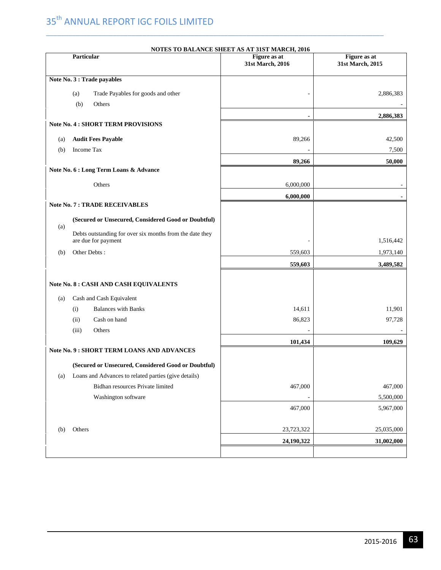|     | Particular                                               | NOTES TO BALANCE SHEET AS AT 31ST MARCH, 2016<br>Figure as at<br>31st March, 2016 | Figure as at<br>31st March, 2015 |
|-----|----------------------------------------------------------|-----------------------------------------------------------------------------------|----------------------------------|
|     |                                                          |                                                                                   |                                  |
|     | Note No. 3 : Trade payables                              |                                                                                   |                                  |
|     | Trade Payables for goods and other<br>(a)                |                                                                                   | 2,886,383                        |
|     | Others<br>(b)                                            |                                                                                   |                                  |
|     |                                                          | $\blacksquare$                                                                    | 2,886,383                        |
|     | <b>Note No. 4: SHORT TERM PROVISIONS</b>                 |                                                                                   |                                  |
| (a) | <b>Audit Fees Payable</b>                                | 89,266                                                                            | 42,500                           |
| (b) | Income Tax                                               |                                                                                   | 7,500                            |
|     |                                                          | 89,266                                                                            | 50,000                           |
|     | Note No. 6 : Long Term Loans & Advance                   |                                                                                   |                                  |
|     | Others                                                   | 6,000,000                                                                         |                                  |
|     |                                                          | 6,000,000                                                                         |                                  |
|     | <b>Note No. 7: TRADE RECEIVABLES</b>                     |                                                                                   |                                  |
|     | (Secured or Unsecured, Considered Good or Doubtful)      |                                                                                   |                                  |
| (a) | Debts outstanding for over six months from the date they |                                                                                   |                                  |
|     | are due for payment                                      |                                                                                   | 1,516,442                        |
| (b) | Other Debts:                                             | 559,603                                                                           | 1,973,140                        |
|     |                                                          | 559,603                                                                           | 3,489,582                        |
|     |                                                          |                                                                                   |                                  |
|     | Note No. 8 : CASH AND CASH EQUIVALENTS                   |                                                                                   |                                  |
| (a) | Cash and Cash Equivalent                                 |                                                                                   |                                  |
|     | (i)<br><b>Balances with Banks</b>                        | 14,611                                                                            | 11,901                           |
|     | Cash on hand<br>(ii)                                     | 86,823                                                                            | 97,728                           |
|     | Others<br>(iii)                                          |                                                                                   |                                  |
|     | Note No. 9 : SHORT TERM LOANS AND ADVANCES               | 101,434                                                                           | 109,629                          |
|     | (Secured or Unsecured, Considered Good or Doubtful)      |                                                                                   |                                  |
| (a) | Loans and Advances to related parties (give details)     |                                                                                   |                                  |
|     | Bidhan resources Private limited                         | 467,000                                                                           | 467,000                          |
|     | Washington software                                      |                                                                                   | 5,500,000                        |
|     |                                                          | 467,000                                                                           | 5,967,000                        |
|     |                                                          |                                                                                   |                                  |
| (b) | Others                                                   | 23,723,322                                                                        | 25,035,000                       |
|     |                                                          | 24,190,322                                                                        | 31,002,000                       |
|     |                                                          |                                                                                   |                                  |

### **NOTES TO BALANCE SHEET AS AT 31ST MARCH, 2016**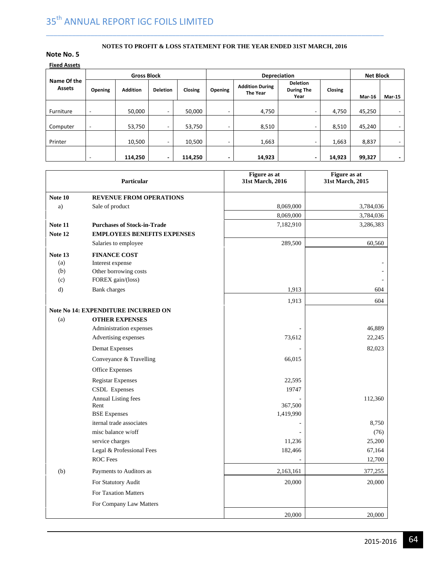## 35th ANNUAL REPORT IGC FOILS LIMITED

#### **NOTES TO PROFIT & LOSS STATEMENT FOR THE YEAR ENDED 31ST MARCH, 2016**

| <b>Fixed Assets</b>          |                          |                 |                          |              |                              |                                    |                                              |                  |        |                          |
|------------------------------|--------------------------|-----------------|--------------------------|--------------|------------------------------|------------------------------------|----------------------------------------------|------------------|--------|--------------------------|
|                              | <b>Gross Block</b>       |                 |                          | Depreciation |                              |                                    |                                              | <b>Net Block</b> |        |                          |
| Name Of the<br><b>Assets</b> | Opening                  | <b>Addition</b> | <b>Deletion</b>          | Closing      | Opening                      | <b>Addition During</b><br>The Year | <b>Deletion</b><br><b>During The</b><br>Year | Closing          | Mar-16 | $Mar-15$                 |
| Furniture                    | $\overline{\phantom{a}}$ | 50,000          | $\overline{\phantom{a}}$ | 50,000       | $\qquad \qquad \blacksquare$ | 4,750                              | $\qquad \qquad \blacksquare$                 | 4,750            | 45,250 |                          |
| Computer                     | $\overline{\phantom{a}}$ | 53,750          | $\overline{\phantom{0}}$ | 53,750       | $\overline{\phantom{a}}$     | 8,510                              | $\qquad \qquad \blacksquare$                 | 8,510            | 45,240 |                          |
| Printer                      |                          | 10,500          | $\overline{\phantom{a}}$ | 10,500       | $\overline{\phantom{a}}$     | 1,663                              | $\overline{\phantom{a}}$                     | 1,663            | 8,837  |                          |
|                              | $\overline{\phantom{a}}$ | 114,250         | $\overline{\phantom{a}}$ | 114,250      | $\blacksquare$               | 14,923                             | $\overline{\phantom{0}}$                     | 14,923           | 99,327 | $\overline{\phantom{0}}$ |

|         | <b>Particular</b>                          | <b>Figure</b> as at<br>31st March, 2016 | <b>Figure</b> as at<br>31st March, 2015 |
|---------|--------------------------------------------|-----------------------------------------|-----------------------------------------|
| Note 10 | <b>REVENUE FROM OPERATIONS</b>             |                                         |                                         |
| a)      | Sale of product                            | 8,069,000                               | 3,784,036                               |
|         |                                            | 8,069,000                               | 3,784,036                               |
| Note 11 | <b>Purchases of Stock-in-Trade</b>         | 7,182,910                               | 3,286,383                               |
| Note 12 | <b>EMPLOYEES BENEFITS EXPENSES</b>         |                                         |                                         |
|         | Salaries to employee                       | 289,500                                 | 60,560                                  |
| Note 13 | <b>FINANCE COST</b>                        |                                         |                                         |
| (a)     | Interest expense                           |                                         |                                         |
| (b)     | Other borrowing costs                      |                                         |                                         |
| (c)     | FOREX gain/(loss)                          |                                         |                                         |
| d)      | Bank charges                               | 1,913                                   | 604                                     |
|         |                                            | 1,913                                   | 604                                     |
|         | <b>Note No 14: EXPENDITURE INCURRED ON</b> |                                         |                                         |
| (a)     | <b>OTHER EXPENSES</b>                      |                                         |                                         |
|         | Administration expenses                    |                                         | 46,889                                  |
|         | Advertising expenses                       | 73,612                                  | 22,245                                  |
|         | Demat Expenses                             |                                         | 82,023                                  |
|         | Conveyance & Travelling                    | 66,015                                  |                                         |
|         | Office Expenses                            |                                         |                                         |
|         | <b>Registar Expenses</b>                   | 22,595                                  |                                         |
|         | CSDL Expenses                              | 19747                                   |                                         |
|         | Annual Listing fees                        |                                         | 112,360                                 |
|         | Rent                                       | 367,500                                 |                                         |
|         | <b>BSE</b> Expenses                        | 1,419,990                               |                                         |
|         | iternal trade associates                   |                                         | 8,750                                   |
|         | misc balance w/off<br>service charges      | 11,236                                  | (76)<br>25,200                          |
|         | Legal & Professional Fees                  | 182,466                                 | 67,164                                  |
|         | <b>ROC</b> Fees                            |                                         | 12,700                                  |
| (b)     | Payments to Auditors as                    | 2,163,161                               | 377,255                                 |
|         | For Statutory Audit                        | 20,000                                  | 20,000                                  |
|         | For Taxation Matters                       |                                         |                                         |
|         | For Company Law Matters                    |                                         |                                         |
|         |                                            | 20,000                                  | 20,000                                  |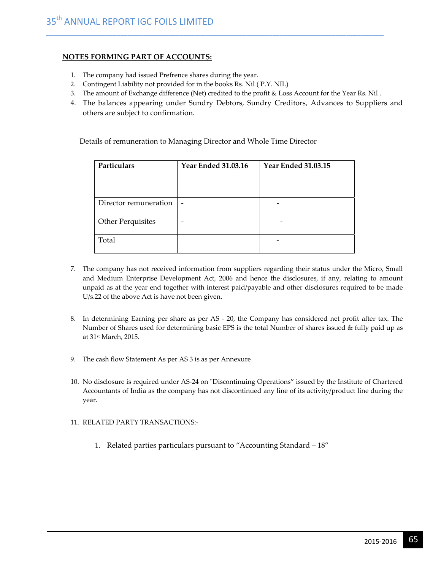#### **NOTES FORMING PART OF ACCOUNTS:**

- 1. The company had issued Prefrence shares during the year.
- 2. Contingent Liability not provided for in the books Rs. Nil ( P.Y. NIL)
- 3. The amount of Exchange difference (Net) credited to the profit & Loss Account for the Year Rs. Nil .

 $\_$  ,  $\_$  ,  $\_$  ,  $\_$  ,  $\_$  ,  $\_$  ,  $\_$  ,  $\_$  ,  $\_$  ,  $\_$  ,  $\_$  ,  $\_$  ,  $\_$  ,  $\_$  ,  $\_$  ,  $\_$  ,  $\_$  ,  $\_$  ,  $\_$  ,  $\_$  ,  $\_$  ,  $\_$  ,  $\_$  ,  $\_$  ,  $\_$  ,  $\_$  ,  $\_$  ,  $\_$  ,  $\_$  ,  $\_$  ,  $\_$  ,  $\_$  ,  $\_$  ,  $\_$  ,  $\_$  ,  $\_$  ,  $\_$  ,

4. The balances appearing under Sundry Debtors, Sundry Creditors, Advances to Suppliers and others are subject to confirmation.

Details of remuneration to Managing Director and Whole Time Director

| Particulars              | <b>Year Ended 31.03.16</b> | <b>Year Ended 31.03.15</b> |
|--------------------------|----------------------------|----------------------------|
| Director remuneration    |                            |                            |
| <b>Other Perquisites</b> |                            |                            |
| Total                    |                            |                            |

- 7. The company has not received information from suppliers regarding their status under the Micro, Small and Medium Enterprise Development Act, 2006 and hence the disclosures, if any, relating to amount unpaid as at the year end together with interest paid/payable and other disclosures required to be made U/s.22 of the above Act is have not been given.
- 8. In determining Earning per share as per AS 20, the Company has considered net profit after tax. The Number of Shares used for determining basic EPS is the total Number of shares issued & fully paid up as at 31st March, 2015.
- 9. The cash flow Statement As per AS 3 is as per Annexure
- 10. No disclosure is required under AS-24 on "Discontinuing Operations" issued by the Institute of Chartered Accountants of India as the company has not discontinued any line of its activity/product line during the year.
- 11. RELATED PARTY TRANSACTIONS:‐
	- 1. Related parties particulars pursuant to "Accounting Standard 18"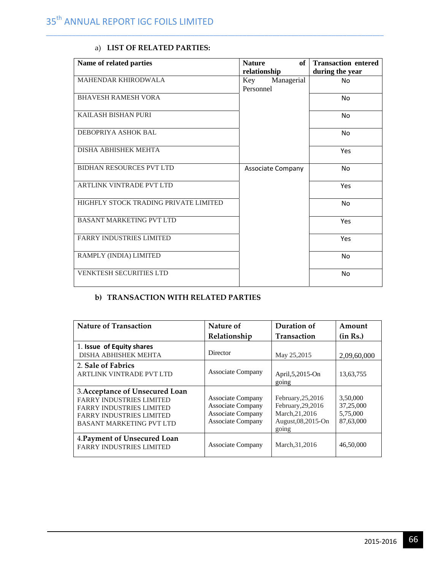### a) **LIST OF RELATED PARTIES:**

| Name of related parties               | <b>Nature</b><br>of            | <b>Transaction entered</b> |
|---------------------------------------|--------------------------------|----------------------------|
|                                       | relationship                   | during the year            |
| MAHENDAR KHIRODWALA                   | Managerial<br>Key<br>Personnel | <b>No</b>                  |
| <b>BHAVESH RAMESH VORA</b>            |                                | <b>No</b>                  |
| <b>KAILASH BISHAN PURI</b>            |                                | No.                        |
| DEBOPRIYA ASHOK BAL                   |                                | N <sub>o</sub>             |
| DISHA ABHISHEK MEHTA                  |                                | Yes                        |
| <b>BIDHAN RESOURCES PVT LTD</b>       | <b>Associate Company</b>       | <b>No</b>                  |
| <b>ARTLINK VINTRADE PVT LTD</b>       |                                | Yes                        |
| HIGHFLY STOCK TRADING PRIVATE LIMITED |                                | <b>No</b>                  |
| <b>BASANT MARKETING PVT LTD</b>       |                                | Yes                        |
| <b>FARRY INDUSTRIES LIMITED</b>       |                                | Yes                        |
| RAMPLY (INDIA) LIMITED                |                                | N <sub>o</sub>             |
| <b>VENKTESH SECURITIES LTD</b>        |                                | No                         |

 $\_$  ,  $\_$  ,  $\_$  ,  $\_$  ,  $\_$  ,  $\_$  ,  $\_$  ,  $\_$  ,  $\_$  ,  $\_$  ,  $\_$  ,  $\_$  ,  $\_$  ,  $\_$  ,  $\_$  ,  $\_$  ,  $\_$  ,  $\_$  ,  $\_$  ,  $\_$  ,  $\_$  ,  $\_$  ,  $\_$  ,  $\_$  ,  $\_$  ,  $\_$  ,  $\_$  ,  $\_$  ,  $\_$  ,  $\_$  ,  $\_$  ,  $\_$  ,  $\_$  ,  $\_$  ,  $\_$  ,  $\_$  ,  $\_$  ,

### **b) TRANSACTION WITH RELATED PARTIES**

| <b>Nature of Transaction</b>                                                                                                                                                | Nature of                                                                                                    | Duration of                                                                                 | Amount                                         |
|-----------------------------------------------------------------------------------------------------------------------------------------------------------------------------|--------------------------------------------------------------------------------------------------------------|---------------------------------------------------------------------------------------------|------------------------------------------------|
|                                                                                                                                                                             | Relationship                                                                                                 | <b>Transaction</b>                                                                          | (in Rs.)                                       |
| 1. Issue of Equity shares<br>DISHA ABHISHEK MEHTA                                                                                                                           | <b>Director</b>                                                                                              | May 25,2015                                                                                 | 2,09,60,000                                    |
| 2. Sale of Fabrics<br><b>ARTLINK VINTRADE PVT LTD</b>                                                                                                                       | <b>Associate Company</b>                                                                                     | April, 5, 2015-On<br>going                                                                  | 13,63,755                                      |
| 3. Acceptance of Unsecured Loan<br><b>FARRY INDUSTRIES LIMITED</b><br><b>FARRY INDUSTRIES LIMITED</b><br><b>FARRY INDUSTRIES LIMITED</b><br><b>BASANT MARKETING PVT LTD</b> | <b>Associate Company</b><br><b>Associate Company</b><br><b>Associate Company</b><br><b>Associate Company</b> | February, 25, 2016<br>February, 29, 2016<br>March, 21, 2016<br>August, 08, 2015-On<br>going | 3,50,000<br>37,25,000<br>5,75,000<br>87,63,000 |
| 4. Payment of Unsecured Loan<br><b>FARRY INDUSTRIES LIMITED</b>                                                                                                             | <b>Associate Company</b>                                                                                     | March, 31, 2016                                                                             | 46,50,000                                      |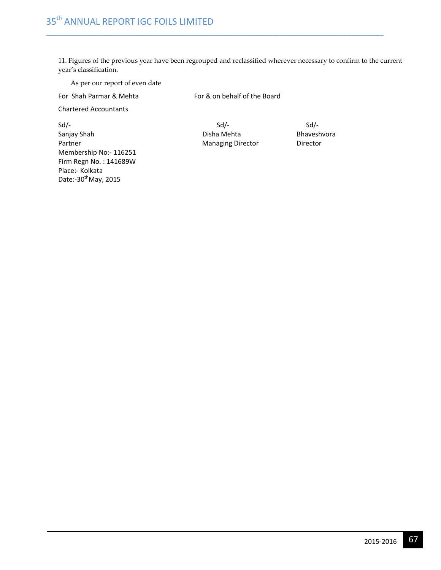11. Figures of the previous year have been regrouped and reclassified wherever necessary to confirm to the current year's classification.

 $\_$  ,  $\_$  ,  $\_$  ,  $\_$  ,  $\_$  ,  $\_$  ,  $\_$  ,  $\_$  ,  $\_$  ,  $\_$  ,  $\_$  ,  $\_$  ,  $\_$  ,  $\_$  ,  $\_$  ,  $\_$  ,  $\_$  ,  $\_$  ,  $\_$  ,  $\_$  ,  $\_$  ,  $\_$  ,  $\_$  ,  $\_$  ,  $\_$  ,  $\_$  ,  $\_$  ,  $\_$  ,  $\_$  ,  $\_$  ,  $\_$  ,  $\_$  ,  $\_$  ,  $\_$  ,  $\_$  ,  $\_$  ,  $\_$  ,

As per our report of even date

For Shah Parmar & Mehta For & on behalf of the Board

Chartered Accountants

Sd/‐ Sd/‐ Sd/‐ Sanjay Shah Disha Mehta Bhaveshvora Partner **Managing Director Director Director** Membership No:‐ 116251 Firm Regn No. : 141689W Place:‐ Kolkata Date:-30<sup>th</sup>May, 2015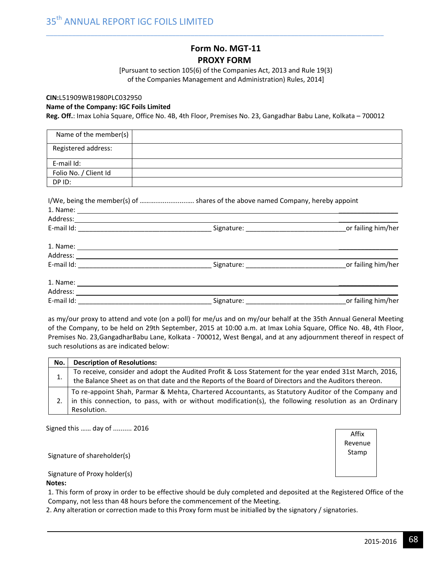### **Form No. MGT‐11 PROXY FORM**

 $\_$  ,  $\_$  ,  $\_$  ,  $\_$  ,  $\_$  ,  $\_$  ,  $\_$  ,  $\_$  ,  $\_$  ,  $\_$  ,  $\_$  ,  $\_$  ,  $\_$  ,  $\_$  ,  $\_$  ,  $\_$  ,  $\_$  ,  $\_$  ,  $\_$  ,  $\_$  ,  $\_$  ,  $\_$  ,  $\_$  ,  $\_$  ,  $\_$  ,  $\_$  ,  $\_$  ,  $\_$  ,  $\_$  ,  $\_$  ,  $\_$  ,  $\_$  ,  $\_$  ,  $\_$  ,  $\_$  ,  $\_$  ,  $\_$  ,

[Pursuant to section 105(6) of the Companies Act, 2013 and Rule 19(3) of the Companies Management and Administration) Rules, 2014]

#### **CIN:**L51909WB1980PLC032950 **Name of the Company: IGC Foils Limited**

**Reg. Off.**: Imax Lohia Square, Office No. 4B, 4th Floor, Premises No. 23, Gangadhar Babu Lane, Kolkata – 700012

| Name of the member(s) |  |
|-----------------------|--|
| Registered address:   |  |
| E-mail Id:            |  |
| Folio No. / Client Id |  |
| DP ID:                |  |

I/We, being the member(s) of .................................. shares of the above named Company, hereby appoint

|                                                                                                                                                                                                                                |            | or failing him/her |
|--------------------------------------------------------------------------------------------------------------------------------------------------------------------------------------------------------------------------------|------------|--------------------|
|                                                                                                                                                                                                                                |            |                    |
|                                                                                                                                                                                                                                |            |                    |
|                                                                                                                                                                                                                                |            |                    |
|                                                                                                                                                                                                                                |            |                    |
| Address: Analysis and the state of the state of the state of the state of the state of the state of the state of the state of the state of the state of the state of the state of the state of the state of the state of the s |            |                    |
| E-mail Id:                                                                                                                                                                                                                     | Signature: | or failing him/her |

as my/our proxy to attend and vote (on a poll) for me/us and on my/our behalf at the 35th Annual General Meeting of the Company, to be held on 29th September, 2015 at 10:00 a.m. at Imax Lohia Square, Office No. 4B, 4th Floor, Premises No. 23,GangadharBabu Lane, Kolkata ‐ 700012, West Bengal, and at any adjournment thereof in respect of such resolutions as are indicated below:

| No. | <b>Description of Resolutions:</b>                                                                       |
|-----|----------------------------------------------------------------------------------------------------------|
| 1.  | To receive, consider and adopt the Audited Profit & Loss Statement for the year ended 31st March, 2016,  |
|     | the Balance Sheet as on that date and the Reports of the Board of Directors and the Auditors thereon.    |
|     | To re-appoint Shah, Parmar & Mehta, Chartered Accountants, as Statutory Auditor of the Company and       |
|     | 2. In this connection, to pass, with or without modification(s), the following resolution as an Ordinary |
|     | Resolution.                                                                                              |

Signed this …… day of .......... 2016

Signature of shareholder(s)

Affix Revenue Stamp

Signature of Proxy holder(s)

#### **Notes:**

1. This form of proxy in order to be effective should be duly completed and deposited at the Registered Office of the Company, not less than 48 hours before the commencement of the Meeting.

2. Any alteration or correction made to this Proxy form must be initialled by the signatory / signatories.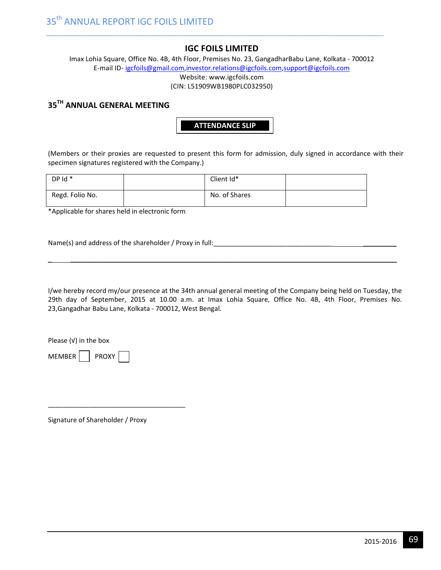### **IGC FOILS LIMITED**

 $\_$  ,  $\_$  ,  $\_$  ,  $\_$  ,  $\_$  ,  $\_$  ,  $\_$  ,  $\_$  ,  $\_$  ,  $\_$  ,  $\_$  ,  $\_$  ,  $\_$  ,  $\_$  ,  $\_$  ,  $\_$  ,  $\_$  ,  $\_$  ,  $\_$  ,  $\_$  ,  $\_$  ,  $\_$  ,  $\_$  ,  $\_$  ,  $\_$  ,  $\_$  ,  $\_$  ,  $\_$  ,  $\_$  ,  $\_$  ,  $\_$  ,  $\_$  ,  $\_$  ,  $\_$  ,  $\_$  ,  $\_$  ,  $\_$  ,

Imax Lohia Square, Office No. 4B, 4th Floor, Premises No. 23, GangadharBabu Lane, Kolkata ‐ 700012 E‐mail ID‐ igcfoils@gmail.com,investor.relations@igcfoils.com,support@igcfoils.com Website: www.igcfoils.com (CIN: L51909WB1980PLC032950)

### **35TH ANNUAL GENERAL MEETING**

<u>in the contract of the contract of the contract of the contract of the contract of the contract of the contract of the contract of the contract of the contract of the contract of the contract of the contract of the contra</u> **ATTENDANCE SLIP**

(Members or their proxies are requested to present this form for admission, duly signed in accordance with their specimen signatures registered with the Company.)

| DP $Id$ <sup>*</sup> | Client Id*    |  |
|----------------------|---------------|--|
| Regd. Folio No.      | No. of Shares |  |

\*Applicable for shares held in electronic form

Name(s) and address of the shareholder / Proxy in full:\_\_\_\_\_\_\_\_\_\_\_\_\_\_\_\_\_\_\_\_\_\_\_\_\_\_

I/we hereby record my/our presence at the 34th annual general meeting of the Company being held on Tuesday, the 29th day of September, 2015 at 10.00 a.m. at Imax Lohia Square, Office No. 4B, 4th Floor, Premises No. 23,Gangadhar Babu Lane, Kolkata ‐ 700012, West Bengal.

 $\overline{\phantom{a}}$  , and the contribution of the contribution of the contribution of the contribution of the contribution of the contribution of the contribution of the contribution of the contribution of the contribution of the

Please (√) in the box

| <b>MFMBFR</b> |  | <b>PROXY</b> |  |
|---------------|--|--------------|--|
|---------------|--|--------------|--|

Signature of Shareholder / Proxy

\_\_\_\_\_\_\_\_\_\_\_\_\_\_\_\_\_\_\_\_\_\_\_\_\_\_\_\_\_\_\_\_\_\_\_\_\_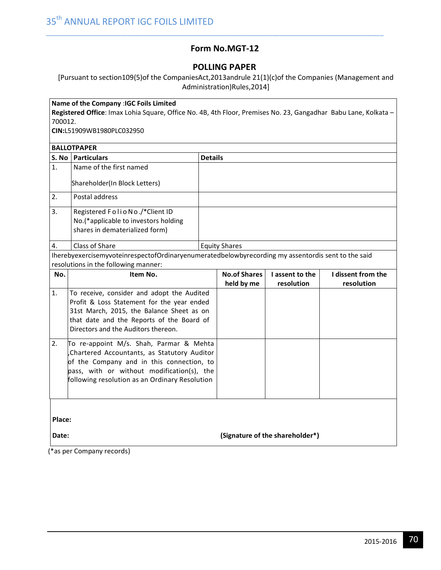### **Form No.MGT‐12**

 $\_$  ,  $\_$  ,  $\_$  ,  $\_$  ,  $\_$  ,  $\_$  ,  $\_$  ,  $\_$  ,  $\_$  ,  $\_$  ,  $\_$  ,  $\_$  ,  $\_$  ,  $\_$  ,  $\_$  ,  $\_$  ,  $\_$  ,  $\_$  ,  $\_$  ,  $\_$  ,  $\_$  ,  $\_$  ,  $\_$  ,  $\_$  ,  $\_$  ,  $\_$  ,  $\_$  ,  $\_$  ,  $\_$  ,  $\_$  ,  $\_$  ,  $\_$  ,  $\_$  ,  $\_$  ,  $\_$  ,  $\_$  ,  $\_$  ,

### **POLLING PAPER**

[Pursuant to section109(5)of the CompaniesAct,2013andrule 21(1)(c)of the Companies (Management and Administration)Rules,2014]

**Name of the Company** :**IGC Foils Limited Registered Office**: Imax Lohia Square, Office No. 4B, 4th Floor, Premises No. 23, Gangadhar Babu Lane, Kolkata – 700012.

**CIN:**L51909WB1980PLC032950

|       | <b>BALLOTPAPER</b>                                                                                                                                                                                                                   |  |                                   |                               |                                  |
|-------|--------------------------------------------------------------------------------------------------------------------------------------------------------------------------------------------------------------------------------------|--|-----------------------------------|-------------------------------|----------------------------------|
| S. No | <b>Details</b><br><b>Particulars</b>                                                                                                                                                                                                 |  |                                   |                               |                                  |
| 1.    | Name of the first named                                                                                                                                                                                                              |  |                                   |                               |                                  |
|       | Shareholder(In Block Letters)                                                                                                                                                                                                        |  |                                   |                               |                                  |
| 2.    | Postal address                                                                                                                                                                                                                       |  |                                   |                               |                                  |
| 3.    | Registered FolioNo./*Client ID<br>No.(*applicable to investors holding<br>shares in dematerialized form)                                                                                                                             |  |                                   |                               |                                  |
| 4.    | Class of Share                                                                                                                                                                                                                       |  | <b>Equity Shares</b>              |                               |                                  |
|       | IherebyexercisemyvoteinrespectofOrdinaryenumeratedbelowbyrecording my assentordis sent to the said                                                                                                                                   |  |                                   |                               |                                  |
|       | resolutions in the following manner:                                                                                                                                                                                                 |  |                                   |                               |                                  |
| No.   | Item No.                                                                                                                                                                                                                             |  | <b>No.of Shares</b><br>held by me | I assent to the<br>resolution | I dissent from the<br>resolution |
| 1.    | To receive, consider and adopt the Audited<br>Profit & Loss Statement for the year ended<br>31st March, 2015, the Balance Sheet as on<br>that date and the Reports of the Board of<br>Directors and the Auditors thereon.            |  |                                   |                               |                                  |
| 2.    | To re-appoint M/s. Shah, Parmar & Mehta<br>Chartered Accountants, as Statutory Auditor,<br>of the Company and in this connection, to<br>pass, with or without modification(s), the<br>following resolution as an Ordinary Resolution |  |                                   |                               |                                  |
|       | Place:<br>(Signature of the shareholder*)<br>Date:                                                                                                                                                                                   |  |                                   |                               |                                  |

(\*as per Company records)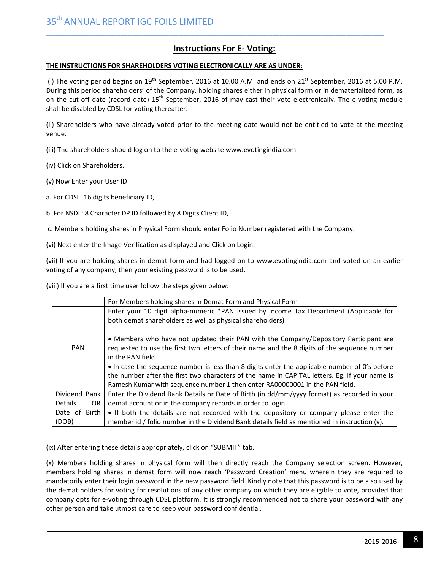### **Instructions For E‐ Voting:**

 $\_$  ,  $\_$  ,  $\_$  ,  $\_$  ,  $\_$  ,  $\_$  ,  $\_$  ,  $\_$  ,  $\_$  ,  $\_$  ,  $\_$  ,  $\_$  ,  $\_$  ,  $\_$  ,  $\_$  ,  $\_$  ,  $\_$  ,  $\_$  ,  $\_$  ,  $\_$  ,  $\_$  ,  $\_$  ,  $\_$  ,  $\_$  ,  $\_$  ,  $\_$  ,  $\_$  ,  $\_$  ,  $\_$  ,  $\_$  ,  $\_$  ,  $\_$  ,  $\_$  ,  $\_$  ,  $\_$  ,  $\_$  ,  $\_$  ,

#### **THE INSTRUCTIONS FOR SHAREHOLDERS VOTING ELECTRONICALLY ARE AS UNDER:**

(i) The voting period begins on  $19^{th}$  September, 2016 at 10.00 A.M. and ends on  $21^{st}$  September, 2016 at 5.00 P.M. During this period shareholders' of the Company, holding shares either in physical form or in dematerialized form, as on the cut-off date (record date) 15<sup>th</sup> September, 2016 of may cast their vote electronically. The e-voting module shall be disabled by CDSL for voting thereafter.

(ii) Shareholders who have already voted prior to the meeting date would not be entitled to vote at the meeting venue.

(iii) The shareholders should log on to the e‐voting website www.evotingindia.com.

(iv) Click on Shareholders.

(v) Now Enter your User ID

a. For CDSL: 16 digits beneficiary ID,

b. For NSDL: 8 Character DP ID followed by 8 Digits Client ID,

c. Members holding shares in Physical Form should enter Folio Number registered with the Company.

(vi) Next enter the Image Verification as displayed and Click on Login.

(vii) If you are holding shares in demat form and had logged on to www.evotingindia.com and voted on an earlier voting of any company, then your existing password is to be used.

(viii) If you are a first time user follow the steps given below:

|                       | For Members holding shares in Demat Form and Physical Form                                                                                                                                                |  |  |  |
|-----------------------|-----------------------------------------------------------------------------------------------------------------------------------------------------------------------------------------------------------|--|--|--|
|                       | Enter your 10 digit alpha-numeric *PAN issued by Income Tax Department (Applicable for                                                                                                                    |  |  |  |
|                       | both demat shareholders as well as physical shareholders)                                                                                                                                                 |  |  |  |
| <b>PAN</b>            | • Members who have not updated their PAN with the Company/Depository Participant are<br>requested to use the first two letters of their name and the 8 digits of the sequence number<br>in the PAN field. |  |  |  |
|                       | • In case the sequence number is less than 8 digits enter the applicable number of 0's before                                                                                                             |  |  |  |
|                       | the number after the first two characters of the name in CAPITAL letters. Eg. If your name is                                                                                                             |  |  |  |
|                       | Ramesh Kumar with sequence number 1 then enter RA00000001 in the PAN field.                                                                                                                               |  |  |  |
| Dividend Bank         | Enter the Dividend Bank Details or Date of Birth (in dd/mm/yyyy format) as recorded in your                                                                                                               |  |  |  |
| <b>Details</b><br>OR. | demat account or in the company records in order to login.                                                                                                                                                |  |  |  |
| Date of Birth         | • If both the details are not recorded with the depository or company please enter the                                                                                                                    |  |  |  |
| (DOB)                 | member id / folio number in the Dividend Bank details field as mentioned in instruction (v).                                                                                                              |  |  |  |

(ix) After entering these details appropriately, click on "SUBMIT" tab.

(x) Members holding shares in physical form will then directly reach the Company selection screen. However, members holding shares in demat form will now reach 'Password Creation' menu wherein they are required to mandatorily enter their login password in the new password field. Kindly note that this password is to be also used by the demat holders for voting for resolutions of any other company on which they are eligible to vote, provided that company opts for e-voting through CDSL platform. It is strongly recommended not to share your password with any other person and take utmost care to keep your password confidential.